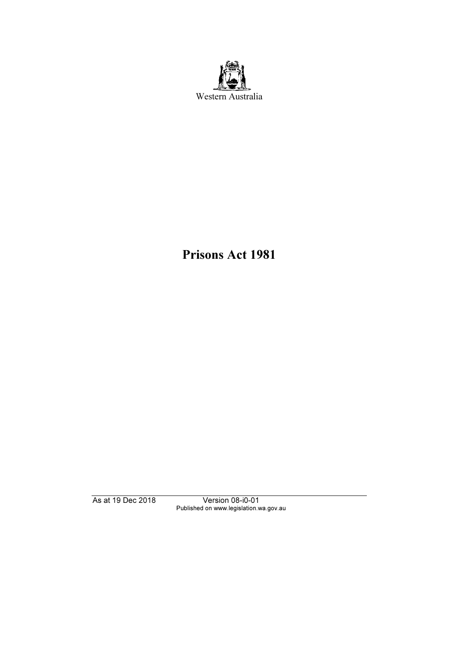

Prisons Act 1981

As at 19 Dec 2018 Version 08-i0-01 Published on www.legislation.wa.gov.au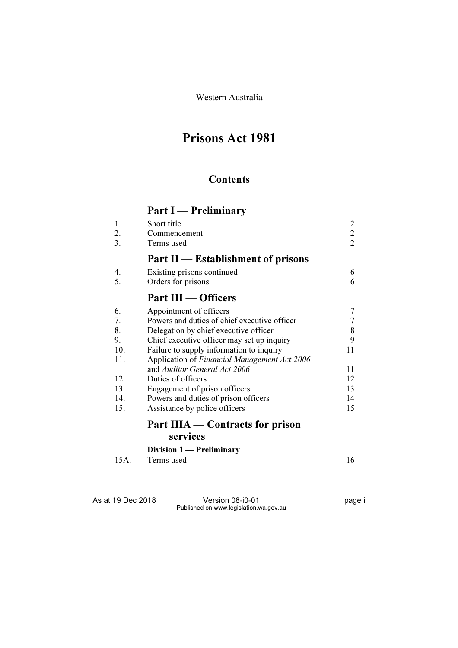Western Australia

# Prisons Act 1981

## **Contents**

# Part I — Preliminary

| 1.   | Short title                                  | 2              |
|------|----------------------------------------------|----------------|
| 2.   | Commencement                                 | $\overline{2}$ |
| 3.   | Terms used                                   | $\overline{2}$ |
|      | Part II — Establishment of prisons           |                |
| 4.   | Existing prisons continued                   | 6              |
| 5.   | Orders for prisons                           | 6              |
|      | Part III — Officers                          |                |
| 6.   | Appointment of officers                      | 7              |
| 7.   | Powers and duties of chief executive officer | 7              |
| 8.   | Delegation by chief executive officer        | 8              |
| 9.   | Chief executive officer may set up inquiry   | 9              |
| 10.  | Failure to supply information to inquiry     | 11             |
| 11.  | Application of Financial Management Act 2006 |                |
|      | and Auditor General Act 2006                 | 11             |
| 12.  | Duties of officers                           | 12             |
| 13.  | Engagement of prison officers                | 13             |
| 14.  | Powers and duties of prison officers         | 14             |
| 15.  | Assistance by police officers                | 15             |
|      | Part IIIA — Contracts for prison             |                |
|      | services                                     |                |
|      | Division 1 — Preliminary                     |                |
| 15A. | Terms used                                   | 16             |

As at 19 Dec 2018 Version 08-i0-01 page i Published on www.legislation.wa.gov.au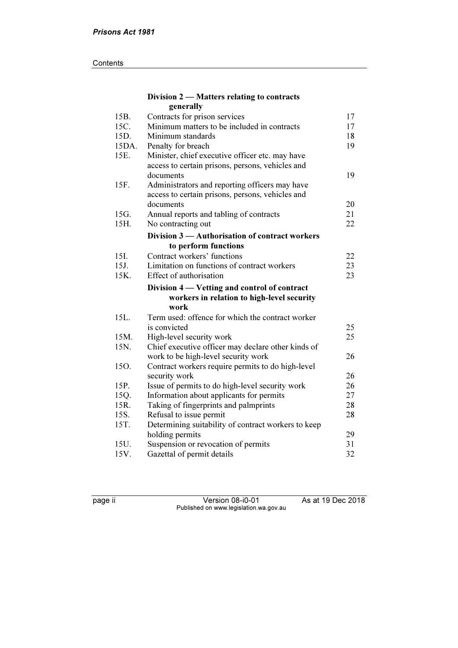#### **Contents**

#### Division 2 — Matters relating to contracts generally

| 15B.  | Contracts for prison services                       | 17 |
|-------|-----------------------------------------------------|----|
| 15C.  | Minimum matters to be included in contracts         | 17 |
| 15D.  | Minimum standards                                   | 18 |
| 15DA. | Penalty for breach                                  | 19 |
| 15E.  | Minister, chief executive officer etc. may have     |    |
|       | access to certain prisons, persons, vehicles and    |    |
|       | documents                                           | 19 |
| 15F.  | Administrators and reporting officers may have      |    |
|       | access to certain prisons, persons, vehicles and    |    |
|       | documents                                           | 20 |
| 15G.  | Annual reports and tabling of contracts             | 21 |
| 15H.  | No contracting out                                  | 22 |
|       | Division 3 - Authorisation of contract workers      |    |
|       | to perform functions                                |    |
| 15I.  | Contract workers' functions                         | 22 |
| 15J.  | Limitation on functions of contract workers         | 23 |
| 15K.  | Effect of authorisation                             | 23 |
|       | Division 4 — Vetting and control of contract        |    |
|       | workers in relation to high-level security          |    |
|       | work                                                |    |
| 15L.  | Term used: offence for which the contract worker    |    |
|       | is convicted                                        | 25 |
| 15M.  | High-level security work                            | 25 |
| 15N.  | Chief executive officer may declare other kinds of  |    |
|       | work to be high-level security work                 | 26 |
| 15O.  | Contract workers require permits to do high-level   |    |
|       | security work                                       | 26 |
| 15P.  | Issue of permits to do high-level security work     | 26 |
| 15Q.  | Information about applicants for permits            | 27 |
| 15R.  | Taking of fingerprints and palmprints               | 28 |
| 15S.  | Refusal to issue permit                             | 28 |
| 15T.  | Determining suitability of contract workers to keep |    |
|       | holding permits                                     | 29 |
| 15U.  | Suspension or revocation of permits                 | 31 |
| 15V.  | Gazettal of permit details                          | 32 |

| ۰. |  |
|----|--|
|    |  |

page ii Version 08-i0-01 As at 19 Dec 2018 Published on www.legislation.wa.gov.au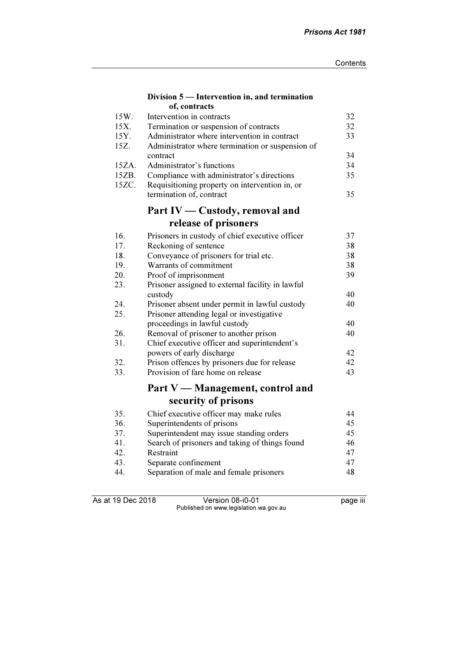#### Division 5 — Intervention in, and termination of, contracts

| 15W.  | Intervention in contracts                        | 32 |
|-------|--------------------------------------------------|----|
| 15X.  | Termination or suspension of contracts           | 32 |
| 15Y.  | Administrator where intervention in contract     | 33 |
| 15Z.  | Administrator where termination or suspension of |    |
|       | contract                                         | 34 |
| 15ZA. | Administrator's functions                        | 34 |
| 15ZB. | Compliance with administrator's directions       | 35 |
| 15ZC. | Requisitioning property on intervention in, or   |    |
|       | termination of, contract                         | 35 |
|       | Part IV — Custody, removal and                   |    |
|       | release of prisoners                             |    |
| 16.   | Prisoners in custody of chief executive officer  | 37 |
| 17.   | Reckoning of sentence                            | 38 |
| 18.   | Conveyance of prisoners for trial etc.           | 38 |
| 19.   | Warrants of commitment                           | 38 |
| 20.   | Proof of imprisonment                            | 39 |
| 23.   | Prisoner assigned to external facility in lawful |    |
|       | custody                                          | 40 |
| 24.   | Prisoner absent under permit in lawful custody   | 40 |
| 25.   | Prisoner attending legal or investigative        |    |
|       | proceedings in lawful custody                    | 40 |
| 26.   | Removal of prisoner to another prison            | 40 |
| 31.   | Chief executive officer and superintendent's     |    |
|       | powers of early discharge                        | 42 |
| 32.   | Prison offences by prisoners due for release     | 42 |
| 33.   | Provision of fare home on release                | 43 |
|       | Part V — Management, control and                 |    |
|       | security of prisons                              |    |
| 35.   | Chief executive officer may make rules           | 44 |
| 36.   | Superintendents of prisons                       | 45 |
| 37.   | Superintendent may issue standing orders         | 45 |
| 41.   | Search of prisoners and taking of things found   | 46 |
| 42.   | Restraint                                        | 47 |
| 43.   | Separate confinement                             | 47 |
| 44.   | Separation of male and female prisoners          | 48 |

As at 19 Dec 2018 Version 08-i0-01 page iii Published on www.legislation.wa.gov.au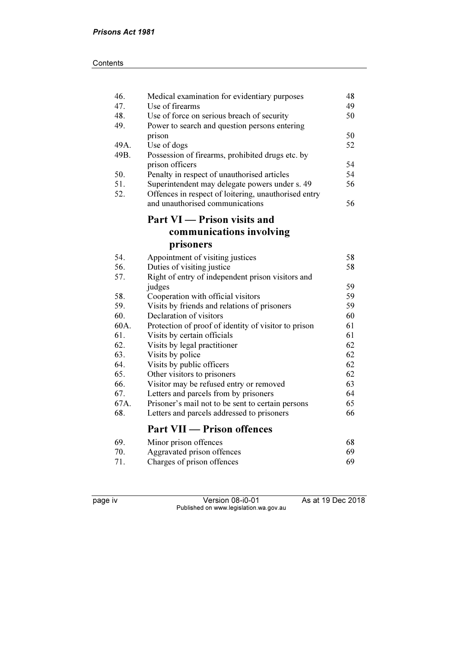| 46.  | Medical examination for evidentiary purposes         | 48 |
|------|------------------------------------------------------|----|
| 47.  | Use of firearms                                      | 49 |
| 48.  | Use of force on serious breach of security           | 50 |
| 49.  | Power to search and question persons entering        |    |
|      | prison                                               | 50 |
| 49A. | Use of dogs                                          | 52 |
| 49B. | Possession of firearms, prohibited drugs etc. by     |    |
|      | prison officers                                      | 54 |
| 50.  | Penalty in respect of unauthorised articles          | 54 |
| 51.  | Superintendent may delegate powers under s. 49       | 56 |
| 52.  | Offences in respect of loitering, unauthorised entry |    |
|      | and unauthorised communications                      | 56 |
|      | Part VI - Prison visits and                          |    |
|      | communications involving                             |    |
|      | prisoners                                            |    |
| 54.  | Appointment of visiting justices                     | 58 |
| 56.  | Duties of visiting justice                           | 58 |
| 57.  | Right of entry of independent prison visitors and    |    |
|      | judges                                               | 59 |
| 58.  | Cooperation with official visitors                   | 59 |
| 59.  | Visits by friends and relations of prisoners         | 59 |
| 60.  | Declaration of visitors                              | 60 |
| 60A. | Protection of proof of identity of visitor to prison | 61 |
| 61.  | Visits by certain officials                          | 61 |
| 62.  | Visits by legal practitioner                         | 62 |
| 63.  | Visits by police                                     | 62 |
| 64.  | Visits by public officers                            | 62 |
| 65.  | Other visitors to prisoners                          | 62 |
| 66.  | Visitor may be refused entry or removed              | 63 |
| 67.  | Letters and parcels from by prisoners                | 64 |
| 67A. | Prisoner's mail not to be sent to certain persons    | 65 |
| 68.  | Letters and parcels addressed to prisoners           | 66 |
|      | <b>Part VII — Prison offences</b>                    |    |
| 69.  | Minor prison offences                                | 68 |
| 70.  | Aggravated prison offences                           | 69 |

71. Charges of prison offences 69

| eo<br>⊷ | J |
|---------|---|
|         |   |

page iv Version 08-i0-01 As at 19 Dec 2018 Published on www.legislation.wa.gov.au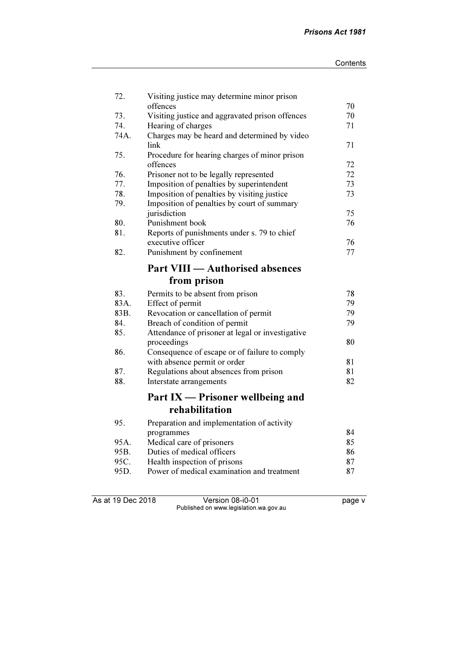| 72.  | Visiting justice may determine minor prison<br>offences | 70 |
|------|---------------------------------------------------------|----|
| 73.  | Visiting justice and aggravated prison offences         | 70 |
| 74.  | Hearing of charges                                      | 71 |
| 74A. | Charges may be heard and determined by video            |    |
|      | link                                                    | 71 |
| 75.  | Procedure for hearing charges of minor prison           |    |
|      | offences                                                | 72 |
| 76.  | Prisoner not to be legally represented                  | 72 |
| 77.  | Imposition of penalties by superintendent               | 73 |
| 78.  | Imposition of penalties by visiting justice             | 73 |
| 79.  | Imposition of penalties by court of summary             |    |
|      | jurisdiction                                            | 75 |
| 80.  | Punishment book                                         | 76 |
| 81.  | Reports of punishments under s. 79 to chief             |    |
|      | executive officer                                       | 76 |
| 82.  | Punishment by confinement                               | 77 |
|      | <b>Part VIII — Authorised absences</b>                  |    |
|      | from prison                                             |    |
| 83.  | Permits to be absent from prison                        | 78 |
| 83A. | Effect of permit                                        | 79 |
| 83B. | Revocation or cancellation of permit                    | 79 |
| 84.  | Breach of condition of permit                           | 79 |
| 85.  | Attendance of prisoner at legal or investigative        |    |
|      | proceedings                                             | 80 |
| 86.  | Consequence of escape or of failure to comply           |    |
|      | with absence permit or order                            | 81 |
| 87.  | Regulations about absences from prison                  | 81 |
| 88.  | Interstate arrangements                                 | 82 |
|      | Part IX — Prisoner wellbeing and                        |    |
|      | rehabilitation                                          |    |
| 95.  | Preparation and implementation of activity              |    |
|      | programmes                                              | 84 |
| 95A. | Medical care of prisoners                               | 85 |
| 95B. | Duties of medical officers                              | 86 |
| 95C. | Health inspection of prisons                            | 87 |
| 95D. | Power of medical examination and treatment              | 87 |

As at 19 Dec 2018 **Version 08-i0-01 Page v page v** Published on www.legislation.wa.gov.au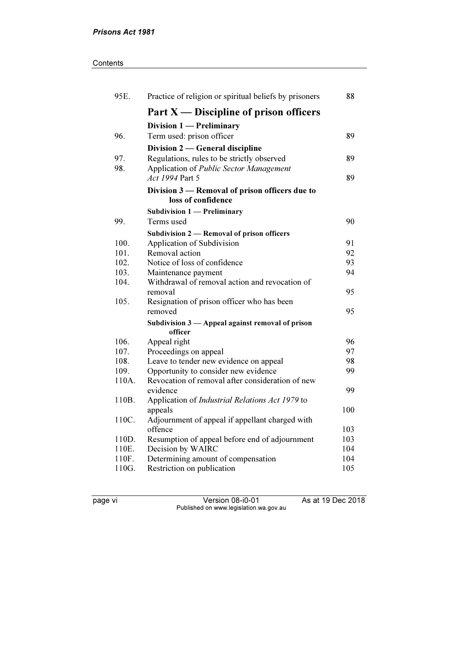#### **Contents**

| 95E.  | Practice of religion or spiritual beliefs by prisoners     | 88  |
|-------|------------------------------------------------------------|-----|
|       | Part $X$ — Discipline of prison officers                   |     |
|       | Division 1 - Preliminary                                   |     |
| 96.   | Term used: prison officer                                  | 89  |
|       | Division 2 — General discipline                            |     |
| 97.   | Regulations, rules to be strictly observed                 | 89  |
| 98.   | Application of Public Sector Management                    |     |
|       | Act 1994 Part 5                                            | 89  |
|       | Division 3 — Removal of prison officers due to             |     |
|       | loss of confidence                                         |     |
|       | Subdivision $1$ - Preliminary                              |     |
| 99.   | Terms used                                                 | 90  |
|       | Subdivision 2 — Removal of prison officers                 |     |
| 100.  | Application of Subdivision                                 | 91  |
| 101.  | Removal action                                             | 92  |
| 102.  | Notice of loss of confidence                               | 93  |
| 103.  | Maintenance payment                                        | 94  |
| 104.  | Withdrawal of removal action and revocation of             |     |
| 105.  | removal<br>Resignation of prison officer who has been      | 95  |
|       | removed                                                    | 95  |
|       | Subdivision 3 — Appeal against removal of prison           |     |
|       | officer                                                    |     |
| 106.  | Appeal right                                               | 96  |
| 107.  | Proceedings on appeal                                      | 97  |
| 108.  | Leave to tender new evidence on appeal                     | 98  |
| 109.  | Opportunity to consider new evidence                       | 99  |
| 110A. | Revocation of removal after consideration of new           |     |
|       | evidence                                                   | 99  |
| 110B. | Application of Industrial Relations Act 1979 to            | 100 |
| 110C. | appeals<br>Adjournment of appeal if appellant charged with |     |
|       | offence                                                    | 103 |
| 110D. | Resumption of appeal before end of adjournment             | 103 |
| 110E. | Decision by WAIRC                                          | 104 |
| 110F. | Determining amount of compensation                         | 104 |
| 110G. | Restriction on publication                                 | 105 |
|       |                                                            |     |

page vi Version 08-i0-01 As at 19 Dec 2018 Published on www.legislation.wa.gov.au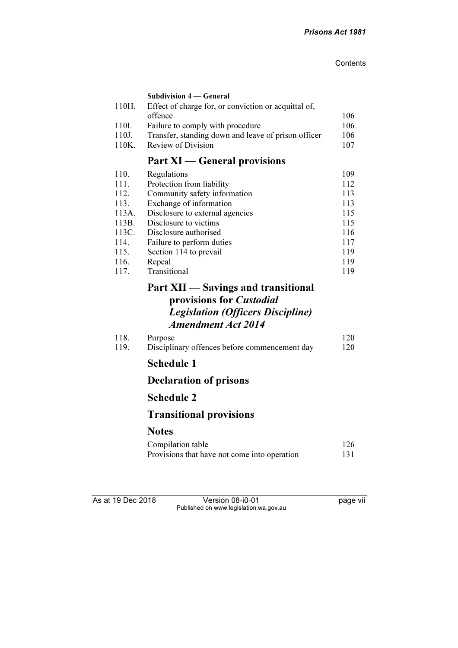| 110H.        | <b>Subdivision 4 – General</b><br>Effect of charge for, or conviction or acquittal of, |            |
|--------------|----------------------------------------------------------------------------------------|------------|
|              | offence                                                                                | 106        |
| 110I.        | Failure to comply with procedure                                                       | 106        |
| 110J.        | Transfer, standing down and leave of prison officer                                    | 106        |
| 110K.        | <b>Review of Division</b>                                                              | 107        |
|              | <b>Part XI</b> — General provisions                                                    |            |
| 110.         | Regulations                                                                            | 109        |
| 111.         | Protection from liability                                                              | 112        |
| 112.         | Community safety information                                                           | 113        |
| 113.         | Exchange of information                                                                | 113        |
| 113A.        | Disclosure to external agencies                                                        | 115        |
| 113B.        | Disclosure to victims                                                                  | 115        |
| 113C.        | Disclosure authorised                                                                  | 116        |
| 114.         | Failure to perform duties                                                              | 117        |
| 115.<br>116. | Section 114 to prevail<br>Repeal                                                       | 119<br>119 |
| 117.         | Transitional                                                                           | 119        |
|              | Part XII — Savings and transitional                                                    |            |
|              | provisions for <i>Custodial</i>                                                        |            |
|              | <b>Legislation (Officers Discipline)</b>                                               |            |
|              | <b>Amendment Act 2014</b>                                                              |            |
| 118.         | Purpose                                                                                | 120        |
| 119.         | Disciplinary offences before commencement day                                          | 120        |
|              | <b>Schedule 1</b>                                                                      |            |
|              | <b>Declaration of prisons</b>                                                          |            |
|              | <b>Schedule 2</b>                                                                      |            |
|              | <b>Transitional provisions</b>                                                         |            |
|              |                                                                                        |            |
|              | <b>Notes</b>                                                                           |            |
|              | Compilation table                                                                      | 126        |
|              | Provisions that have not come into operation                                           | 131        |
|              |                                                                                        |            |
|              |                                                                                        |            |

As at 19 Dec 2018 **Version 08-i0-01 Dec** 2018 **page vii** Published on www.legislation.wa.gov.au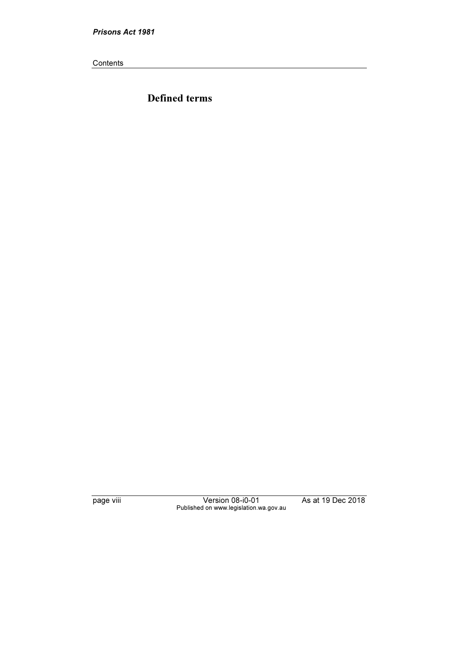Prisons Act 1981

**Contents** 

Defined terms

page viii Version 08-i0-01 As at 19 Dec 2018 Published on www.legislation.wa.gov.au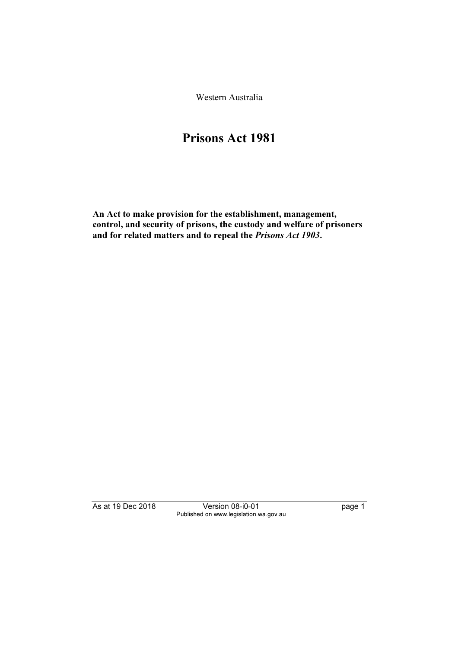Western Australia

# Prisons Act 1981

An Act to make provision for the establishment, management, control, and security of prisons, the custody and welfare of prisoners and for related matters and to repeal the Prisons Act 1903.

As at 19 Dec 2018 Version 08-i0-01 page 1 Published on www.legislation.wa.gov.au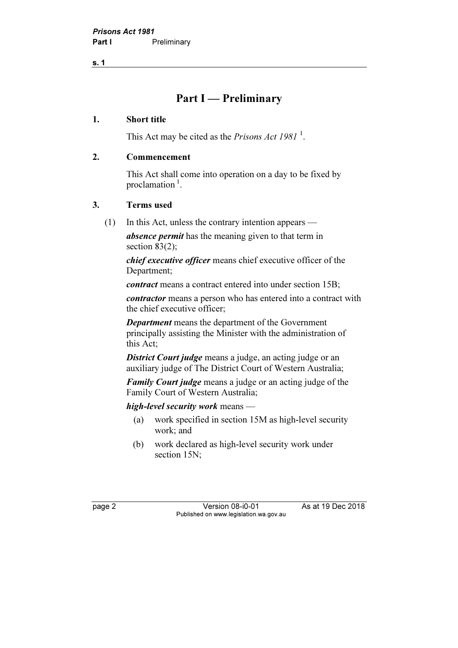s. 1

## Part I — Preliminary

#### 1. Short title

This Act may be cited as the *Prisons Act 1981*<sup>1</sup>.

#### 2. Commencement

 This Act shall come into operation on a day to be fixed by proclamation $<sup>1</sup>$ .</sup>

#### 3. Terms used

(1) In this Act, unless the contrary intention appears —

absence permit has the meaning given to that term in section 83(2);

chief executive officer means chief executive officer of the Department;

contract means a contract entered into under section 15B;

contractor means a person who has entered into a contract with the chief executive officer;

Department means the department of the Government principally assisting the Minister with the administration of this Act;

**District Court judge** means a judge, an acting judge or an auxiliary judge of The District Court of Western Australia;

Family Court judge means a judge or an acting judge of the Family Court of Western Australia;

high-level security work means —

- (a) work specified in section 15M as high-level security work; and
- (b) work declared as high-level security work under section 15N:

page 2 Version 08-i0-01 As at 19 Dec 2018 Published on www.legislation.wa.gov.au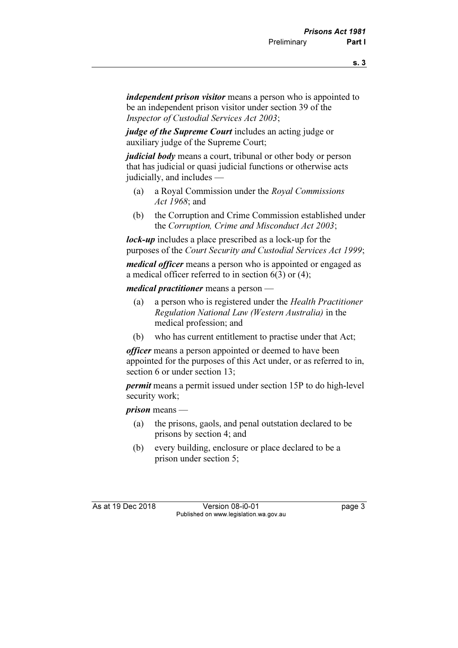independent prison visitor means a person who is appointed to be an independent prison visitor under section 39 of the Inspector of Custodial Services Act 2003;

judge of the Supreme Court includes an acting judge or auxiliary judge of the Supreme Court;

judicial body means a court, tribunal or other body or person that has judicial or quasi judicial functions or otherwise acts judicially, and includes —

- (a) a Royal Commission under the Royal Commissions Act 1968; and
- (b) the Corruption and Crime Commission established under the Corruption, Crime and Misconduct Act 2003;

lock-up includes a place prescribed as a lock-up for the purposes of the Court Security and Custodial Services Act 1999;

medical officer means a person who is appointed or engaged as a medical officer referred to in section 6(3) or (4);

medical practitioner means a person —

- (a) a person who is registered under the Health Practitioner Regulation National Law (Western Australia) in the medical profession; and
- (b) who has current entitlement to practise under that Act;

*officer* means a person appointed or deemed to have been appointed for the purposes of this Act under, or as referred to in, section 6 or under section 13;

permit means a permit issued under section 15P to do high-level security work;

prison means —

- (a) the prisons, gaols, and penal outstation declared to be prisons by section 4; and
- (b) every building, enclosure or place declared to be a prison under section 5;

As at 19 Dec 2018 Version 08-i0-01 page 3 Published on www.legislation.wa.gov.au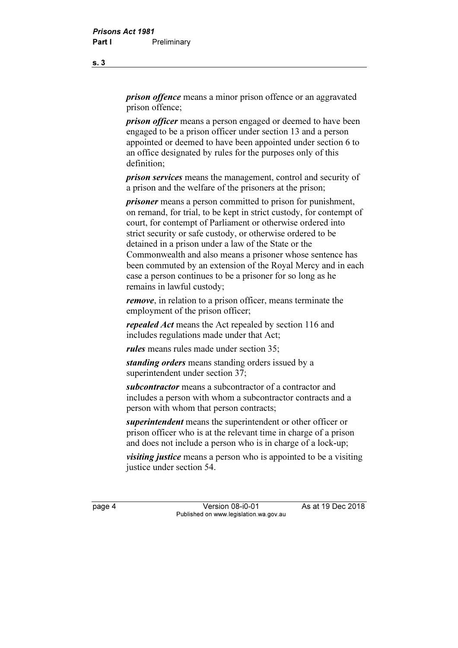*prison offence* means a minor prison offence or an aggravated prison offence;

**prison officer** means a person engaged or deemed to have been engaged to be a prison officer under section 13 and a person appointed or deemed to have been appointed under section 6 to an office designated by rules for the purposes only of this definition;

prison services means the management, control and security of a prison and the welfare of the prisoners at the prison;

prisoner means a person committed to prison for punishment, on remand, for trial, to be kept in strict custody, for contempt of court, for contempt of Parliament or otherwise ordered into strict security or safe custody, or otherwise ordered to be detained in a prison under a law of the State or the Commonwealth and also means a prisoner whose sentence has been commuted by an extension of the Royal Mercy and in each case a person continues to be a prisoner for so long as he remains in lawful custody;

remove, in relation to a prison officer, means terminate the employment of the prison officer;

repealed Act means the Act repealed by section 116 and includes regulations made under that Act;

rules means rules made under section 35;

standing orders means standing orders issued by a superintendent under section 37;

subcontractor means a subcontractor of a contractor and includes a person with whom a subcontractor contracts and a person with whom that person contracts;

superintendent means the superintendent or other officer or prison officer who is at the relevant time in charge of a prison and does not include a person who is in charge of a lock-up;

*visiting justice* means a person who is appointed to be a visiting justice under section 54.

page 4 Version 08-i0-01 As at 19 Dec 2018 Published on www.legislation.wa.gov.au

s. 3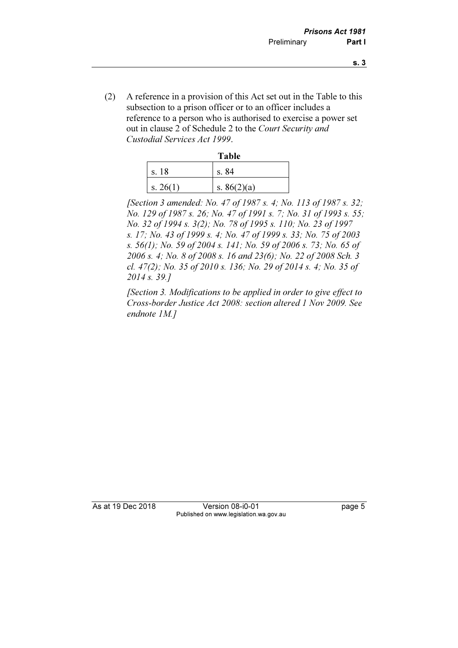- s. 3
- (2) A reference in a provision of this Act set out in the Table to this subsection to a prison officer or to an officer includes a reference to a person who is authorised to exercise a power set out in clause 2 of Schedule 2 to the Court Security and Custodial Services Act 1999.

|                  | <b>Table</b>  |
|------------------|---------------|
| s. 18            | s. 84         |
| $\vert$ s. 26(1) | s. $86(2)(a)$ |

[Section 3 amended: No. 47 of 1987 s. 4; No. 113 of 1987 s. 32; No. 129 of 1987 s. 26; No. 47 of 1991 s. 7; No. 31 of 1993 s. 55; No. 32 of 1994 s. 3(2); No. 78 of 1995 s. 110; No. 23 of 1997 s. 17; No. 43 of 1999 s. 4; No. 47 of 1999 s. 33; No. 75 of 2003 s. 56(1); No. 59 of 2004 s. 141; No. 59 of 2006 s. 73; No. 65 of 2006 s. 4; No. 8 of 2008 s. 16 and 23(6); No. 22 of 2008 Sch. 3 cl. 47(2); No. 35 of 2010 s. 136; No. 29 of 2014 s. 4; No. 35 of 2014 s. 39.]

 [Section 3. Modifications to be applied in order to give effect to Cross-border Justice Act 2008: section altered 1 Nov 2009. See endnote 1M.]

As at 19 Dec 2018 Version 08-i0-01 page 5 Published on www.legislation.wa.gov.au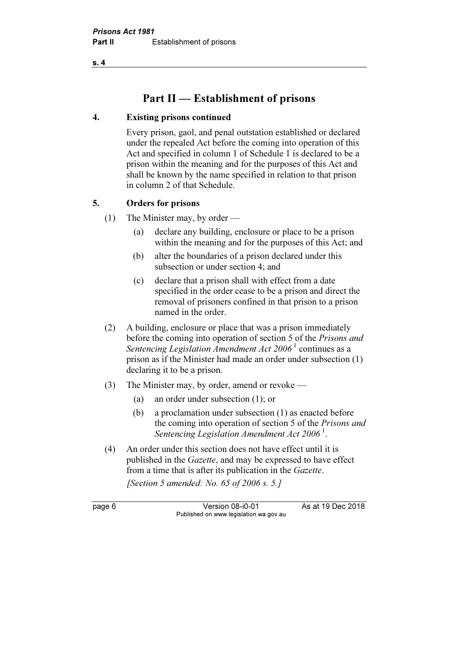s. 4

## Part II — Establishment of prisons

#### 4. Existing prisons continued

 Every prison, gaol, and penal outstation established or declared under the repealed Act before the coming into operation of this Act and specified in column 1 of Schedule 1 is declared to be a prison within the meaning and for the purposes of this Act and shall be known by the name specified in relation to that prison in column 2 of that Schedule.

#### 5. Orders for prisons

(1) The Minister may, by order —

- (a) declare any building, enclosure or place to be a prison within the meaning and for the purposes of this Act; and
- (b) alter the boundaries of a prison declared under this subsection or under section 4; and
- (c) declare that a prison shall with effect from a date specified in the order cease to be a prison and direct the removal of prisoners confined in that prison to a prison named in the order.
- (2) A building, enclosure or place that was a prison immediately before the coming into operation of section 5 of the Prisons and Sentencing Legislation Amendment Act  $2006<sup>1</sup>$  continues as a prison as if the Minister had made an order under subsection (1) declaring it to be a prison.
- (3) The Minister may, by order, amend or revoke
	- (a) an order under subsection (1); or
	- (b) a proclamation under subsection (1) as enacted before the coming into operation of section 5 of the Prisons and Sentencing Legislation Amendment Act  $2006<sup>1</sup>$ .
- (4) An order under this section does not have effect until it is published in the Gazette, and may be expressed to have effect from a time that is after its publication in the Gazette.

[Section 5 amended: No. 65 of 2006 s. 5.]

page 6 Version 08-i0-01 As at 19 Dec 2018 Published on www.legislation.wa.gov.au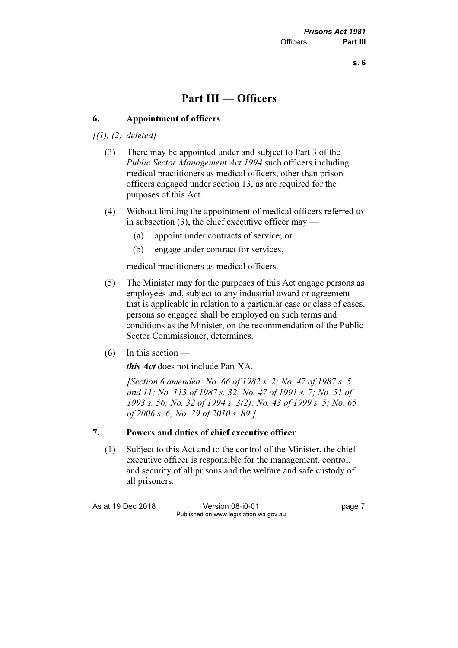## Part III — Officers

#### 6. Appointment of officers

 $\int(1)$ ,  $(2)$  deleted]

- (3) There may be appointed under and subject to Part 3 of the Public Sector Management Act 1994 such officers including medical practitioners as medical officers, other than prison officers engaged under section 13, as are required for the purposes of this Act.
- (4) Without limiting the appointment of medical officers referred to in subsection  $(3)$ , the chief executive officer may —
	- (a) appoint under contracts of service; or
	- (b) engage under contract for services,

medical practitioners as medical officers.

- (5) The Minister may for the purposes of this Act engage persons as employees and, subject to any industrial award or agreement that is applicable in relation to a particular case or class of cases, persons so engaged shall be employed on such terms and conditions as the Minister, on the recommendation of the Public Sector Commissioner, determines.
- $(6)$  In this section —

this Act does not include Part XA.

[Section 6 amended: No. 66 of 1982 s. 2; No. 47 of 1987 s. 5 and 11; No. 113 of 1987 s. 32; No. 47 of 1991 s. 7; No. 31 of 1993 s. 56; No. 32 of 1994 s. 3(2); No. 43 of 1999 s. 5; No. 65 of 2006 s. 6; No. 39 of 2010 s. 89.]

#### 7. Powers and duties of chief executive officer

 (1) Subject to this Act and to the control of the Minister, the chief executive officer is responsible for the management, control, and security of all prisons and the welfare and safe custody of all prisoners.

As at 19 Dec 2018 Version 08-i0-01 page 7 Published on www.legislation.wa.gov.au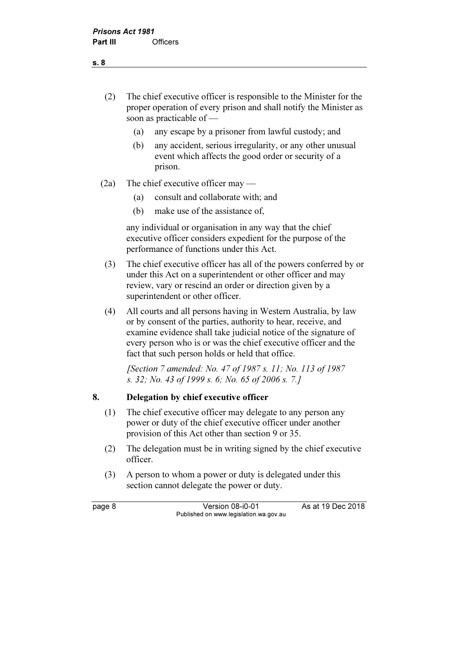- (2) The chief executive officer is responsible to the Minister for the proper operation of every prison and shall notify the Minister as soon as practicable of —
	- (a) any escape by a prisoner from lawful custody; and
	- (b) any accident, serious irregularity, or any other unusual event which affects the good order or security of a prison.
- (2a) The chief executive officer may
	- (a) consult and collaborate with; and
	- (b) make use of the assistance of,

 any individual or organisation in any way that the chief executive officer considers expedient for the purpose of the performance of functions under this Act.

- (3) The chief executive officer has all of the powers conferred by or under this Act on a superintendent or other officer and may review, vary or rescind an order or direction given by a superintendent or other officer.
- (4) All courts and all persons having in Western Australia, by law or by consent of the parties, authority to hear, receive, and examine evidence shall take judicial notice of the signature of every person who is or was the chief executive officer and the fact that such person holds or held that office.

 [Section 7 amended: No. 47 of 1987 s. 11; No. 113 of 1987 s. 32; No. 43 of 1999 s. 6; No. 65 of 2006 s. 7.]

#### 8. Delegation by chief executive officer

- (1) The chief executive officer may delegate to any person any power or duty of the chief executive officer under another provision of this Act other than section 9 or 35.
- (2) The delegation must be in writing signed by the chief executive officer.
- (3) A person to whom a power or duty is delegated under this section cannot delegate the power or duty.

page 8 Version 08-i0-01 As at 19 Dec 2018 Published on www.legislation.wa.gov.au

s. 8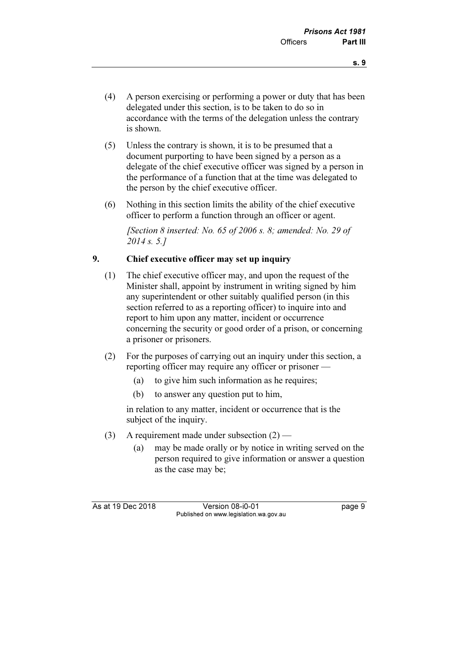- (4) A person exercising or performing a power or duty that has been delegated under this section, is to be taken to do so in accordance with the terms of the delegation unless the contrary is shown.
- (5) Unless the contrary is shown, it is to be presumed that a document purporting to have been signed by a person as a delegate of the chief executive officer was signed by a person in the performance of a function that at the time was delegated to the person by the chief executive officer.
- (6) Nothing in this section limits the ability of the chief executive officer to perform a function through an officer or agent.

[Section 8 inserted: No. 65 of 2006 s. 8; amended: No. 29 of 2014 s. 5.1

### 9. Chief executive officer may set up inquiry

- (1) The chief executive officer may, and upon the request of the Minister shall, appoint by instrument in writing signed by him any superintendent or other suitably qualified person (in this section referred to as a reporting officer) to inquire into and report to him upon any matter, incident or occurrence concerning the security or good order of a prison, or concerning a prisoner or prisoners.
- (2) For the purposes of carrying out an inquiry under this section, a reporting officer may require any officer or prisoner —
	- (a) to give him such information as he requires;
	- (b) to answer any question put to him,

 in relation to any matter, incident or occurrence that is the subject of the inquiry.

- (3) A requirement made under subsection  $(2)$ 
	- (a) may be made orally or by notice in writing served on the person required to give information or answer a question as the case may be;

As at 19 Dec 2018 Version 08-i0-01 page 9 Published on www.legislation.wa.gov.au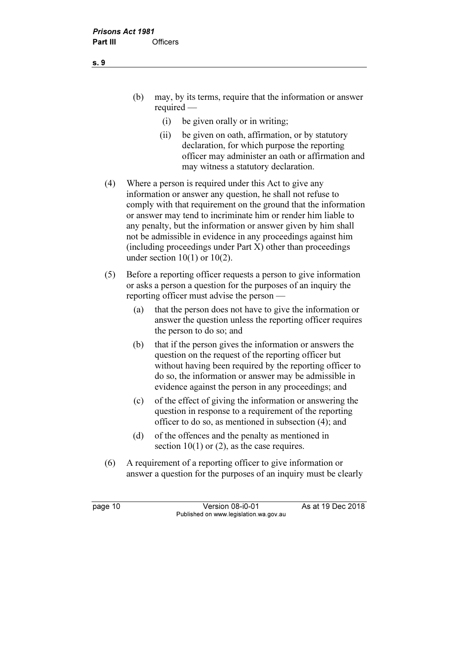- (b) may, by its terms, require that the information or answer required —
	- (i) be given orally or in writing;
	- (ii) be given on oath, affirmation, or by statutory declaration, for which purpose the reporting officer may administer an oath or affirmation and may witness a statutory declaration.
- (4) Where a person is required under this Act to give any information or answer any question, he shall not refuse to comply with that requirement on the ground that the information or answer may tend to incriminate him or render him liable to any penalty, but the information or answer given by him shall not be admissible in evidence in any proceedings against him (including proceedings under Part X) other than proceedings under section  $10(1)$  or  $10(2)$ .
- (5) Before a reporting officer requests a person to give information or asks a person a question for the purposes of an inquiry the reporting officer must advise the person —
	- (a) that the person does not have to give the information or answer the question unless the reporting officer requires the person to do so; and
	- (b) that if the person gives the information or answers the question on the request of the reporting officer but without having been required by the reporting officer to do so, the information or answer may be admissible in evidence against the person in any proceedings; and
	- (c) of the effect of giving the information or answering the question in response to a requirement of the reporting officer to do so, as mentioned in subsection (4); and
	- (d) of the offences and the penalty as mentioned in section  $10(1)$  or  $(2)$ , as the case requires.
- (6) A requirement of a reporting officer to give information or answer a question for the purposes of an inquiry must be clearly

page 10 Version 08-i0-01 As at 19 Dec 2018 Published on www.legislation.wa.gov.au

s. 9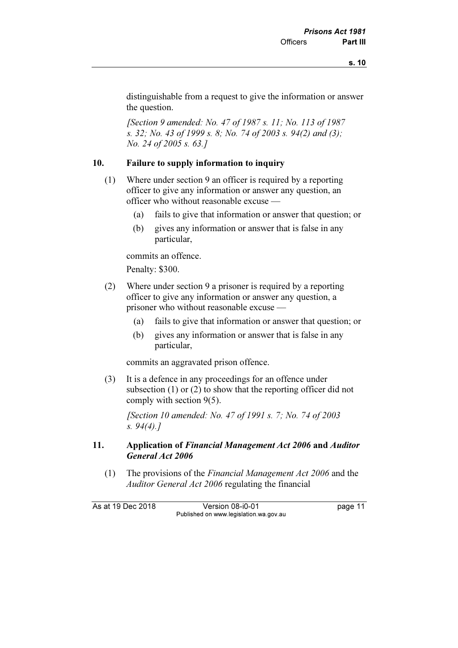distinguishable from a request to give the information or answer the question.

 [Section 9 amended: No. 47 of 1987 s. 11; No. 113 of 1987 s. 32; No. 43 of 1999 s. 8; No. 74 of 2003 s. 94(2) and (3); No. 24 of 2005 s. 63.]

#### 10. Failure to supply information to inquiry

- (1) Where under section 9 an officer is required by a reporting officer to give any information or answer any question, an officer who without reasonable excuse —
	- (a) fails to give that information or answer that question; or
	- (b) gives any information or answer that is false in any particular,

commits an offence.

Penalty: \$300.

- (2) Where under section 9 a prisoner is required by a reporting officer to give any information or answer any question, a prisoner who without reasonable excuse —
	- (a) fails to give that information or answer that question; or
	- (b) gives any information or answer that is false in any particular,

commits an aggravated prison offence.

 (3) It is a defence in any proceedings for an offence under subsection (1) or (2) to show that the reporting officer did not comply with section 9(5).

 [Section 10 amended: No. 47 of 1991 s. 7; No. 74 of 2003 s.  $94(4)$ .]

#### 11. Application of Financial Management Act 2006 and Auditor General Act 2006

 (1) The provisions of the Financial Management Act 2006 and the Auditor General Act 2006 regulating the financial

As at 19 Dec 2018 Version 08-i0-01 page 11 Published on www.legislation.wa.gov.au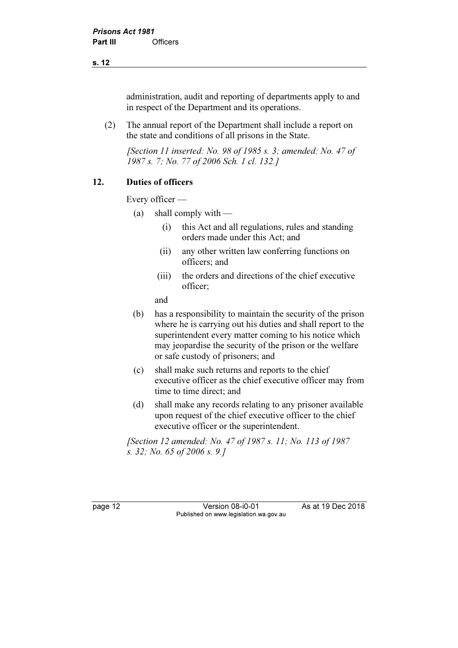#### s. 12

administration, audit and reporting of departments apply to and in respect of the Department and its operations.

 (2) The annual report of the Department shall include a report on the state and conditions of all prisons in the State.

 [Section 11 inserted: No. 98 of 1985 s. 3; amended: No. 47 of 1987 s. 7; No. 77 of 2006 Sch. 1 cl. 132.]

#### 12. Duties of officers

Every officer —

- (a) shall comply with  $-$ 
	- (i) this Act and all regulations, rules and standing orders made under this Act; and
	- (ii) any other written law conferring functions on officers; and
	- (iii) the orders and directions of the chief executive officer;

and

- (b) has a responsibility to maintain the security of the prison where he is carrying out his duties and shall report to the superintendent every matter coming to his notice which may jeopardise the security of the prison or the welfare or safe custody of prisoners; and
- (c) shall make such returns and reports to the chief executive officer as the chief executive officer may from time to time direct; and
- (d) shall make any records relating to any prisoner available upon request of the chief executive officer to the chief executive officer or the superintendent.

 [Section 12 amended: No. 47 of 1987 s. 11; No. 113 of 1987 s. 32; No. 65 of 2006 s. 9.]

page 12 Version 08-i0-01 As at 19 Dec 2018 Published on www.legislation.wa.gov.au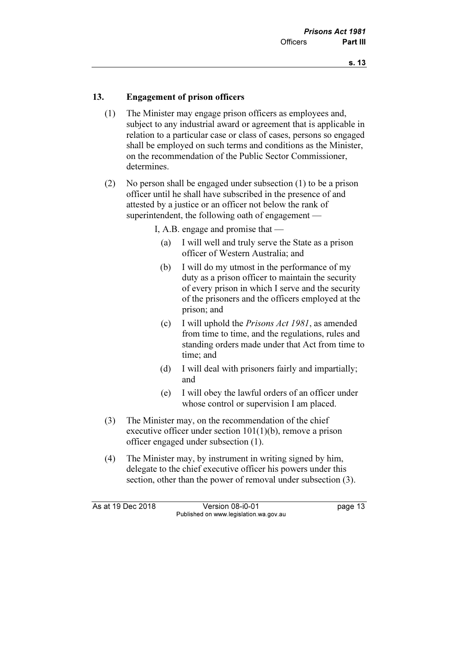#### 13. Engagement of prison officers

- (1) The Minister may engage prison officers as employees and, subject to any industrial award or agreement that is applicable in relation to a particular case or class of cases, persons so engaged shall be employed on such terms and conditions as the Minister, on the recommendation of the Public Sector Commissioner, determines.
- (2) No person shall be engaged under subsection (1) to be a prison officer until he shall have subscribed in the presence of and attested by a justice or an officer not below the rank of superintendent, the following oath of engagement —

I, A.B. engage and promise that —

- (a) I will well and truly serve the State as a prison officer of Western Australia; and
- (b) I will do my utmost in the performance of my duty as a prison officer to maintain the security of every prison in which I serve and the security of the prisoners and the officers employed at the prison; and
- (c) I will uphold the Prisons Act 1981, as amended from time to time, and the regulations, rules and standing orders made under that Act from time to time; and
- (d) I will deal with prisoners fairly and impartially; and
- (e) I will obey the lawful orders of an officer under whose control or supervision I am placed.
- (3) The Minister may, on the recommendation of the chief executive officer under section 101(1)(b), remove a prison officer engaged under subsection (1).
- (4) The Minister may, by instrument in writing signed by him, delegate to the chief executive officer his powers under this section, other than the power of removal under subsection (3).

As at 19 Dec 2018 Version 08-i0-01 bagge 13 Published on www.legislation.wa.gov.au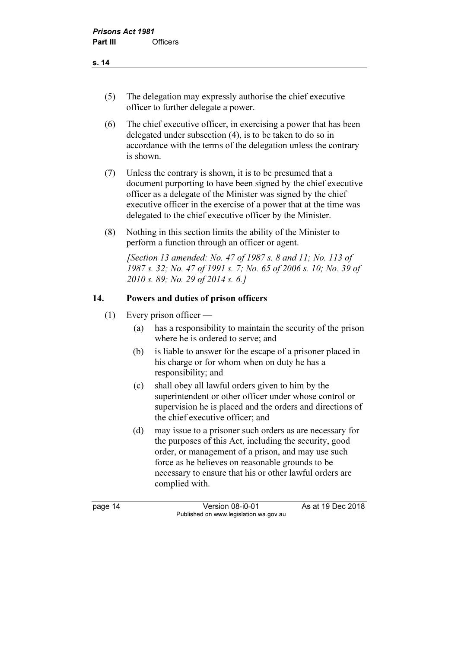- (5) The delegation may expressly authorise the chief executive officer to further delegate a power.
- (6) The chief executive officer, in exercising a power that has been delegated under subsection (4), is to be taken to do so in accordance with the terms of the delegation unless the contrary is shown.
- (7) Unless the contrary is shown, it is to be presumed that a document purporting to have been signed by the chief executive officer as a delegate of the Minister was signed by the chief executive officer in the exercise of a power that at the time was delegated to the chief executive officer by the Minister.
- (8) Nothing in this section limits the ability of the Minister to perform a function through an officer or agent.

 [Section 13 amended: No. 47 of 1987 s. 8 and 11; No. 113 of 1987 s. 32; No. 47 of 1991 s. 7; No. 65 of 2006 s. 10; No. 39 of 2010 s. 89; No. 29 of 2014 s. 6.]

#### 14. Powers and duties of prison officers

- (1) Every prison officer
	- (a) has a responsibility to maintain the security of the prison where he is ordered to serve; and
	- (b) is liable to answer for the escape of a prisoner placed in his charge or for whom when on duty he has a responsibility; and
	- (c) shall obey all lawful orders given to him by the superintendent or other officer under whose control or supervision he is placed and the orders and directions of the chief executive officer; and
	- (d) may issue to a prisoner such orders as are necessary for the purposes of this Act, including the security, good order, or management of a prison, and may use such force as he believes on reasonable grounds to be necessary to ensure that his or other lawful orders are complied with.

page 14 Version 08-i0-01 As at 19 Dec 2018 Published on www.legislation.wa.gov.au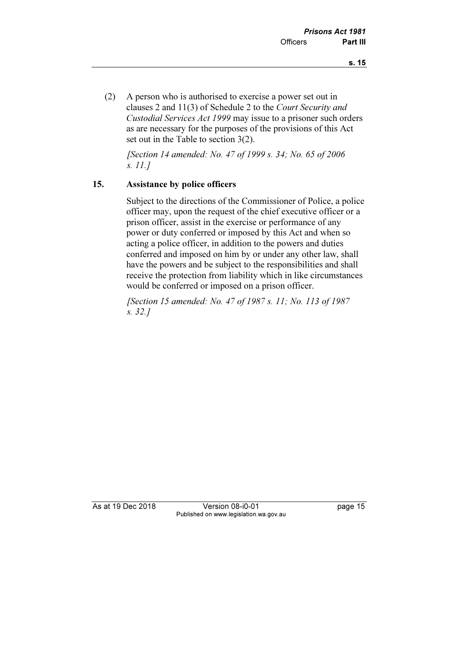(2) A person who is authorised to exercise a power set out in clauses 2 and 11(3) of Schedule 2 to the Court Security and Custodial Services Act 1999 may issue to a prisoner such orders as are necessary for the purposes of the provisions of this Act set out in the Table to section 3(2).

 [Section 14 amended: No. 47 of 1999 s. 34; No. 65 of 2006 s. 11.]

#### 15. Assistance by police officers

 Subject to the directions of the Commissioner of Police, a police officer may, upon the request of the chief executive officer or a prison officer, assist in the exercise or performance of any power or duty conferred or imposed by this Act and when so acting a police officer, in addition to the powers and duties conferred and imposed on him by or under any other law, shall have the powers and be subject to the responsibilities and shall receive the protection from liability which in like circumstances would be conferred or imposed on a prison officer.

 [Section 15 amended: No. 47 of 1987 s. 11; No. 113 of 1987 s. 32.]

As at 19 Dec 2018 Version 08-i0-01 page 15 Published on www.legislation.wa.gov.au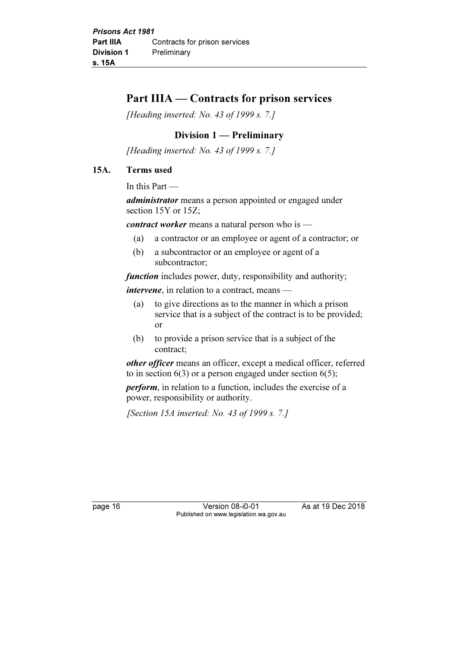## Part IIIA — Contracts for prison services

[Heading inserted: No. 43 of 1999 s. 7.]

## Division 1 — Preliminary

[Heading inserted: No. 43 of 1999 s. 7.]

#### 15A. Terms used

In this Part —

administrator means a person appointed or engaged under section 15Y or 15Z;

contract worker means a natural person who is —

- (a) a contractor or an employee or agent of a contractor; or
- (b) a subcontractor or an employee or agent of a subcontractor;

function includes power, duty, responsibility and authority;

intervene, in relation to a contract, means —

- (a) to give directions as to the manner in which a prison service that is a subject of the contract is to be provided; or
- (b) to provide a prison service that is a subject of the contract;

other officer means an officer, except a medical officer, referred to in section  $6(3)$  or a person engaged under section  $6(5)$ ;

perform, in relation to a function, includes the exercise of a power, responsibility or authority.

[Section 15A inserted: No. 43 of 1999 s. 7.]

page 16 Version 08-i0-01 As at 19 Dec 2018 Published on www.legislation.wa.gov.au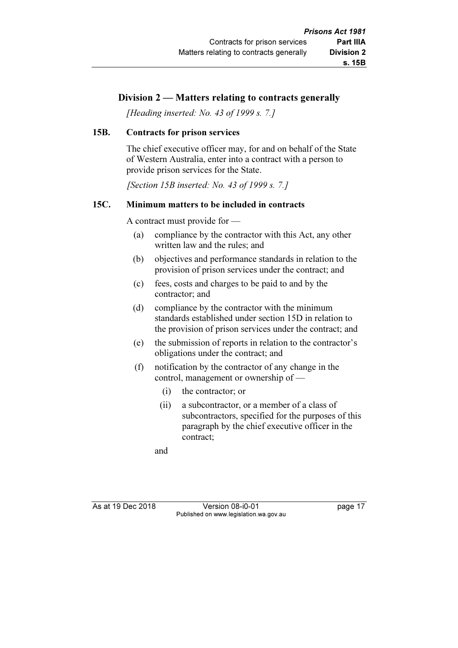### Division 2 — Matters relating to contracts generally

[Heading inserted: No. 43 of 1999 s. 7.]

#### 15B. Contracts for prison services

 The chief executive officer may, for and on behalf of the State of Western Australia, enter into a contract with a person to provide prison services for the State.

[Section 15B inserted: No. 43 of 1999 s. 7.]

#### 15C. Minimum matters to be included in contracts

A contract must provide for —

- (a) compliance by the contractor with this Act, any other written law and the rules; and
- (b) objectives and performance standards in relation to the provision of prison services under the contract; and
- (c) fees, costs and charges to be paid to and by the contractor; and
- (d) compliance by the contractor with the minimum standards established under section 15D in relation to the provision of prison services under the contract; and
- (e) the submission of reports in relation to the contractor's obligations under the contract; and
- (f) notification by the contractor of any change in the control, management or ownership of —
	- (i) the contractor; or
	- (ii) a subcontractor, or a member of a class of subcontractors, specified for the purposes of this paragraph by the chief executive officer in the contract;

and

As at 19 Dec 2018 Version 08-i0-01 page 17 Published on www.legislation.wa.gov.au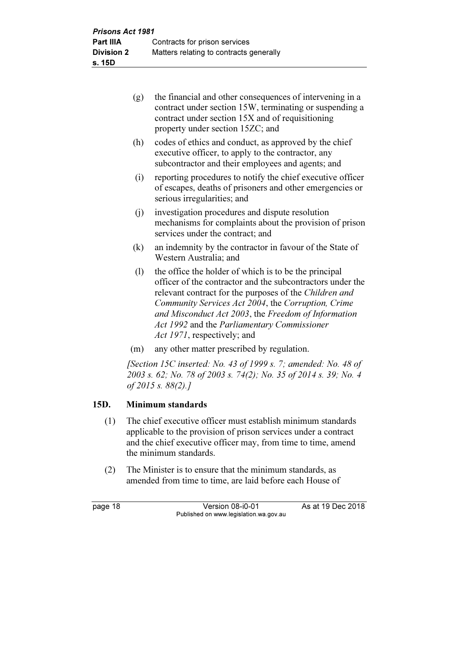- (g) the financial and other consequences of intervening in a contract under section 15W, terminating or suspending a contract under section 15X and of requisitioning property under section 15ZC; and
- (h) codes of ethics and conduct, as approved by the chief executive officer, to apply to the contractor, any subcontractor and their employees and agents; and
- (i) reporting procedures to notify the chief executive officer of escapes, deaths of prisoners and other emergencies or serious irregularities; and
- (j) investigation procedures and dispute resolution mechanisms for complaints about the provision of prison services under the contract; and
- (k) an indemnity by the contractor in favour of the State of Western Australia; and
- (l) the office the holder of which is to be the principal officer of the contractor and the subcontractors under the relevant contract for the purposes of the Children and Community Services Act 2004, the Corruption, Crime and Misconduct Act 2003, the Freedom of Information Act 1992 and the Parliamentary Commissioner Act 1971, respectively; and
- (m) any other matter prescribed by regulation.

 [Section 15C inserted: No. 43 of 1999 s. 7; amended: No. 48 of 2003 s. 62; No. 78 of 2003 s. 74(2); No. 35 of 2014 s. 39; No. 4 of 2015 s. 88(2).]

## 15D. Minimum standards

- (1) The chief executive officer must establish minimum standards applicable to the provision of prison services under a contract and the chief executive officer may, from time to time, amend the minimum standards.
- (2) The Minister is to ensure that the minimum standards, as amended from time to time, are laid before each House of

page 18 **Version 08-i0-01** As at 19 Dec 2018 Published on www.legislation.wa.gov.au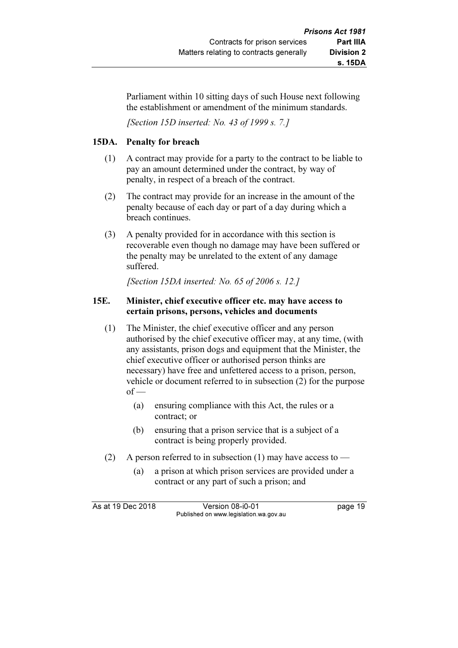Parliament within 10 sitting days of such House next following the establishment or amendment of the minimum standards.

[Section 15D inserted: No. 43 of 1999 s. 7.]

#### 15DA. Penalty for breach

- (1) A contract may provide for a party to the contract to be liable to pay an amount determined under the contract, by way of penalty, in respect of a breach of the contract.
- (2) The contract may provide for an increase in the amount of the penalty because of each day or part of a day during which a breach continues.
- (3) A penalty provided for in accordance with this section is recoverable even though no damage may have been suffered or the penalty may be unrelated to the extent of any damage suffered.

[Section 15DA inserted: No. 65 of 2006 s. 12.]

#### 15E. Minister, chief executive officer etc. may have access to certain prisons, persons, vehicles and documents

- (1) The Minister, the chief executive officer and any person authorised by the chief executive officer may, at any time, (with any assistants, prison dogs and equipment that the Minister, the chief executive officer or authorised person thinks are necessary) have free and unfettered access to a prison, person, vehicle or document referred to in subsection (2) for the purpose  $of -$ 
	- (a) ensuring compliance with this Act, the rules or a contract; or
	- (b) ensuring that a prison service that is a subject of a contract is being properly provided.
- (2) A person referred to in subsection (1) may have access to  $-$ 
	- (a) a prison at which prison services are provided under a contract or any part of such a prison; and

As at 19 Dec 2018 Version 08-i0-01 bagge 19 Published on www.legislation.wa.gov.au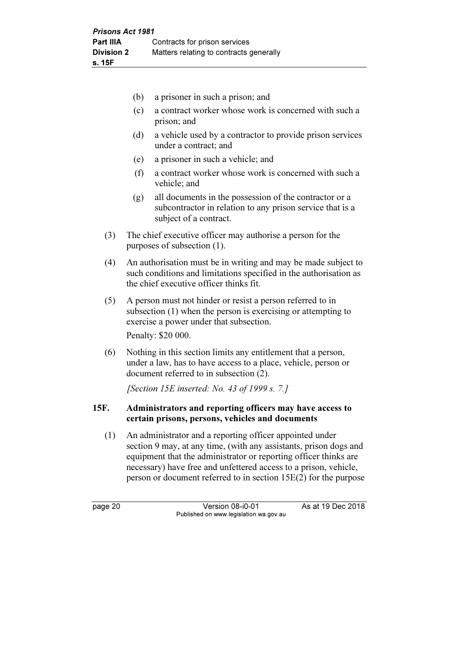- (b) a prisoner in such a prison; and
- (c) a contract worker whose work is concerned with such a prison; and
- (d) a vehicle used by a contractor to provide prison services under a contract; and
- (e) a prisoner in such a vehicle; and
- (f) a contract worker whose work is concerned with such a vehicle; and
- (g) all documents in the possession of the contractor or a subcontractor in relation to any prison service that is a subject of a contract.
- (3) The chief executive officer may authorise a person for the purposes of subsection (1).
- (4) An authorisation must be in writing and may be made subject to such conditions and limitations specified in the authorisation as the chief executive officer thinks fit.
- (5) A person must not hinder or resist a person referred to in subsection (1) when the person is exercising or attempting to exercise a power under that subsection.

Penalty: \$20 000.

 (6) Nothing in this section limits any entitlement that a person, under a law, has to have access to a place, vehicle, person or document referred to in subsection (2).

[Section 15E inserted: No. 43 of 1999 s. 7.]

#### 15F. Administrators and reporting officers may have access to certain prisons, persons, vehicles and documents

 (1) An administrator and a reporting officer appointed under section 9 may, at any time, (with any assistants, prison dogs and equipment that the administrator or reporting officer thinks are necessary) have free and unfettered access to a prison, vehicle, person or document referred to in section 15E(2) for the purpose

page 20 **Version 08-i0-01** As at 19 Dec 2018 Published on www.legislation.wa.gov.au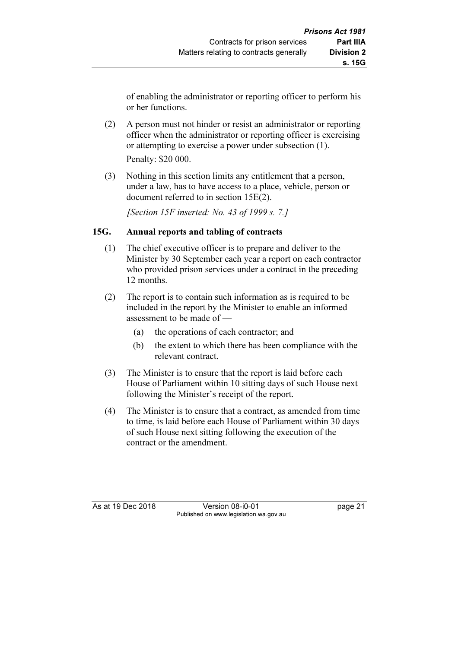of enabling the administrator or reporting officer to perform his or her functions.

- (2) A person must not hinder or resist an administrator or reporting officer when the administrator or reporting officer is exercising or attempting to exercise a power under subsection (1). Penalty: \$20 000.
- (3) Nothing in this section limits any entitlement that a person, under a law, has to have access to a place, vehicle, person or document referred to in section 15E(2).

[Section 15F inserted: No. 43 of 1999 s. 7.]

#### 15G. Annual reports and tabling of contracts

- (1) The chief executive officer is to prepare and deliver to the Minister by 30 September each year a report on each contractor who provided prison services under a contract in the preceding 12 months.
- (2) The report is to contain such information as is required to be included in the report by the Minister to enable an informed assessment to be made of —
	- (a) the operations of each contractor; and
	- (b) the extent to which there has been compliance with the relevant contract.
- (3) The Minister is to ensure that the report is laid before each House of Parliament within 10 sitting days of such House next following the Minister's receipt of the report.
- (4) The Minister is to ensure that a contract, as amended from time to time, is laid before each House of Parliament within 30 days of such House next sitting following the execution of the contract or the amendment.

As at 19 Dec 2018 Version 08-i0-01 page 21 Published on www.legislation.wa.gov.au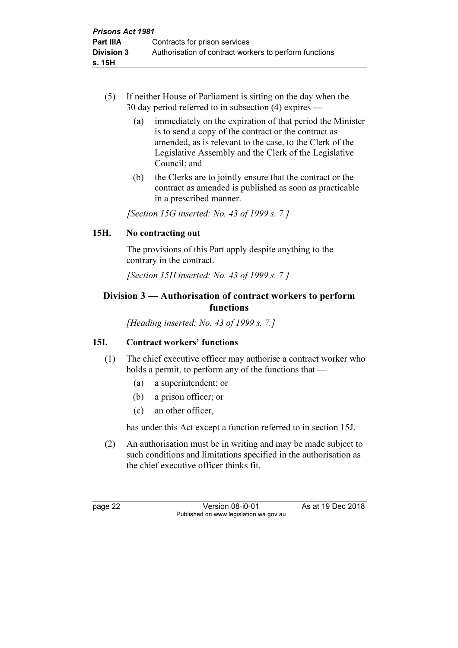- (5) If neither House of Parliament is sitting on the day when the 30 day period referred to in subsection (4) expires —
	- (a) immediately on the expiration of that period the Minister is to send a copy of the contract or the contract as amended, as is relevant to the case, to the Clerk of the Legislative Assembly and the Clerk of the Legislative Council; and
	- (b) the Clerks are to jointly ensure that the contract or the contract as amended is published as soon as practicable in a prescribed manner.

[Section 15G inserted: No. 43 of 1999 s. 7.]

#### 15H. No contracting out

 The provisions of this Part apply despite anything to the contrary in the contract.

[Section 15H inserted: No. 43 of 1999 s. 7.]

## Division 3 — Authorisation of contract workers to perform functions

[Heading inserted: No. 43 of 1999 s. 7.]

#### 15I. Contract workers' functions

- (1) The chief executive officer may authorise a contract worker who holds a permit, to perform any of the functions that —
	- (a) a superintendent; or
	- (b) a prison officer; or
	- (c) an other officer,

has under this Act except a function referred to in section 15J.

 (2) An authorisation must be in writing and may be made subject to such conditions and limitations specified in the authorisation as the chief executive officer thinks fit.

page 22 Version 08-i0-01 As at 19 Dec 2018 Published on www.legislation.wa.gov.au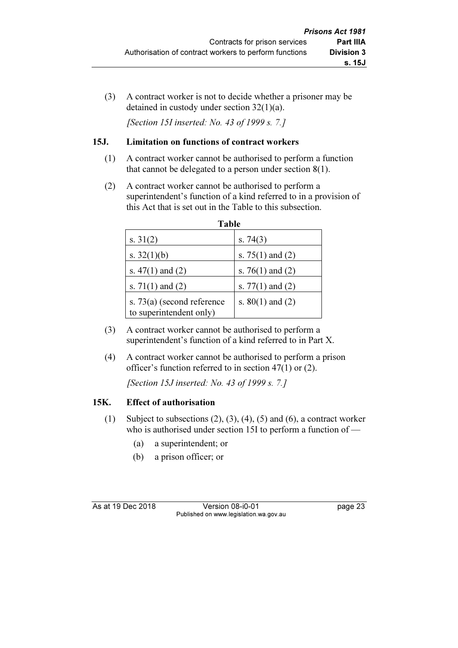(3) A contract worker is not to decide whether a prisoner may be detained in custody under section 32(1)(a).

[Section 15I inserted: No. 43 of 1999 s. 7.]

### 15J. Limitation on functions of contract workers

- (1) A contract worker cannot be authorised to perform a function that cannot be delegated to a person under section 8(1).
- (2) A contract worker cannot be authorised to perform a superintendent's function of a kind referred to in a provision of this Act that is set out in the Table to this subsection.

| Table                                                   |                      |
|---------------------------------------------------------|----------------------|
| s. $31(2)$                                              | s. $74(3)$           |
| s. $32(1)(b)$                                           | s. $75(1)$ and $(2)$ |
| s. $47(1)$ and $(2)$                                    | s. 76(1) and (2)     |
| s. $71(1)$ and $(2)$                                    | s. $77(1)$ and $(2)$ |
| s. $73(a)$ (second reference<br>to superintendent only) | s. $80(1)$ and $(2)$ |

- (3) A contract worker cannot be authorised to perform a superintendent's function of a kind referred to in Part X.
- (4) A contract worker cannot be authorised to perform a prison officer's function referred to in section 47(1) or (2).

[Section 15J inserted: No. 43 of 1999 s. 7.]

## 15K. Effect of authorisation

- (1) Subject to subsections  $(2)$ ,  $(3)$ ,  $(4)$ ,  $(5)$  and  $(6)$ , a contract worker who is authorised under section 15I to perform a function of —
	- (a) a superintendent; or
	- (b) a prison officer; or

As at 19 Dec 2018 Version 08-i0-01 page 23 Published on www.legislation.wa.gov.au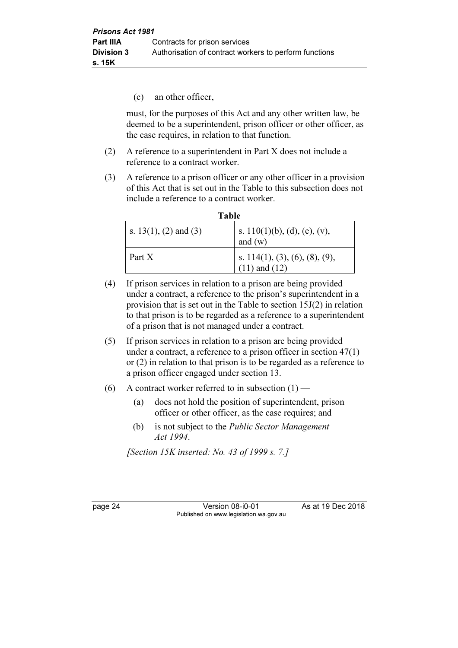(c) an other officer,

 must, for the purposes of this Act and any other written law, be deemed to be a superintendent, prison officer or other officer, as the case requires, in relation to that function.

- (2) A reference to a superintendent in Part X does not include a reference to a contract worker.
- (3) A reference to a prison officer or any other officer in a provision of this Act that is set out in the Table to this subsection does not include a reference to a contract worker.

| Table                 |                                              |
|-----------------------|----------------------------------------------|
| s. 13(1), (2) and (3) | s. $110(1)(b)$ , (d), (e), (v),<br>and $(w)$ |
| Part X                | s. 114(1), (3), (6), (8), (9), (11) and (12) |

- (4) If prison services in relation to a prison are being provided under a contract, a reference to the prison's superintendent in a provision that is set out in the Table to section 15J(2) in relation to that prison is to be regarded as a reference to a superintendent of a prison that is not managed under a contract.
- (5) If prison services in relation to a prison are being provided under a contract, a reference to a prison officer in section 47(1) or (2) in relation to that prison is to be regarded as a reference to a prison officer engaged under section 13.
- (6) A contract worker referred to in subsection  $(1)$ 
	- (a) does not hold the position of superintendent, prison officer or other officer, as the case requires; and
	- (b) is not subject to the Public Sector Management Act 1994.

[Section 15K inserted: No. 43 of 1999 s. 7.]

page 24 Version 08-i0-01 As at 19 Dec 2018 Published on www.legislation.wa.gov.au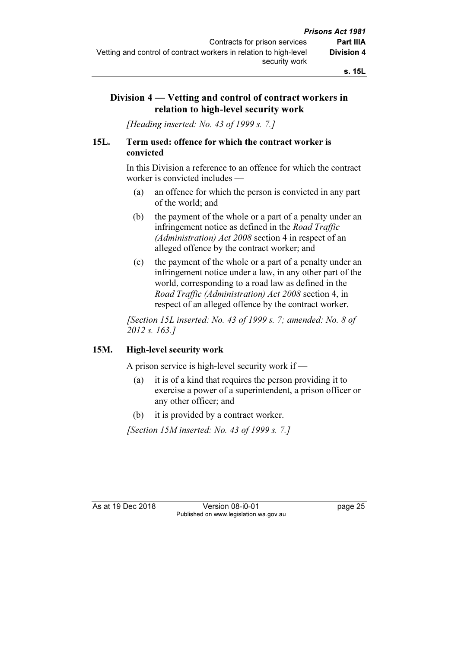## Division 4 — Vetting and control of contract workers in relation to high-level security work

[Heading inserted: No. 43 of 1999 s. 7.]

#### 15L. Term used: offence for which the contract worker is convicted

 In this Division a reference to an offence for which the contract worker is convicted includes —

- (a) an offence for which the person is convicted in any part of the world; and
- (b) the payment of the whole or a part of a penalty under an infringement notice as defined in the *Road Traffic* (Administration) Act 2008 section 4 in respect of an alleged offence by the contract worker; and
- (c) the payment of the whole or a part of a penalty under an infringement notice under a law, in any other part of the world, corresponding to a road law as defined in the Road Traffic (Administration) Act 2008 section 4, in respect of an alleged offence by the contract worker.

 [Section 15L inserted: No. 43 of 1999 s. 7; amended: No. 8 of 2012 s. 163.]

#### 15M. High-level security work

A prison service is high-level security work if —

- (a) it is of a kind that requires the person providing it to exercise a power of a superintendent, a prison officer or any other officer; and
- (b) it is provided by a contract worker.

[Section 15M inserted: No. 43 of 1999 s. 7.]

As at 19 Dec 2018 Version 08-i0-01 page 25 Published on www.legislation.wa.gov.au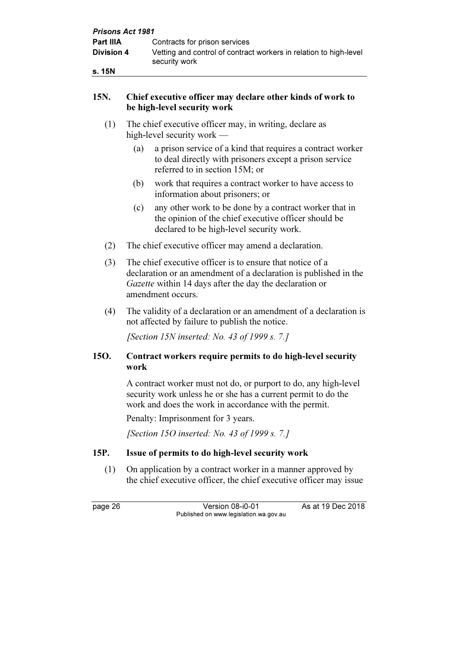| <b>Prisons Act 1981</b> |                                                                                    |
|-------------------------|------------------------------------------------------------------------------------|
| <b>Part IIIA</b>        | Contracts for prison services                                                      |
| <b>Division 4</b>       | Vetting and control of contract workers in relation to high-level<br>security work |
| s. 15N                  |                                                                                    |

#### 15N. Chief executive officer may declare other kinds of work to be high-level security work

- (1) The chief executive officer may, in writing, declare as high-level security work —
	- (a) a prison service of a kind that requires a contract worker to deal directly with prisoners except a prison service referred to in section 15M; or
	- (b) work that requires a contract worker to have access to information about prisoners; or
	- (c) any other work to be done by a contract worker that in the opinion of the chief executive officer should be declared to be high-level security work.
- (2) The chief executive officer may amend a declaration.
- (3) The chief executive officer is to ensure that notice of a declaration or an amendment of a declaration is published in the Gazette within 14 days after the day the declaration or amendment occurs.
- (4) The validity of a declaration or an amendment of a declaration is not affected by failure to publish the notice.

[Section 15N inserted: No. 43 of 1999 s. 7.]

### 15O. Contract workers require permits to do high-level security work

 A contract worker must not do, or purport to do, any high-level security work unless he or she has a current permit to do the work and does the work in accordance with the permit.

Penalty: Imprisonment for 3 years.

[Section 150 inserted: No. 43 of 1999 s. 7.]

## 15P. Issue of permits to do high-level security work

 (1) On application by a contract worker in a manner approved by the chief executive officer, the chief executive officer may issue

page 26 Version 08-i0-01 As at 19 Dec 2018 Published on www.legislation.wa.gov.au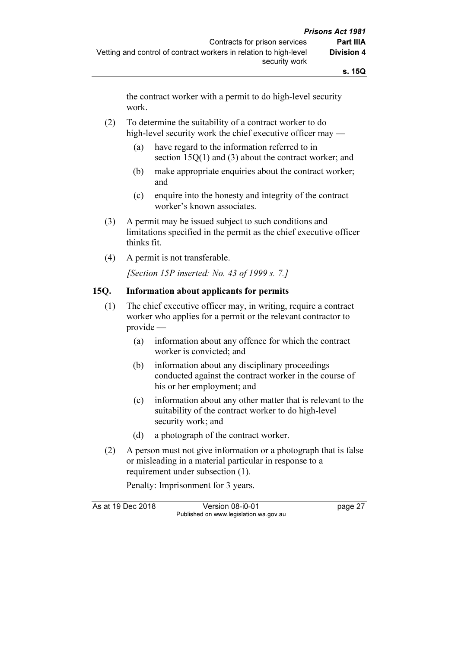the contract worker with a permit to do high-level security work.

#### (2) To determine the suitability of a contract worker to do high-level security work the chief executive officer may —

- (a) have regard to the information referred to in section 15Q(1) and (3) about the contract worker; and
- (b) make appropriate enquiries about the contract worker; and
- (c) enquire into the honesty and integrity of the contract worker's known associates.
- (3) A permit may be issued subject to such conditions and limitations specified in the permit as the chief executive officer thinks fit.
- (4) A permit is not transferable.

[Section 15P inserted: No. 43 of 1999 s. 7.]

### 15Q. Information about applicants for permits

- (1) The chief executive officer may, in writing, require a contract worker who applies for a permit or the relevant contractor to provide —
	- (a) information about any offence for which the contract worker is convicted; and
	- (b) information about any disciplinary proceedings conducted against the contract worker in the course of his or her employment; and
	- (c) information about any other matter that is relevant to the suitability of the contract worker to do high-level security work; and
	- (d) a photograph of the contract worker.
- (2) A person must not give information or a photograph that is false or misleading in a material particular in response to a requirement under subsection (1).

Penalty: Imprisonment for 3 years.

As at 19 Dec 2018 Version 08-i0-01 page 27 Published on www.legislation.wa.gov.au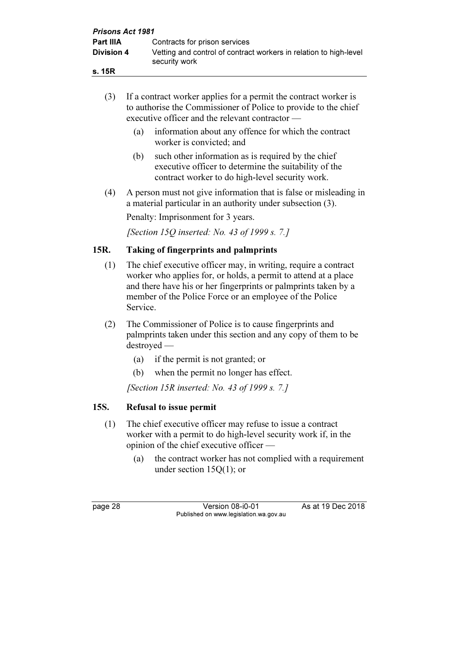| <b>Prisons Act 1981</b> |                                                                                    |  |  |  |
|-------------------------|------------------------------------------------------------------------------------|--|--|--|
| <b>Part IIIA</b>        | Contracts for prison services                                                      |  |  |  |
| <b>Division 4</b>       | Vetting and control of contract workers in relation to high-level<br>security work |  |  |  |
| s. 15R                  |                                                                                    |  |  |  |

| (3)  | If a contract worker applies for a permit the contract worker is<br>to authorise the Commissioner of Police to provide to the chief<br>executive officer and the relevant contractor —                                                                                       |  |  |
|------|------------------------------------------------------------------------------------------------------------------------------------------------------------------------------------------------------------------------------------------------------------------------------|--|--|
|      | information about any offence for which the contract<br>(a)<br>worker is convicted; and                                                                                                                                                                                      |  |  |
|      | such other information as is required by the chief<br>(b)<br>executive officer to determine the suitability of the<br>contract worker to do high-level security work.                                                                                                        |  |  |
| (4)  | A person must not give information that is false or misleading in<br>a material particular in an authority under subsection (3).                                                                                                                                             |  |  |
|      | Penalty: Imprisonment for 3 years.                                                                                                                                                                                                                                           |  |  |
|      | [Section 15Q inserted: No. 43 of 1999 s. 7.]                                                                                                                                                                                                                                 |  |  |
| 15R. | <b>Taking of fingerprints and palmprints</b>                                                                                                                                                                                                                                 |  |  |
| (1)  | The chief executive officer may, in writing, require a contract<br>worker who applies for, or holds, a permit to attend at a place<br>and there have his or her fingerprints or palmprints taken by a<br>member of the Police Force or an employee of the Police<br>Service. |  |  |
| (2)  | The Commissioner of Police is to cause fingerprints and<br>palmprints taken under this section and any copy of them to be<br>$destroyed$ —                                                                                                                                   |  |  |
|      | (a)<br>if the permit is not granted; or                                                                                                                                                                                                                                      |  |  |
|      | when the permit no longer has effect.<br>(b)                                                                                                                                                                                                                                 |  |  |

[Section 15R inserted: No. 43 of 1999 s. 7.]

# 15S. Refusal to issue permit

- (1) The chief executive officer may refuse to issue a contract worker with a permit to do high-level security work if, in the opinion of the chief executive officer —
	- (a) the contract worker has not complied with a requirement under section 15Q(1); or

page 28 Version 08-i0-01 As at 19 Dec 2018 Published on www.legislation.wa.gov.au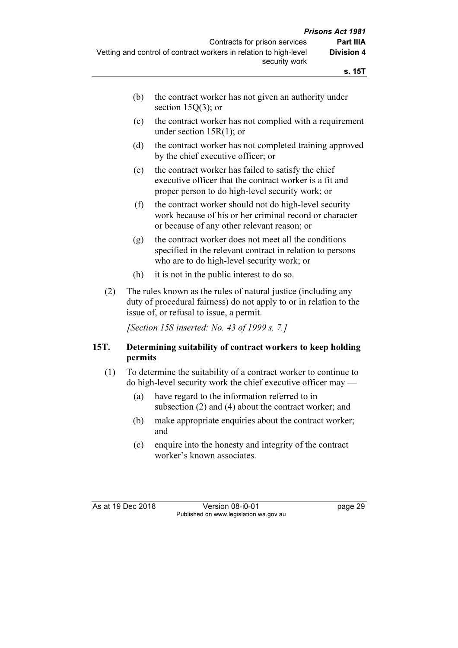| the contract worker has not given an authority under |
|------------------------------------------------------|
| section 15 $Q(3)$ ; or                               |

- (c) the contract worker has not complied with a requirement under section 15R(1); or
- (d) the contract worker has not completed training approved by the chief executive officer; or
- (e) the contract worker has failed to satisfy the chief executive officer that the contract worker is a fit and proper person to do high-level security work; or
- (f) the contract worker should not do high-level security work because of his or her criminal record or character or because of any other relevant reason; or
- (g) the contract worker does not meet all the conditions specified in the relevant contract in relation to persons who are to do high-level security work; or
- (h) it is not in the public interest to do so.
- (2) The rules known as the rules of natural justice (including any duty of procedural fairness) do not apply to or in relation to the issue of, or refusal to issue, a permit.

[Section 15S inserted: No. 43 of 1999 s. 7.]

### 15T. Determining suitability of contract workers to keep holding permits

- (1) To determine the suitability of a contract worker to continue to do high-level security work the chief executive officer may —
	- (a) have regard to the information referred to in subsection (2) and (4) about the contract worker; and
	- (b) make appropriate enquiries about the contract worker; and
	- (c) enquire into the honesty and integrity of the contract worker's known associates.

As at 19 Dec 2018 Version 08-i0-01 page 29 Published on www.legislation.wa.gov.au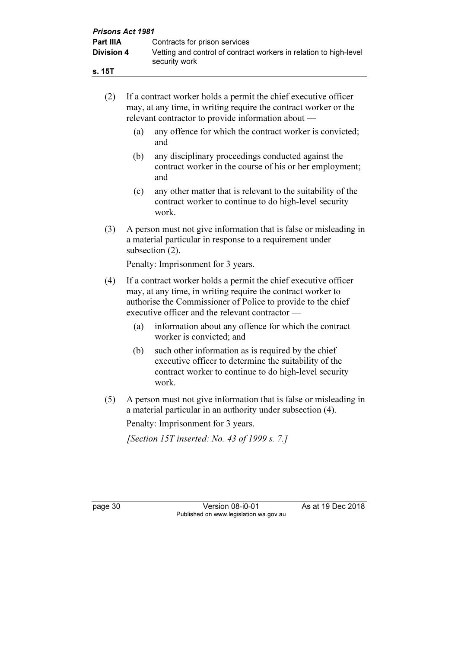| <b>Prisons Act 1981</b> |                                                                                    |  |  |  |
|-------------------------|------------------------------------------------------------------------------------|--|--|--|
| <b>Part IIIA</b>        | Contracts for prison services                                                      |  |  |  |
| <b>Division 4</b>       | Vetting and control of contract workers in relation to high-level<br>security work |  |  |  |
| s. 15T                  |                                                                                    |  |  |  |

|     | (2)                                                                                                                                                     | If a contract worker holds a permit the chief executive officer<br>may, at any time, in writing require the contract worker or the<br>relevant contractor to provide information about —                                                          |                                                                                                                               |  |
|-----|---------------------------------------------------------------------------------------------------------------------------------------------------------|---------------------------------------------------------------------------------------------------------------------------------------------------------------------------------------------------------------------------------------------------|-------------------------------------------------------------------------------------------------------------------------------|--|
|     |                                                                                                                                                         | (a)                                                                                                                                                                                                                                               | any offence for which the contract worker is convicted;<br>and                                                                |  |
|     |                                                                                                                                                         | (b)                                                                                                                                                                                                                                               | any disciplinary proceedings conducted against the<br>contract worker in the course of his or her employment;<br>and          |  |
|     |                                                                                                                                                         | (c)                                                                                                                                                                                                                                               | any other matter that is relevant to the suitability of the<br>contract worker to continue to do high-level security<br>work. |  |
|     | (3)<br>A person must not give information that is false or misleading in<br>a material particular in response to a requirement under<br>subsection (2). |                                                                                                                                                                                                                                                   |                                                                                                                               |  |
|     |                                                                                                                                                         |                                                                                                                                                                                                                                                   | Penalty: Imprisonment for 3 years.                                                                                            |  |
| (4) |                                                                                                                                                         | If a contract worker holds a permit the chief executive officer<br>may, at any time, in writing require the contract worker to<br>authorise the Commissioner of Police to provide to the chief<br>executive officer and the relevant contractor — |                                                                                                                               |  |
|     |                                                                                                                                                         | (a)                                                                                                                                                                                                                                               | information about any offence for which the contract<br>worker is convicted; and                                              |  |
|     |                                                                                                                                                         |                                                                                                                                                                                                                                                   | $\pi$ and $\pi$ and $\pi$ and $\pi$ and $\pi$                                                                                 |  |

- (b) such other information as is required by the chief executive officer to determine the suitability of the contract worker to continue to do high-level security work.
- (5) A person must not give information that is false or misleading in a material particular in an authority under subsection (4).

Penalty: Imprisonment for 3 years.

[Section 15T inserted: No. 43 of 1999 s. 7.]

page 30 **Version 08-i0-01** As at 19 Dec 2018 Published on www.legislation.wa.gov.au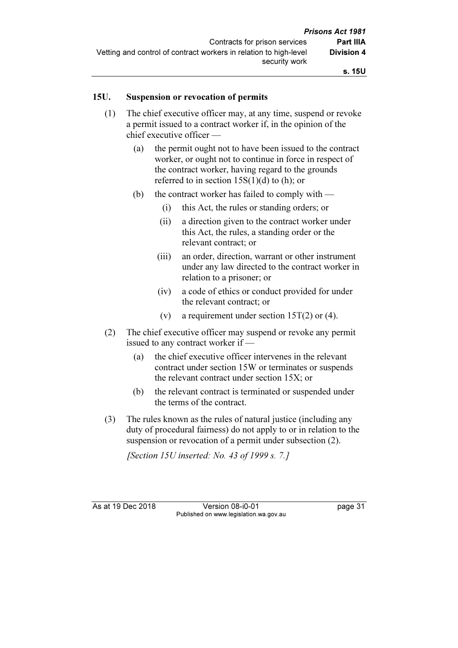#### 15U. Suspension or revocation of permits

- (1) The chief executive officer may, at any time, suspend or revoke a permit issued to a contract worker if, in the opinion of the chief executive officer —
	- (a) the permit ought not to have been issued to the contract worker, or ought not to continue in force in respect of the contract worker, having regard to the grounds referred to in section  $15S(1)(d)$  to (h); or
	- (b) the contract worker has failed to comply with  $-$ 
		- (i) this Act, the rules or standing orders; or
		- (ii) a direction given to the contract worker under this Act, the rules, a standing order or the relevant contract; or
		- (iii) an order, direction, warrant or other instrument under any law directed to the contract worker in relation to a prisoner; or
		- (iv) a code of ethics or conduct provided for under the relevant contract; or
		- (v) a requirement under section  $15T(2)$  or (4).
- (2) The chief executive officer may suspend or revoke any permit issued to any contract worker if —
	- (a) the chief executive officer intervenes in the relevant contract under section 15W or terminates or suspends the relevant contract under section 15X; or
	- (b) the relevant contract is terminated or suspended under the terms of the contract.
- (3) The rules known as the rules of natural justice (including any duty of procedural fairness) do not apply to or in relation to the suspension or revocation of a permit under subsection (2).

[Section 15U inserted: No. 43 of 1999 s. 7.]

As at 19 Dec 2018 Version 08-i0-01 page 31 Published on www.legislation.wa.gov.au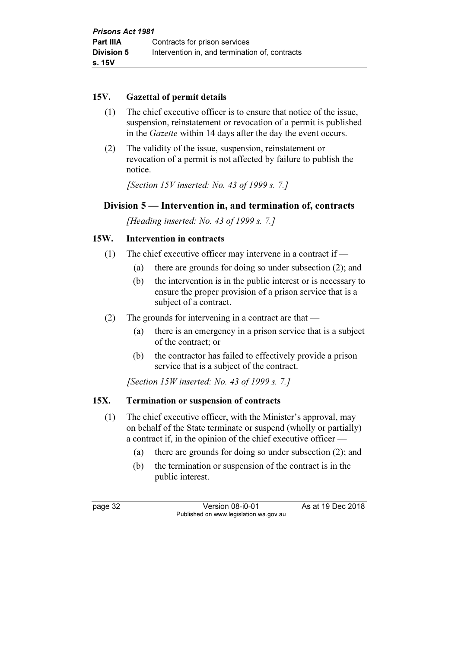### 15V. Gazettal of permit details

- (1) The chief executive officer is to ensure that notice of the issue, suspension, reinstatement or revocation of a permit is published in the Gazette within 14 days after the day the event occurs.
- (2) The validity of the issue, suspension, reinstatement or revocation of a permit is not affected by failure to publish the notice.

[Section 15V inserted: No. 43 of 1999 s. 7.]

# Division 5 — Intervention in, and termination of, contracts

[Heading inserted: No. 43 of 1999 s. 7.]

# 15W. Intervention in contracts

- (1) The chief executive officer may intervene in a contract if  $-$ 
	- (a) there are grounds for doing so under subsection (2); and
	- (b) the intervention is in the public interest or is necessary to ensure the proper provision of a prison service that is a subject of a contract.
- (2) The grounds for intervening in a contract are that
	- (a) there is an emergency in a prison service that is a subject of the contract; or
	- (b) the contractor has failed to effectively provide a prison service that is a subject of the contract.

[Section 15W inserted: No. 43 of 1999 s. 7.]

# 15X. Termination or suspension of contracts

- (1) The chief executive officer, with the Minister's approval, may on behalf of the State terminate or suspend (wholly or partially) a contract if, in the opinion of the chief executive officer —
	- (a) there are grounds for doing so under subsection (2); and
	- (b) the termination or suspension of the contract is in the public interest.

page 32 Version 08-i0-01 As at 19 Dec 2018 Published on www.legislation.wa.gov.au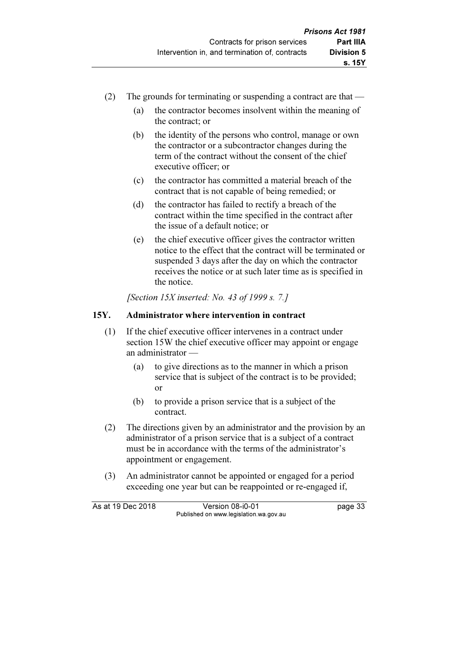- (2) The grounds for terminating or suspending a contract are that
	- (a) the contractor becomes insolvent within the meaning of the contract; or
	- (b) the identity of the persons who control, manage or own the contractor or a subcontractor changes during the term of the contract without the consent of the chief executive officer; or
	- (c) the contractor has committed a material breach of the contract that is not capable of being remedied; or
	- (d) the contractor has failed to rectify a breach of the contract within the time specified in the contract after the issue of a default notice; or
	- (e) the chief executive officer gives the contractor written notice to the effect that the contract will be terminated or suspended 3 days after the day on which the contractor receives the notice or at such later time as is specified in the notice.

[Section 15X inserted: No. 43 of 1999 s. 7.]

# 15Y. Administrator where intervention in contract

- (1) If the chief executive officer intervenes in a contract under section 15W the chief executive officer may appoint or engage an administrator —
	- (a) to give directions as to the manner in which a prison service that is subject of the contract is to be provided; or
	- (b) to provide a prison service that is a subject of the contract.
- (2) The directions given by an administrator and the provision by an administrator of a prison service that is a subject of a contract must be in accordance with the terms of the administrator's appointment or engagement.
- (3) An administrator cannot be appointed or engaged for a period exceeding one year but can be reappointed or re-engaged if,

As at 19 Dec 2018 Version 08-i0-01 bagge 33 Published on www.legislation.wa.gov.au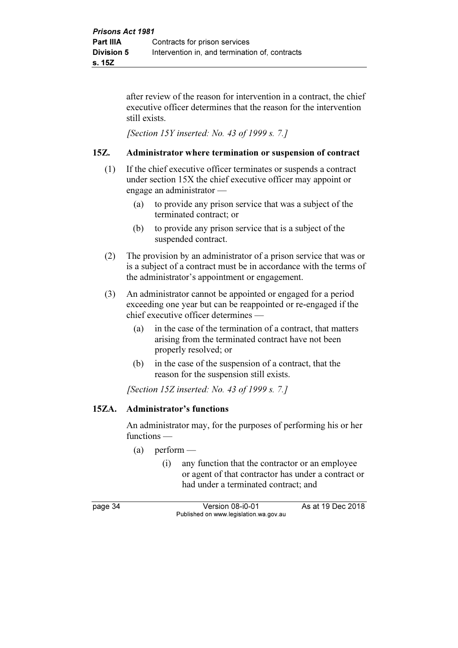after review of the reason for intervention in a contract, the chief executive officer determines that the reason for the intervention still exists.

[Section 15Y inserted: No. 43 of 1999 s. 7.]

### 15Z. Administrator where termination or suspension of contract

- (1) If the chief executive officer terminates or suspends a contract under section 15X the chief executive officer may appoint or engage an administrator —
	- (a) to provide any prison service that was a subject of the terminated contract; or
	- (b) to provide any prison service that is a subject of the suspended contract.
- (2) The provision by an administrator of a prison service that was or is a subject of a contract must be in accordance with the terms of the administrator's appointment or engagement.
- (3) An administrator cannot be appointed or engaged for a period exceeding one year but can be reappointed or re-engaged if the chief executive officer determines —
	- (a) in the case of the termination of a contract, that matters arising from the terminated contract have not been properly resolved; or
	- (b) in the case of the suspension of a contract, that the reason for the suspension still exists.

[Section 15Z inserted: No. 43 of 1999 s. 7.]

# 15ZA. Administrator's functions

 An administrator may, for the purposes of performing his or her functions —

- $(a)$  perform
	- (i) any function that the contractor or an employee or agent of that contractor has under a contract or had under a terminated contract; and

page 34 Version 08-i0-01 As at 19 Dec 2018 Published on www.legislation.wa.gov.au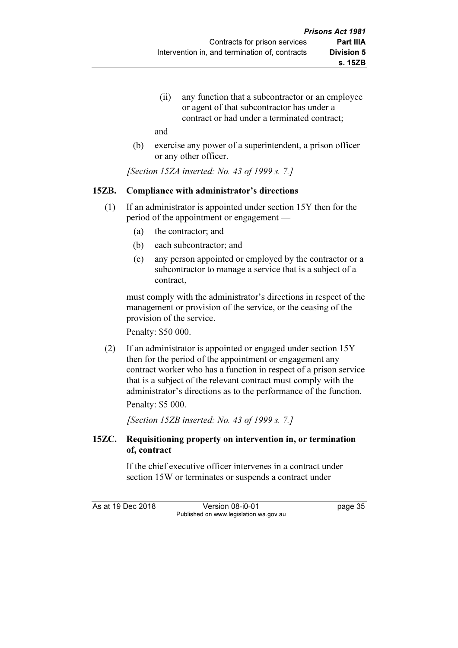(ii) any function that a subcontractor or an employee or agent of that subcontractor has under a contract or had under a terminated contract;

and

 (b) exercise any power of a superintendent, a prison officer or any other officer.

[Section 15ZA inserted: No. 43 of 1999 s. 7.]

### 15ZB. Compliance with administrator's directions

- (1) If an administrator is appointed under section 15Y then for the period of the appointment or engagement —
	- (a) the contractor; and
	- (b) each subcontractor; and
	- (c) any person appointed or employed by the contractor or a subcontractor to manage a service that is a subject of a contract,

 must comply with the administrator's directions in respect of the management or provision of the service, or the ceasing of the provision of the service.

Penalty: \$50 000.

 (2) If an administrator is appointed or engaged under section 15Y then for the period of the appointment or engagement any contract worker who has a function in respect of a prison service that is a subject of the relevant contract must comply with the administrator's directions as to the performance of the function.

Penalty: \$5 000.

[Section 15ZB inserted: No. 43 of 1999 s. 7.]

### 15ZC. Requisitioning property on intervention in, or termination of, contract

 If the chief executive officer intervenes in a contract under section 15W or terminates or suspends a contract under

As at 19 Dec 2018 Version 08-i0-01 page 35 Published on www.legislation.wa.gov.au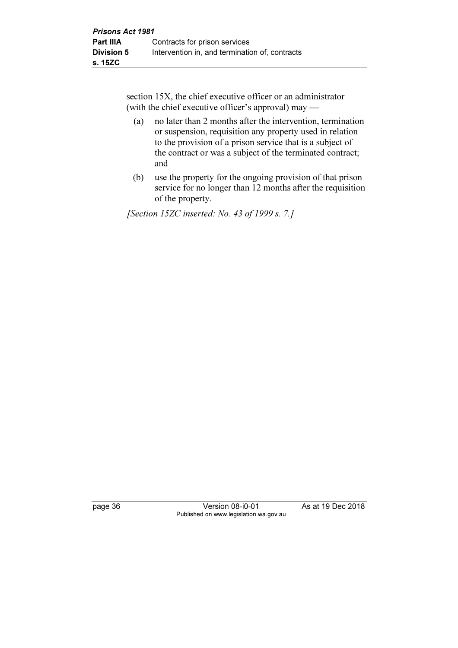section 15X, the chief executive officer or an administrator (with the chief executive officer's approval) may —

- (a) no later than 2 months after the intervention, termination or suspension, requisition any property used in relation to the provision of a prison service that is a subject of the contract or was a subject of the terminated contract; and
- (b) use the property for the ongoing provision of that prison service for no longer than 12 months after the requisition of the property.

[Section 15ZC inserted: No. 43 of 1999 s. 7.]

page 36 Version 08-i0-01 As at 19 Dec 2018 Published on www.legislation.wa.gov.au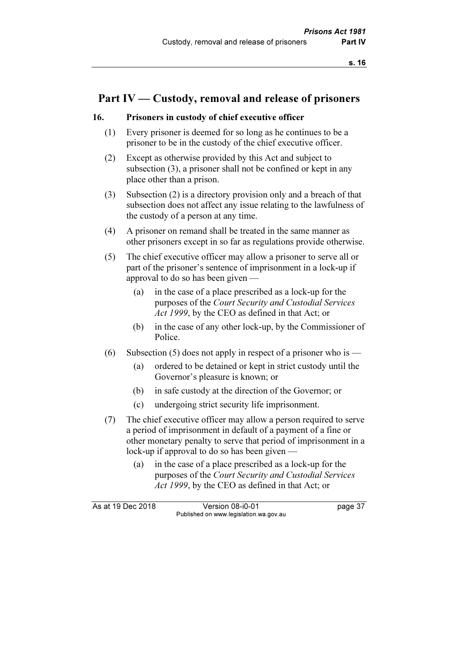# Part IV — Custody, removal and release of prisoners

#### 16. Prisoners in custody of chief executive officer

- (1) Every prisoner is deemed for so long as he continues to be a prisoner to be in the custody of the chief executive officer.
- (2) Except as otherwise provided by this Act and subject to subsection (3), a prisoner shall not be confined or kept in any place other than a prison.
- (3) Subsection (2) is a directory provision only and a breach of that subsection does not affect any issue relating to the lawfulness of the custody of a person at any time.
- (4) A prisoner on remand shall be treated in the same manner as other prisoners except in so far as regulations provide otherwise.
- (5) The chief executive officer may allow a prisoner to serve all or part of the prisoner's sentence of imprisonment in a lock-up if approval to do so has been given —
	- (a) in the case of a place prescribed as a lock-up for the purposes of the Court Security and Custodial Services Act 1999, by the CEO as defined in that Act; or
	- (b) in the case of any other lock-up, by the Commissioner of Police.
- (6) Subsection (5) does not apply in respect of a prisoner who is
	- (a) ordered to be detained or kept in strict custody until the Governor's pleasure is known; or
	- (b) in safe custody at the direction of the Governor; or
	- (c) undergoing strict security life imprisonment.
- (7) The chief executive officer may allow a person required to serve a period of imprisonment in default of a payment of a fine or other monetary penalty to serve that period of imprisonment in a lock-up if approval to do so has been given —
	- (a) in the case of a place prescribed as a lock-up for the purposes of the Court Security and Custodial Services Act 1999, by the CEO as defined in that Act; or

As at 19 Dec 2018 Version 08-i0-01 bagge 37 Published on www.legislation.wa.gov.au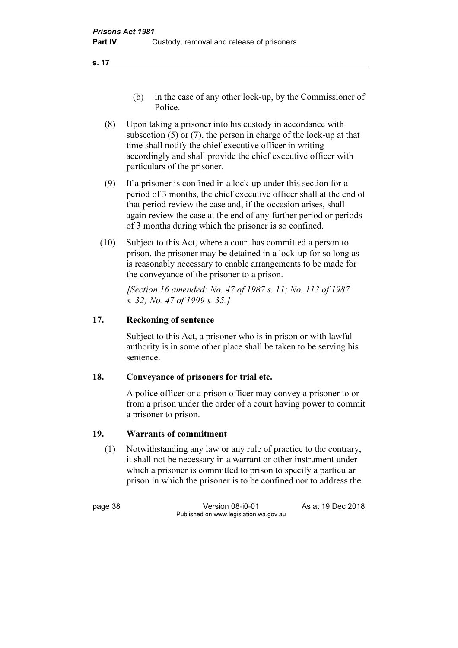- (b) in the case of any other lock-up, by the Commissioner of Police.
- (8) Upon taking a prisoner into his custody in accordance with subsection (5) or (7), the person in charge of the lock-up at that time shall notify the chief executive officer in writing accordingly and shall provide the chief executive officer with particulars of the prisoner.
- (9) If a prisoner is confined in a lock-up under this section for a period of 3 months, the chief executive officer shall at the end of that period review the case and, if the occasion arises, shall again review the case at the end of any further period or periods of 3 months during which the prisoner is so confined.
- (10) Subject to this Act, where a court has committed a person to prison, the prisoner may be detained in a lock-up for so long as is reasonably necessary to enable arrangements to be made for the conveyance of the prisoner to a prison.

 [Section 16 amended: No. 47 of 1987 s. 11; No. 113 of 1987 s. 32; No. 47 of 1999 s. 35.]

# 17. Reckoning of sentence

 Subject to this Act, a prisoner who is in prison or with lawful authority is in some other place shall be taken to be serving his sentence.

# 18. Conveyance of prisoners for trial etc.

 A police officer or a prison officer may convey a prisoner to or from a prison under the order of a court having power to commit a prisoner to prison.

# 19. Warrants of commitment

 (1) Notwithstanding any law or any rule of practice to the contrary, it shall not be necessary in a warrant or other instrument under which a prisoner is committed to prison to specify a particular prison in which the prisoner is to be confined nor to address the

page 38 Version 08-i0-01 As at 19 Dec 2018 Published on www.legislation.wa.gov.au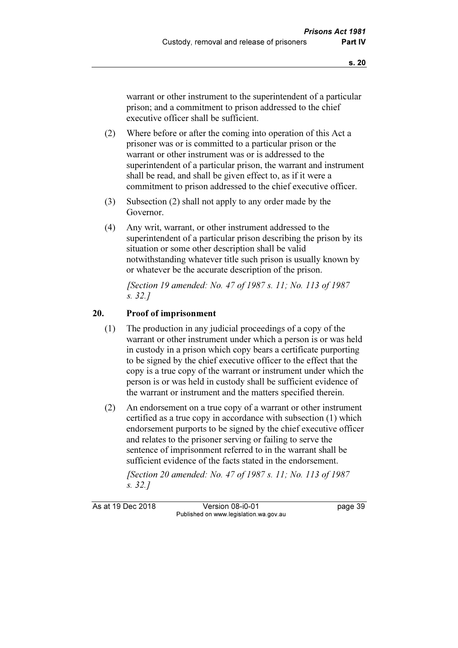warrant or other instrument to the superintendent of a particular prison; and a commitment to prison addressed to the chief executive officer shall be sufficient.

- (2) Where before or after the coming into operation of this Act a prisoner was or is committed to a particular prison or the warrant or other instrument was or is addressed to the superintendent of a particular prison, the warrant and instrument shall be read, and shall be given effect to, as if it were a commitment to prison addressed to the chief executive officer.
- (3) Subsection (2) shall not apply to any order made by the Governor.
- (4) Any writ, warrant, or other instrument addressed to the superintendent of a particular prison describing the prison by its situation or some other description shall be valid notwithstanding whatever title such prison is usually known by or whatever be the accurate description of the prison.

 [Section 19 amended: No. 47 of 1987 s. 11; No. 113 of 1987 s. 32.]

### 20. Proof of imprisonment

- (1) The production in any judicial proceedings of a copy of the warrant or other instrument under which a person is or was held in custody in a prison which copy bears a certificate purporting to be signed by the chief executive officer to the effect that the copy is a true copy of the warrant or instrument under which the person is or was held in custody shall be sufficient evidence of the warrant or instrument and the matters specified therein.
- (2) An endorsement on a true copy of a warrant or other instrument certified as a true copy in accordance with subsection (1) which endorsement purports to be signed by the chief executive officer and relates to the prisoner serving or failing to serve the sentence of imprisonment referred to in the warrant shall be sufficient evidence of the facts stated in the endorsement.

 [Section 20 amended: No. 47 of 1987 s. 11; No. 113 of 1987 s. 32.]

As at 19 Dec 2018 Version 08-i0-01 page 39 Published on www.legislation.wa.gov.au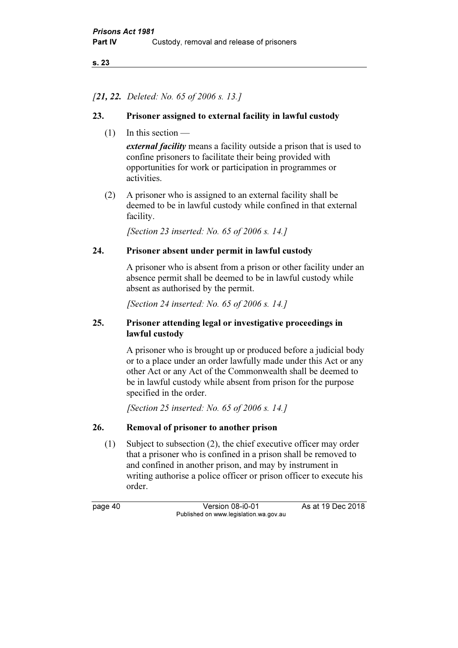### [21, 22. Deleted: No. 65 of 2006 s. 13.]

### 23. Prisoner assigned to external facility in lawful custody

(1) In this section —

external facility means a facility outside a prison that is used to confine prisoners to facilitate their being provided with opportunities for work or participation in programmes or activities.

 (2) A prisoner who is assigned to an external facility shall be deemed to be in lawful custody while confined in that external facility.

[Section 23 inserted: No. 65 of 2006 s. 14.]

### 24. Prisoner absent under permit in lawful custody

 A prisoner who is absent from a prison or other facility under an absence permit shall be deemed to be in lawful custody while absent as authorised by the permit.

[Section 24 inserted: No. 65 of 2006 s. 14.]

### 25. Prisoner attending legal or investigative proceedings in lawful custody

 A prisoner who is brought up or produced before a judicial body or to a place under an order lawfully made under this Act or any other Act or any Act of the Commonwealth shall be deemed to be in lawful custody while absent from prison for the purpose specified in the order.

[Section 25 inserted: No. 65 of 2006 s. 14.]

# 26. Removal of prisoner to another prison

 (1) Subject to subsection (2), the chief executive officer may order that a prisoner who is confined in a prison shall be removed to and confined in another prison, and may by instrument in writing authorise a police officer or prison officer to execute his order.

page 40 Version 08-i0-01 As at 19 Dec 2018 Published on www.legislation.wa.gov.au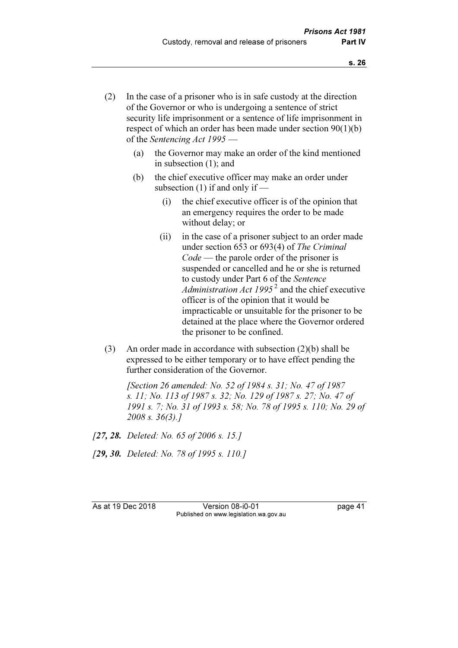- (2) In the case of a prisoner who is in safe custody at the direction of the Governor or who is undergoing a sentence of strict security life imprisonment or a sentence of life imprisonment in respect of which an order has been made under section 90(1)(b) of the Sentencing Act 1995 —
	- (a) the Governor may make an order of the kind mentioned in subsection (1); and
	- (b) the chief executive officer may make an order under subsection (1) if and only if —
		- (i) the chief executive officer is of the opinion that an emergency requires the order to be made without delay; or
		- (ii) in the case of a prisoner subject to an order made under section 653 or 693(4) of The Criminal Code — the parole order of the prisoner is suspended or cancelled and he or she is returned to custody under Part 6 of the Sentence Administration Act 1995<sup>2</sup> and the chief executive officer is of the opinion that it would be impracticable or unsuitable for the prisoner to be detained at the place where the Governor ordered the prisoner to be confined.
- (3) An order made in accordance with subsection (2)(b) shall be expressed to be either temporary or to have effect pending the further consideration of the Governor.

[Section 26 amended: No. 52 of 1984 s. 31; No. 47 of 1987] s. 11; No. 113 of 1987 s. 32; No. 129 of 1987 s. 27; No. 47 of 1991 s. 7; No. 31 of 1993 s. 58; No. 78 of 1995 s. 110; No. 29 of 2008 s. 36(3).]

[27, 28. Deleted: No. 65 of 2006 s. 15.]

[29, 30. Deleted: No. 78 of 1995 s. 110.]

As at 19 Dec 2018 Version 08-i0-01 page 41 Published on www.legislation.wa.gov.au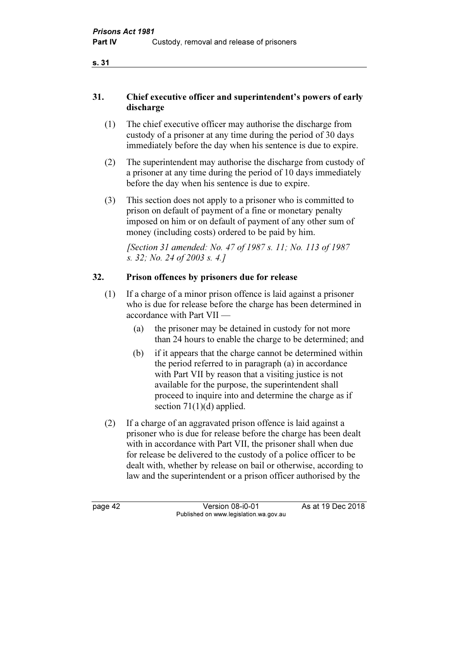# 31. Chief executive officer and superintendent's powers of early discharge

- (1) The chief executive officer may authorise the discharge from custody of a prisoner at any time during the period of 30 days immediately before the day when his sentence is due to expire.
- (2) The superintendent may authorise the discharge from custody of a prisoner at any time during the period of 10 days immediately before the day when his sentence is due to expire.
- (3) This section does not apply to a prisoner who is committed to prison on default of payment of a fine or monetary penalty imposed on him or on default of payment of any other sum of money (including costs) ordered to be paid by him.

[Section 31 amended: No. 47 of 1987 s. 11; No. 113 of 1987] s. 32; No. 24 of 2003 s. 4.]

# 32. Prison offences by prisoners due for release

- (1) If a charge of a minor prison offence is laid against a prisoner who is due for release before the charge has been determined in accordance with Part VII —
	- (a) the prisoner may be detained in custody for not more than 24 hours to enable the charge to be determined; and
	- (b) if it appears that the charge cannot be determined within the period referred to in paragraph (a) in accordance with Part VII by reason that a visiting justice is not available for the purpose, the superintendent shall proceed to inquire into and determine the charge as if section 71(1)(d) applied.
- (2) If a charge of an aggravated prison offence is laid against a prisoner who is due for release before the charge has been dealt with in accordance with Part VII, the prisoner shall when due for release be delivered to the custody of a police officer to be dealt with, whether by release on bail or otherwise, according to law and the superintendent or a prison officer authorised by the

page 42 Version 08-i0-01 As at 19 Dec 2018 Published on www.legislation.wa.gov.au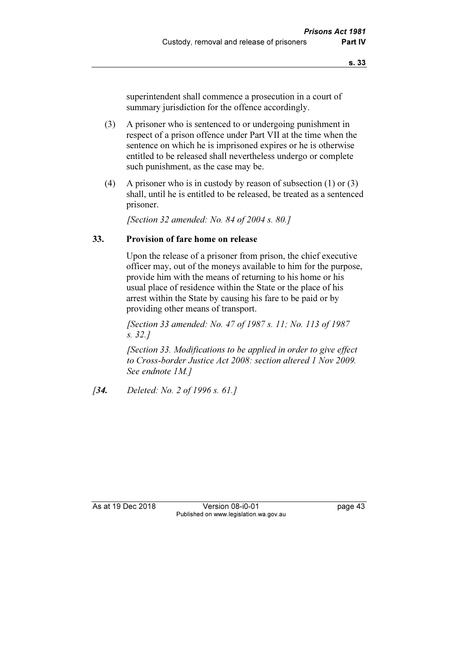superintendent shall commence a prosecution in a court of summary jurisdiction for the offence accordingly.

- (3) A prisoner who is sentenced to or undergoing punishment in respect of a prison offence under Part VII at the time when the sentence on which he is imprisoned expires or he is otherwise entitled to be released shall nevertheless undergo or complete such punishment, as the case may be.
- (4) A prisoner who is in custody by reason of subsection (1) or (3) shall, until he is entitled to be released, be treated as a sentenced prisoner.

[Section 32 amended: No. 84 of 2004 s. 80.]

#### 33. Provision of fare home on release

 Upon the release of a prisoner from prison, the chief executive officer may, out of the moneys available to him for the purpose, provide him with the means of returning to his home or his usual place of residence within the State or the place of his arrest within the State by causing his fare to be paid or by providing other means of transport.

 [Section 33 amended: No. 47 of 1987 s. 11; No. 113 of 1987 s. 32.]

 [Section 33. Modifications to be applied in order to give effect to Cross-border Justice Act 2008: section altered 1 Nov 2009. See endnote 1M.]

[34. Deleted: No. 2 of 1996 s. 61.]

As at 19 Dec 2018 Version 08-i0-01 page 43 Published on www.legislation.wa.gov.au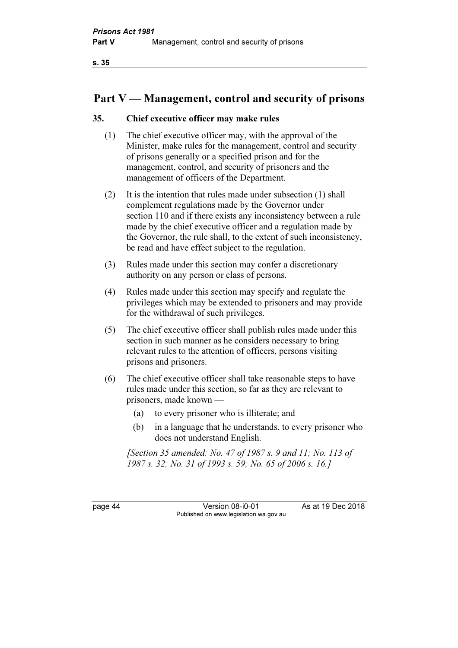# Part V — Management, control and security of prisons

### 35. Chief executive officer may make rules

- (1) The chief executive officer may, with the approval of the Minister, make rules for the management, control and security of prisons generally or a specified prison and for the management, control, and security of prisoners and the management of officers of the Department.
- (2) It is the intention that rules made under subsection (1) shall complement regulations made by the Governor under section 110 and if there exists any inconsistency between a rule made by the chief executive officer and a regulation made by the Governor, the rule shall, to the extent of such inconsistency, be read and have effect subject to the regulation.
- (3) Rules made under this section may confer a discretionary authority on any person or class of persons.
- (4) Rules made under this section may specify and regulate the privileges which may be extended to prisoners and may provide for the withdrawal of such privileges.
- (5) The chief executive officer shall publish rules made under this section in such manner as he considers necessary to bring relevant rules to the attention of officers, persons visiting prisons and prisoners.
- (6) The chief executive officer shall take reasonable steps to have rules made under this section, so far as they are relevant to prisoners, made known —
	- (a) to every prisoner who is illiterate; and
	- (b) in a language that he understands, to every prisoner who does not understand English.

 [Section 35 amended: No. 47 of 1987 s. 9 and 11; No. 113 of 1987 s. 32; No. 31 of 1993 s. 59; No. 65 of 2006 s. 16.]

page 44 Version 08-i0-01 As at 19 Dec 2018 Published on www.legislation.wa.gov.au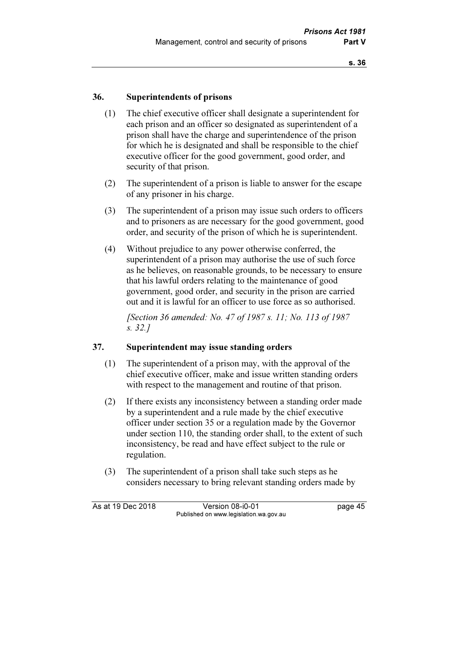### 36. Superintendents of prisons

- (1) The chief executive officer shall designate a superintendent for each prison and an officer so designated as superintendent of a prison shall have the charge and superintendence of the prison for which he is designated and shall be responsible to the chief executive officer for the good government, good order, and security of that prison.
- (2) The superintendent of a prison is liable to answer for the escape of any prisoner in his charge.
- (3) The superintendent of a prison may issue such orders to officers and to prisoners as are necessary for the good government, good order, and security of the prison of which he is superintendent.
- (4) Without prejudice to any power otherwise conferred, the superintendent of a prison may authorise the use of such force as he believes, on reasonable grounds, to be necessary to ensure that his lawful orders relating to the maintenance of good government, good order, and security in the prison are carried out and it is lawful for an officer to use force as so authorised.

 [Section 36 amended: No. 47 of 1987 s. 11; No. 113 of 1987 s. 32.]

#### 37. Superintendent may issue standing orders

- (1) The superintendent of a prison may, with the approval of the chief executive officer, make and issue written standing orders with respect to the management and routine of that prison.
- (2) If there exists any inconsistency between a standing order made by a superintendent and a rule made by the chief executive officer under section 35 or a regulation made by the Governor under section 110, the standing order shall, to the extent of such inconsistency, be read and have effect subject to the rule or regulation.
- (3) The superintendent of a prison shall take such steps as he considers necessary to bring relevant standing orders made by

As at 19 Dec 2018 Version 08-i0-01 bagge 45 Published on www.legislation.wa.gov.au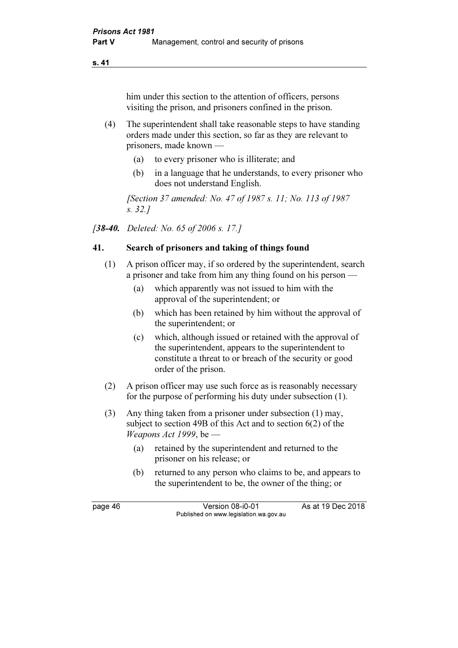him under this section to the attention of officers, persons visiting the prison, and prisoners confined in the prison.

- (4) The superintendent shall take reasonable steps to have standing orders made under this section, so far as they are relevant to prisoners, made known —
	- (a) to every prisoner who is illiterate; and
	- (b) in a language that he understands, to every prisoner who does not understand English.

 [Section 37 amended: No. 47 of 1987 s. 11; No. 113 of 1987 s. 32.]

[**38-40.** Deleted: No. 65 of 2006 s. 17.]

# 41. Search of prisoners and taking of things found

- (1) A prison officer may, if so ordered by the superintendent, search a prisoner and take from him any thing found on his person —
	- (a) which apparently was not issued to him with the approval of the superintendent; or
	- (b) which has been retained by him without the approval of the superintendent; or
	- (c) which, although issued or retained with the approval of the superintendent, appears to the superintendent to constitute a threat to or breach of the security or good order of the prison.
- (2) A prison officer may use such force as is reasonably necessary for the purpose of performing his duty under subsection (1).
- (3) Any thing taken from a prisoner under subsection (1) may, subject to section 49B of this Act and to section 6(2) of the Weapons Act 1999, be  $-$ 
	- (a) retained by the superintendent and returned to the prisoner on his release; or
	- (b) returned to any person who claims to be, and appears to the superintendent to be, the owner of the thing; or

page 46 Version 08-i0-01 As at 19 Dec 2018 Published on www.legislation.wa.gov.au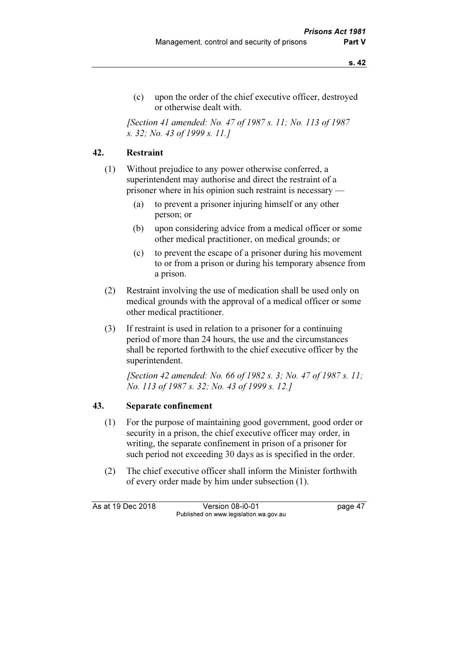(c) upon the order of the chief executive officer, destroyed or otherwise dealt with.

 [Section 41 amended: No. 47 of 1987 s. 11; No. 113 of 1987 s. 32; No. 43 of 1999 s. 11.]

# 42. Restraint

- (1) Without prejudice to any power otherwise conferred, a superintendent may authorise and direct the restraint of a prisoner where in his opinion such restraint is necessary —
	- (a) to prevent a prisoner injuring himself or any other person; or
	- (b) upon considering advice from a medical officer or some other medical practitioner, on medical grounds; or
	- (c) to prevent the escape of a prisoner during his movement to or from a prison or during his temporary absence from a prison.
- (2) Restraint involving the use of medication shall be used only on medical grounds with the approval of a medical officer or some other medical practitioner.
- (3) If restraint is used in relation to a prisoner for a continuing period of more than 24 hours, the use and the circumstances shall be reported forthwith to the chief executive officer by the superintendent.

 [Section 42 amended: No. 66 of 1982 s. 3; No. 47 of 1987 s. 11; No. 113 of 1987 s. 32; No. 43 of 1999 s. 12.]

#### 43. Separate confinement

- (1) For the purpose of maintaining good government, good order or security in a prison, the chief executive officer may order, in writing, the separate confinement in prison of a prisoner for such period not exceeding 30 days as is specified in the order.
- (2) The chief executive officer shall inform the Minister forthwith of every order made by him under subsection (1).

As at 19 Dec 2018 Version 08-i0-01 bagge 47 Published on www.legislation.wa.gov.au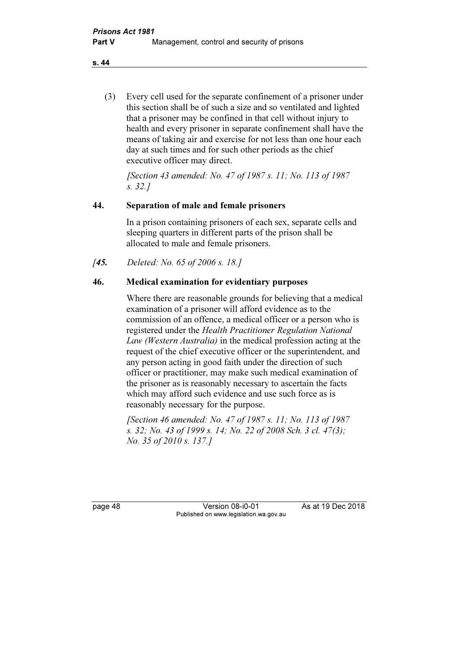(3) Every cell used for the separate confinement of a prisoner under this section shall be of such a size and so ventilated and lighted that a prisoner may be confined in that cell without injury to health and every prisoner in separate confinement shall have the means of taking air and exercise for not less than one hour each day at such times and for such other periods as the chief executive officer may direct.

 [Section 43 amended: No. 47 of 1987 s. 11; No. 113 of 1987 s. 32.]

# 44. Separation of male and female prisoners

 In a prison containing prisoners of each sex, separate cells and sleeping quarters in different parts of the prison shall be allocated to male and female prisoners.

[45. Deleted: No. 65 of 2006 s. 18.]

# 46. Medical examination for evidentiary purposes

 Where there are reasonable grounds for believing that a medical examination of a prisoner will afford evidence as to the commission of an offence, a medical officer or a person who is registered under the Health Practitioner Regulation National Law (Western Australia) in the medical profession acting at the request of the chief executive officer or the superintendent, and any person acting in good faith under the direction of such officer or practitioner, may make such medical examination of the prisoner as is reasonably necessary to ascertain the facts which may afford such evidence and use such force as is reasonably necessary for the purpose.

 [Section 46 amended: No. 47 of 1987 s. 11; No. 113 of 1987 s. 32; No. 43 of 1999 s. 14; No. 22 of 2008 Sch. 3 cl. 47(3); No. 35 of 2010 s. 137.]

page 48 Version 08-i0-01 As at 19 Dec 2018 Published on www.legislation.wa.gov.au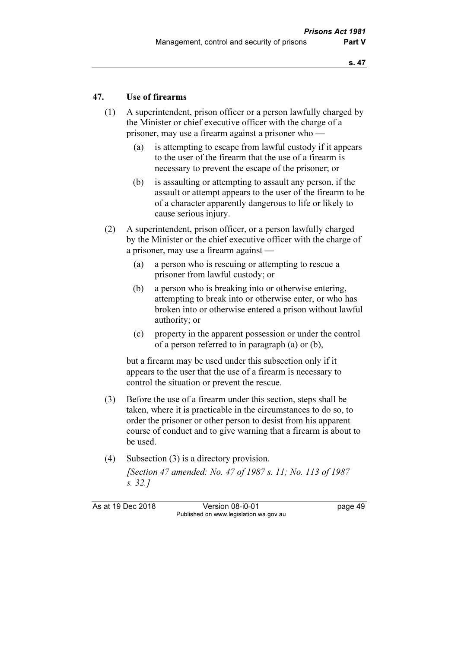### 47. Use of firearms

- (1) A superintendent, prison officer or a person lawfully charged by the Minister or chief executive officer with the charge of a prisoner, may use a firearm against a prisoner who —
	- (a) is attempting to escape from lawful custody if it appears to the user of the firearm that the use of a firearm is necessary to prevent the escape of the prisoner; or
	- (b) is assaulting or attempting to assault any person, if the assault or attempt appears to the user of the firearm to be of a character apparently dangerous to life or likely to cause serious injury.
- (2) A superintendent, prison officer, or a person lawfully charged by the Minister or the chief executive officer with the charge of a prisoner, may use a firearm against —
	- (a) a person who is rescuing or attempting to rescue a prisoner from lawful custody; or
	- (b) a person who is breaking into or otherwise entering, attempting to break into or otherwise enter, or who has broken into or otherwise entered a prison without lawful authority; or
	- (c) property in the apparent possession or under the control of a person referred to in paragraph (a) or (b),

 but a firearm may be used under this subsection only if it appears to the user that the use of a firearm is necessary to control the situation or prevent the rescue.

- (3) Before the use of a firearm under this section, steps shall be taken, where it is practicable in the circumstances to do so, to order the prisoner or other person to desist from his apparent course of conduct and to give warning that a firearm is about to be used.
- (4) Subsection (3) is a directory provision. [Section 47 amended: No. 47 of 1987 s. 11; No. 113 of 1987 s. 32.]

As at 19 Dec 2018 Version 08-i0-01 bagge 49 Published on www.legislation.wa.gov.au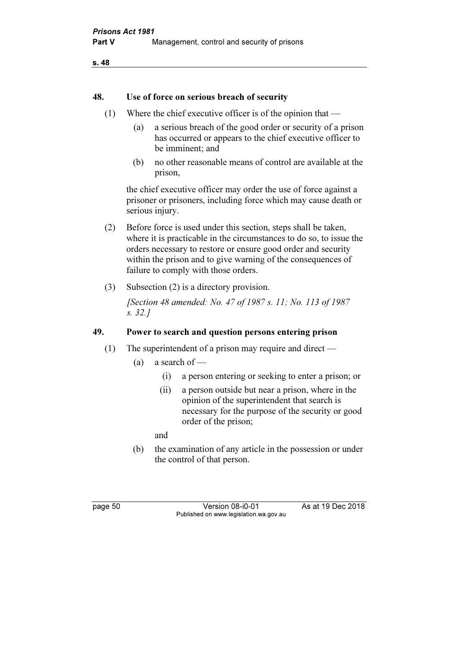#### 48. Use of force on serious breach of security

- (1) Where the chief executive officer is of the opinion that
	- (a) a serious breach of the good order or security of a prison has occurred or appears to the chief executive officer to be imminent; and
	- (b) no other reasonable means of control are available at the prison,

 the chief executive officer may order the use of force against a prisoner or prisoners, including force which may cause death or serious injury.

- (2) Before force is used under this section, steps shall be taken, where it is practicable in the circumstances to do so, to issue the orders necessary to restore or ensure good order and security within the prison and to give warning of the consequences of failure to comply with those orders.
- (3) Subsection (2) is a directory provision.

 [Section 48 amended: No. 47 of 1987 s. 11; No. 113 of 1987 s. 32.]

### 49. Power to search and question persons entering prison

- (1) The superintendent of a prison may require and direct
	- (a) a search of  $-$ 
		- (i) a person entering or seeking to enter a prison; or
		- (ii) a person outside but near a prison, where in the opinion of the superintendent that search is necessary for the purpose of the security or good order of the prison;

and

 (b) the examination of any article in the possession or under the control of that person.

page 50 Version 08-i0-01 As at 19 Dec 2018 Published on www.legislation.wa.gov.au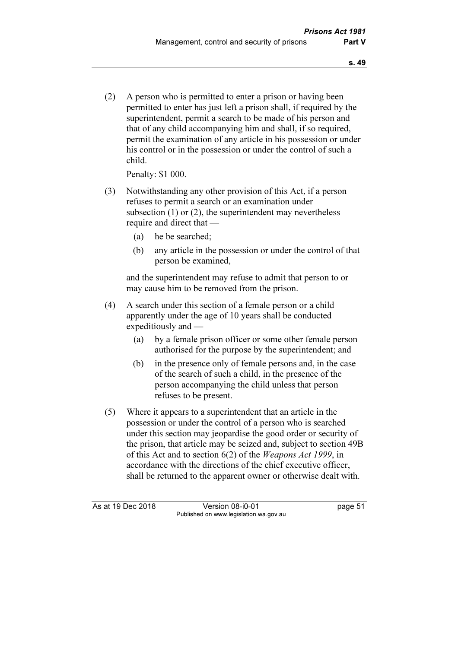(2) A person who is permitted to enter a prison or having been permitted to enter has just left a prison shall, if required by the superintendent, permit a search to be made of his person and that of any child accompanying him and shall, if so required, permit the examination of any article in his possession or under his control or in the possession or under the control of such a child.

Penalty: \$1 000.

- (3) Notwithstanding any other provision of this Act, if a person refuses to permit a search or an examination under subsection (1) or (2), the superintendent may nevertheless require and direct that —
	- (a) he be searched;
	- (b) any article in the possession or under the control of that person be examined,

 and the superintendent may refuse to admit that person to or may cause him to be removed from the prison.

- (4) A search under this section of a female person or a child apparently under the age of 10 years shall be conducted expeditiously and —
	- (a) by a female prison officer or some other female person authorised for the purpose by the superintendent; and
	- (b) in the presence only of female persons and, in the case of the search of such a child, in the presence of the person accompanying the child unless that person refuses to be present.
- (5) Where it appears to a superintendent that an article in the possession or under the control of a person who is searched under this section may jeopardise the good order or security of the prison, that article may be seized and, subject to section 49B of this Act and to section 6(2) of the Weapons Act 1999, in accordance with the directions of the chief executive officer, shall be returned to the apparent owner or otherwise dealt with.

As at 19 Dec 2018 Version 08-i0-01 bagge 51 Published on www.legislation.wa.gov.au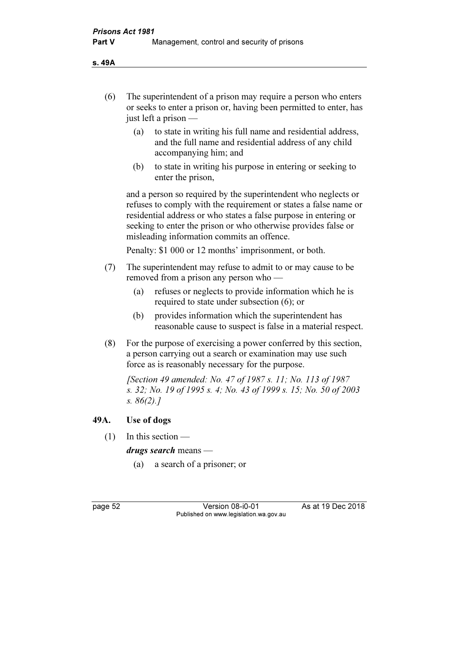s. 49A

- (6) The superintendent of a prison may require a person who enters or seeks to enter a prison or, having been permitted to enter, has just left a prison —
	- (a) to state in writing his full name and residential address, and the full name and residential address of any child accompanying him; and
	- (b) to state in writing his purpose in entering or seeking to enter the prison,

 and a person so required by the superintendent who neglects or refuses to comply with the requirement or states a false name or residential address or who states a false purpose in entering or seeking to enter the prison or who otherwise provides false or misleading information commits an offence.

Penalty: \$1 000 or 12 months' imprisonment, or both.

- (7) The superintendent may refuse to admit to or may cause to be removed from a prison any person who —
	- (a) refuses or neglects to provide information which he is required to state under subsection (6); or
	- (b) provides information which the superintendent has reasonable cause to suspect is false in a material respect.
- (8) For the purpose of exercising a power conferred by this section, a person carrying out a search or examination may use such force as is reasonably necessary for the purpose.

 [Section 49 amended: No. 47 of 1987 s. 11; No. 113 of 1987 s. 32; No. 19 of 1995 s. 4; No. 43 of 1999 s. 15; No. 50 of 2003 s. 86(2).]

#### 49A. Use of dogs

(1) In this section —

drugs search means —

(a) a search of a prisoner; or

page 52 Version 08-i0-01 As at 19 Dec 2018 Published on www.legislation.wa.gov.au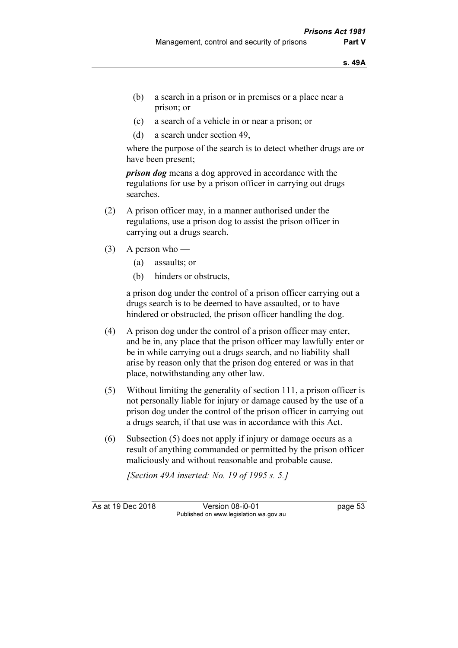- (b) a search in a prison or in premises or a place near a prison; or
- (c) a search of a vehicle in or near a prison; or
- (d) a search under section 49,

 where the purpose of the search is to detect whether drugs are or have been present;

*prison dog* means a dog approved in accordance with the regulations for use by a prison officer in carrying out drugs searches.

- (2) A prison officer may, in a manner authorised under the regulations, use a prison dog to assist the prison officer in carrying out a drugs search.
- (3) A person who
	- (a) assaults; or
	- (b) hinders or obstructs,

 a prison dog under the control of a prison officer carrying out a drugs search is to be deemed to have assaulted, or to have hindered or obstructed, the prison officer handling the dog.

- (4) A prison dog under the control of a prison officer may enter, and be in, any place that the prison officer may lawfully enter or be in while carrying out a drugs search, and no liability shall arise by reason only that the prison dog entered or was in that place, notwithstanding any other law.
- (5) Without limiting the generality of section 111, a prison officer is not personally liable for injury or damage caused by the use of a prison dog under the control of the prison officer in carrying out a drugs search, if that use was in accordance with this Act.
- (6) Subsection (5) does not apply if injury or damage occurs as a result of anything commanded or permitted by the prison officer maliciously and without reasonable and probable cause.

[Section 49A inserted: No. 19 of 1995 s. 5.]

As at 19 Dec 2018 Version 08-i0-01 page 53 Published on www.legislation.wa.gov.au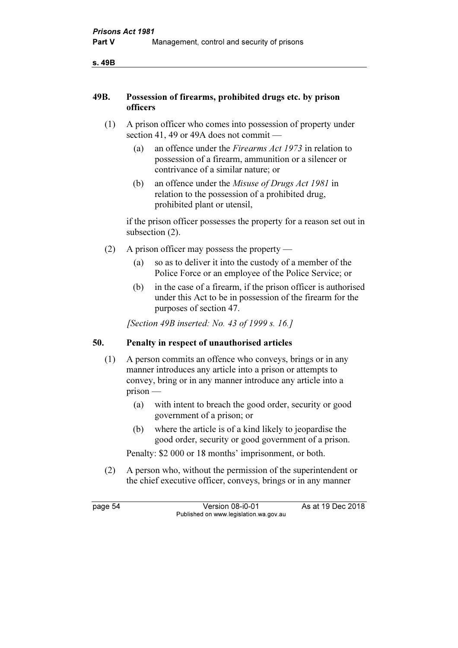s. 49B

#### 49B. Possession of firearms, prohibited drugs etc. by prison officers

- (1) A prison officer who comes into possession of property under section 41, 49 or 49A does not commit —
	- (a) an offence under the Firearms Act 1973 in relation to possession of a firearm, ammunition or a silencer or contrivance of a similar nature; or
	- (b) an offence under the Misuse of Drugs Act 1981 in relation to the possession of a prohibited drug, prohibited plant or utensil,

 if the prison officer possesses the property for a reason set out in subsection  $(2)$ .

- (2) A prison officer may possess the property
	- (a) so as to deliver it into the custody of a member of the Police Force or an employee of the Police Service; or
	- (b) in the case of a firearm, if the prison officer is authorised under this Act to be in possession of the firearm for the purposes of section 47.

[Section 49B inserted: No. 43 of 1999 s. 16.]

# 50. Penalty in respect of unauthorised articles

- (1) A person commits an offence who conveys, brings or in any manner introduces any article into a prison or attempts to convey, bring or in any manner introduce any article into a prison —
	- (a) with intent to breach the good order, security or good government of a prison; or
	- (b) where the article is of a kind likely to jeopardise the good order, security or good government of a prison.

Penalty: \$2 000 or 18 months' imprisonment, or both.

 (2) A person who, without the permission of the superintendent or the chief executive officer, conveys, brings or in any manner

page 54 Version 08-i0-01 As at 19 Dec 2018 Published on www.legislation.wa.gov.au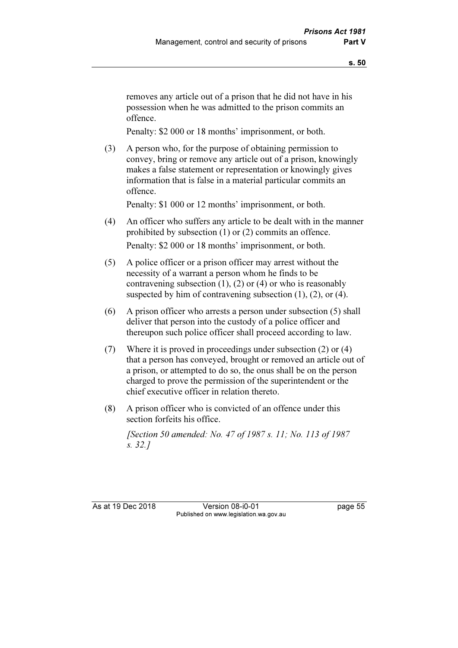removes any article out of a prison that he did not have in his possession when he was admitted to the prison commits an offence.

Penalty: \$2 000 or 18 months' imprisonment, or both.

 (3) A person who, for the purpose of obtaining permission to convey, bring or remove any article out of a prison, knowingly makes a false statement or representation or knowingly gives information that is false in a material particular commits an offence.

Penalty: \$1 000 or 12 months' imprisonment, or both.

- (4) An officer who suffers any article to be dealt with in the manner prohibited by subsection (1) or (2) commits an offence. Penalty: \$2 000 or 18 months' imprisonment, or both.
- (5) A police officer or a prison officer may arrest without the necessity of a warrant a person whom he finds to be contravening subsection  $(1)$ ,  $(2)$  or  $(4)$  or who is reasonably suspected by him of contravening subsection  $(1)$ ,  $(2)$ , or  $(4)$ .
- (6) A prison officer who arrests a person under subsection (5) shall deliver that person into the custody of a police officer and thereupon such police officer shall proceed according to law.
- (7) Where it is proved in proceedings under subsection (2) or (4) that a person has conveyed, brought or removed an article out of a prison, or attempted to do so, the onus shall be on the person charged to prove the permission of the superintendent or the chief executive officer in relation thereto.
- (8) A prison officer who is convicted of an offence under this section forfeits his office.

 [Section 50 amended: No. 47 of 1987 s. 11; No. 113 of 1987 s. 32.]

As at 19 Dec 2018 Version 08-i0-01 page 55 Published on www.legislation.wa.gov.au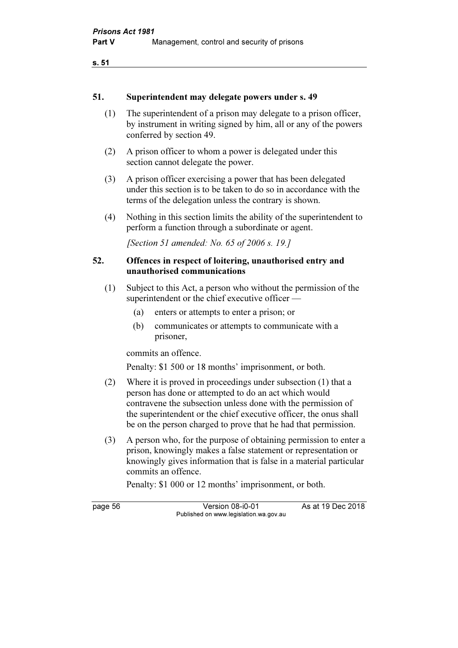#### 51. Superintendent may delegate powers under s. 49

- (1) The superintendent of a prison may delegate to a prison officer, by instrument in writing signed by him, all or any of the powers conferred by section 49.
- (2) A prison officer to whom a power is delegated under this section cannot delegate the power.
- (3) A prison officer exercising a power that has been delegated under this section is to be taken to do so in accordance with the terms of the delegation unless the contrary is shown.
- (4) Nothing in this section limits the ability of the superintendent to perform a function through a subordinate or agent.

[Section 51 amended: No. 65 of 2006 s. 19.]

#### 52. Offences in respect of loitering, unauthorised entry and unauthorised communications

- (1) Subject to this Act, a person who without the permission of the superintendent or the chief executive officer —
	- (a) enters or attempts to enter a prison; or
	- (b) communicates or attempts to communicate with a prisoner,

commits an offence.

Penalty: \$1 500 or 18 months' imprisonment, or both.

- (2) Where it is proved in proceedings under subsection (1) that a person has done or attempted to do an act which would contravene the subsection unless done with the permission of the superintendent or the chief executive officer, the onus shall be on the person charged to prove that he had that permission.
- (3) A person who, for the purpose of obtaining permission to enter a prison, knowingly makes a false statement or representation or knowingly gives information that is false in a material particular commits an offence.

Penalty: \$1 000 or 12 months' imprisonment, or both.

page 56 Version 08-i0-01 As at 19 Dec 2018 Published on www.legislation.wa.gov.au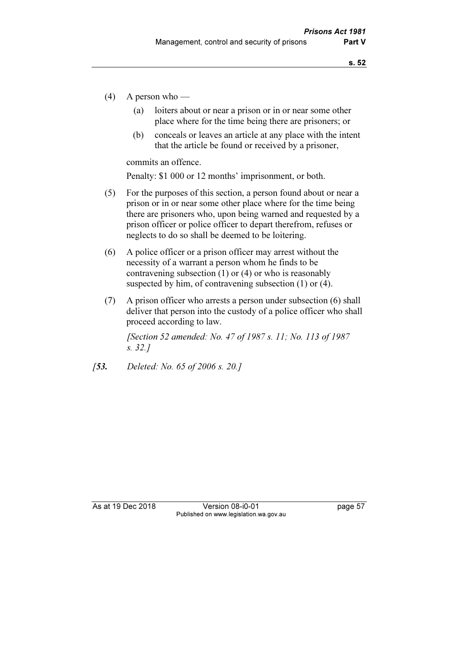- (4) A person who
	- (a) loiters about or near a prison or in or near some other place where for the time being there are prisoners; or
	- (b) conceals or leaves an article at any place with the intent that the article be found or received by a prisoner,

commits an offence.

Penalty: \$1 000 or 12 months' imprisonment, or both.

- (5) For the purposes of this section, a person found about or near a prison or in or near some other place where for the time being there are prisoners who, upon being warned and requested by a prison officer or police officer to depart therefrom, refuses or neglects to do so shall be deemed to be loitering.
- (6) A police officer or a prison officer may arrest without the necessity of a warrant a person whom he finds to be contravening subsection (1) or (4) or who is reasonably suspected by him, of contravening subsection (1) or (4).
- (7) A prison officer who arrests a person under subsection (6) shall deliver that person into the custody of a police officer who shall proceed according to law.

 [Section 52 amended: No. 47 of 1987 s. 11; No. 113 of 1987 s. 32.]

[**53.** Deleted: No. 65 of 2006 s. 20.]

As at 19 Dec 2018 Version 08-i0-01 page 57 Published on www.legislation.wa.gov.au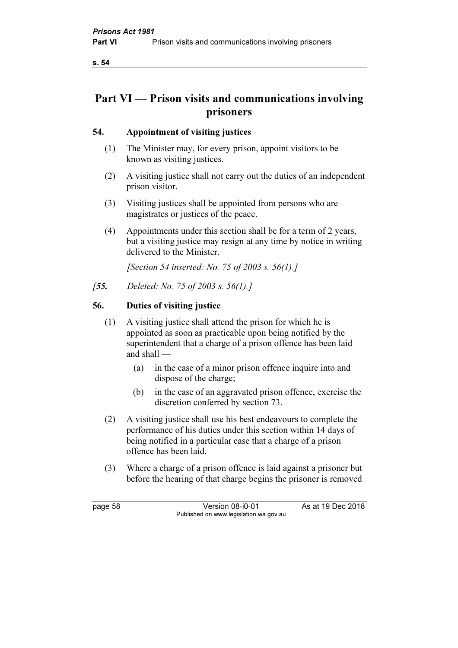# Part VI — Prison visits and communications involving prisoners

# 54. Appointment of visiting justices

- (1) The Minister may, for every prison, appoint visitors to be known as visiting justices.
- (2) A visiting justice shall not carry out the duties of an independent prison visitor.
- (3) Visiting justices shall be appointed from persons who are magistrates or justices of the peace.
- (4) Appointments under this section shall be for a term of 2 years, but a visiting justice may resign at any time by notice in writing delivered to the Minister.

[Section 54 inserted: No. 75 of 2003 s. 56(1).]

[**55.** Deleted: No. 75 of 2003 s. 56(1).]

# 56. Duties of visiting justice

- (1) A visiting justice shall attend the prison for which he is appointed as soon as practicable upon being notified by the superintendent that a charge of a prison offence has been laid and shall —
	- (a) in the case of a minor prison offence inquire into and dispose of the charge;
	- (b) in the case of an aggravated prison offence, exercise the discretion conferred by section 73.
- (2) A visiting justice shall use his best endeavours to complete the performance of his duties under this section within 14 days of being notified in a particular case that a charge of a prison offence has been laid.
- (3) Where a charge of a prison offence is laid against a prisoner but before the hearing of that charge begins the prisoner is removed

page 58 Version 08-i0-01 As at 19 Dec 2018 Published on www.legislation.wa.gov.au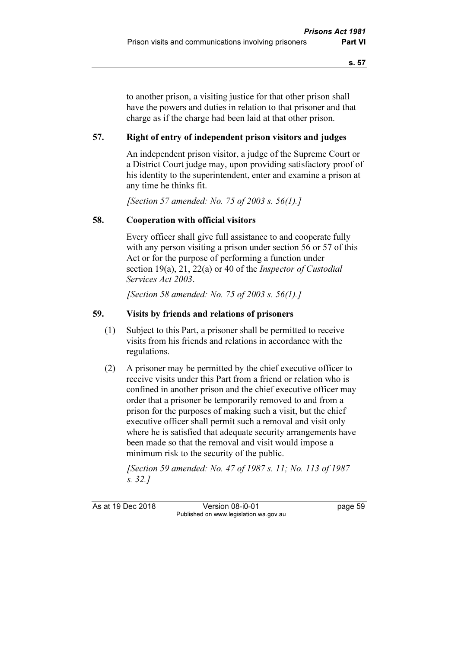to another prison, a visiting justice for that other prison shall have the powers and duties in relation to that prisoner and that charge as if the charge had been laid at that other prison.

### 57. Right of entry of independent prison visitors and judges

 An independent prison visitor, a judge of the Supreme Court or a District Court judge may, upon providing satisfactory proof of his identity to the superintendent, enter and examine a prison at any time he thinks fit.

[Section 57 amended: No. 75 of 2003 s. 56(1).]

#### 58. Cooperation with official visitors

 Every officer shall give full assistance to and cooperate fully with any person visiting a prison under section 56 or 57 of this Act or for the purpose of performing a function under section 19(a), 21, 22(a) or 40 of the *Inspector of Custodial* Services Act 2003.

[Section 58 amended: No. 75 of 2003 s. 56(1).]

#### 59. Visits by friends and relations of prisoners

- (1) Subject to this Part, a prisoner shall be permitted to receive visits from his friends and relations in accordance with the regulations.
- (2) A prisoner may be permitted by the chief executive officer to receive visits under this Part from a friend or relation who is confined in another prison and the chief executive officer may order that a prisoner be temporarily removed to and from a prison for the purposes of making such a visit, but the chief executive officer shall permit such a removal and visit only where he is satisfied that adequate security arrangements have been made so that the removal and visit would impose a minimum risk to the security of the public.

 [Section 59 amended: No. 47 of 1987 s. 11; No. 113 of 1987 s. 32.]

As at 19 Dec 2018 Version 08-i0-01 bagge 59 Published on www.legislation.wa.gov.au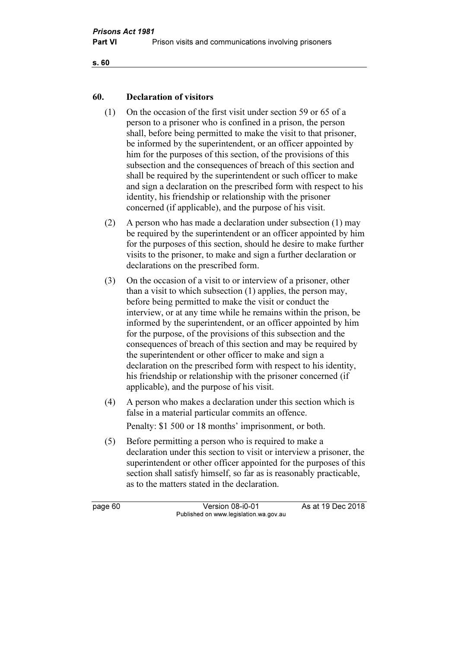```
s. 60
```
### 60. Declaration of visitors

- (1) On the occasion of the first visit under section 59 or 65 of a person to a prisoner who is confined in a prison, the person shall, before being permitted to make the visit to that prisoner, be informed by the superintendent, or an officer appointed by him for the purposes of this section, of the provisions of this subsection and the consequences of breach of this section and shall be required by the superintendent or such officer to make and sign a declaration on the prescribed form with respect to his identity, his friendship or relationship with the prisoner concerned (if applicable), and the purpose of his visit.
- (2) A person who has made a declaration under subsection (1) may be required by the superintendent or an officer appointed by him for the purposes of this section, should he desire to make further visits to the prisoner, to make and sign a further declaration or declarations on the prescribed form.
- (3) On the occasion of a visit to or interview of a prisoner, other than a visit to which subsection (1) applies, the person may, before being permitted to make the visit or conduct the interview, or at any time while he remains within the prison, be informed by the superintendent, or an officer appointed by him for the purpose, of the provisions of this subsection and the consequences of breach of this section and may be required by the superintendent or other officer to make and sign a declaration on the prescribed form with respect to his identity, his friendship or relationship with the prisoner concerned (if applicable), and the purpose of his visit.
- (4) A person who makes a declaration under this section which is false in a material particular commits an offence.

Penalty: \$1 500 or 18 months' imprisonment, or both.

 (5) Before permitting a person who is required to make a declaration under this section to visit or interview a prisoner, the superintendent or other officer appointed for the purposes of this section shall satisfy himself, so far as is reasonably practicable, as to the matters stated in the declaration.

page 60 Version 08-i0-01 As at 19 Dec 2018 Published on www.legislation.wa.gov.au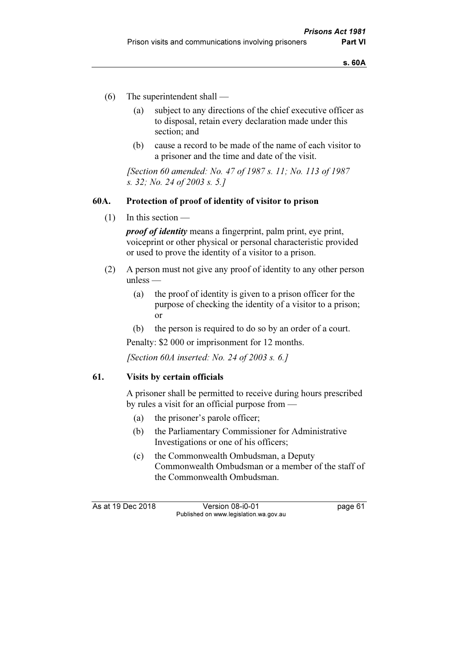- (6) The superintendent shall
	- (a) subject to any directions of the chief executive officer as to disposal, retain every declaration made under this section; and
	- (b) cause a record to be made of the name of each visitor to a prisoner and the time and date of the visit.

 [Section 60 amended: No. 47 of 1987 s. 11; No. 113 of 1987 s. 32; No. 24 of 2003 s. 5.]

### 60A. Protection of proof of identity of visitor to prison

 $(1)$  In this section —

proof of identity means a fingerprint, palm print, eye print, voiceprint or other physical or personal characteristic provided or used to prove the identity of a visitor to a prison.

- (2) A person must not give any proof of identity to any other person unless —
	- (a) the proof of identity is given to a prison officer for the purpose of checking the identity of a visitor to a prison; or
	- (b) the person is required to do so by an order of a court.

Penalty: \$2 000 or imprisonment for 12 months.

[Section 60A inserted: No. 24 of 2003 s. 6.]

#### 61. Visits by certain officials

 A prisoner shall be permitted to receive during hours prescribed by rules a visit for an official purpose from —

- (a) the prisoner's parole officer;
- (b) the Parliamentary Commissioner for Administrative Investigations or one of his officers;
- (c) the Commonwealth Ombudsman, a Deputy Commonwealth Ombudsman or a member of the staff of the Commonwealth Ombudsman.

As at 19 Dec 2018 Version 08-i0-01 page 61 Published on www.legislation.wa.gov.au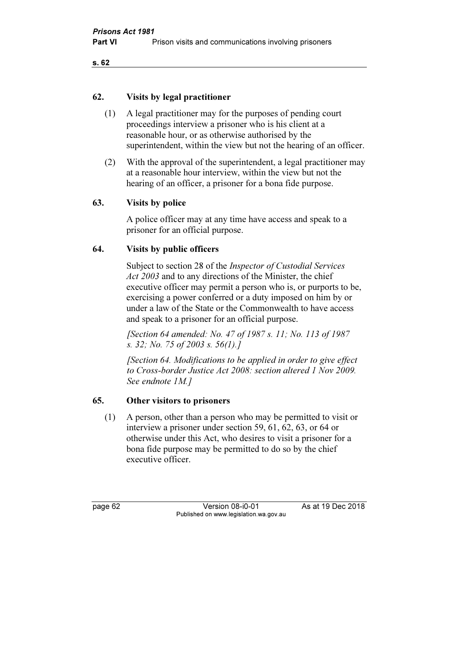### 62. Visits by legal practitioner

- (1) A legal practitioner may for the purposes of pending court proceedings interview a prisoner who is his client at a reasonable hour, or as otherwise authorised by the superintendent, within the view but not the hearing of an officer.
- (2) With the approval of the superintendent, a legal practitioner may at a reasonable hour interview, within the view but not the hearing of an officer, a prisoner for a bona fide purpose.

# 63. Visits by police

 A police officer may at any time have access and speak to a prisoner for an official purpose.

# 64. Visits by public officers

 Subject to section 28 of the Inspector of Custodial Services Act 2003 and to any directions of the Minister, the chief executive officer may permit a person who is, or purports to be, exercising a power conferred or a duty imposed on him by or under a law of the State or the Commonwealth to have access and speak to a prisoner for an official purpose.

 [Section 64 amended: No. 47 of 1987 s. 11; No. 113 of 1987 s. 32; No. 75 of 2003 s. 56(1).]

 [Section 64. Modifications to be applied in order to give effect to Cross-border Justice Act 2008: section altered 1 Nov 2009. See endnote 1M.]

# 65. Other visitors to prisoners

 (1) A person, other than a person who may be permitted to visit or interview a prisoner under section 59, 61, 62, 63, or 64 or otherwise under this Act, who desires to visit a prisoner for a bona fide purpose may be permitted to do so by the chief executive officer.

page 62 Version 08-i0-01 As at 19 Dec 2018 Published on www.legislation.wa.gov.au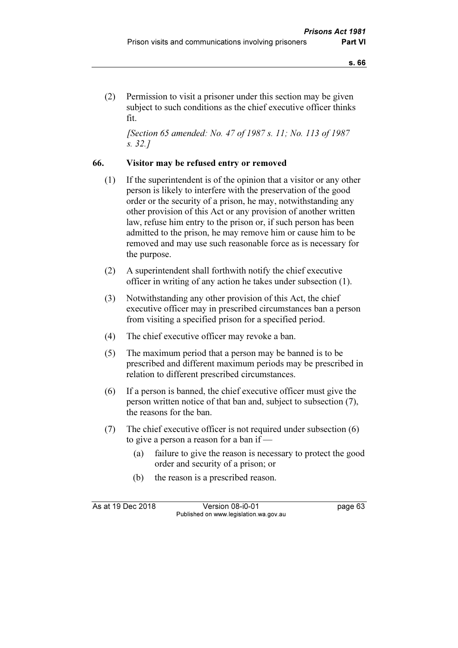(2) Permission to visit a prisoner under this section may be given subject to such conditions as the chief executive officer thinks fit.

 [Section 65 amended: No. 47 of 1987 s. 11; No. 113 of 1987 s. 32.]

#### 66. Visitor may be refused entry or removed

- (1) If the superintendent is of the opinion that a visitor or any other person is likely to interfere with the preservation of the good order or the security of a prison, he may, notwithstanding any other provision of this Act or any provision of another written law, refuse him entry to the prison or, if such person has been admitted to the prison, he may remove him or cause him to be removed and may use such reasonable force as is necessary for the purpose.
- (2) A superintendent shall forthwith notify the chief executive officer in writing of any action he takes under subsection (1).
- (3) Notwithstanding any other provision of this Act, the chief executive officer may in prescribed circumstances ban a person from visiting a specified prison for a specified period.
- (4) The chief executive officer may revoke a ban.
- (5) The maximum period that a person may be banned is to be prescribed and different maximum periods may be prescribed in relation to different prescribed circumstances.
- (6) If a person is banned, the chief executive officer must give the person written notice of that ban and, subject to subsection (7), the reasons for the ban.
- (7) The chief executive officer is not required under subsection (6) to give a person a reason for a ban if —
	- (a) failure to give the reason is necessary to protect the good order and security of a prison; or
	- (b) the reason is a prescribed reason.

As at 19 Dec 2018 Version 08-i0-01 page 63 Published on www.legislation.wa.gov.au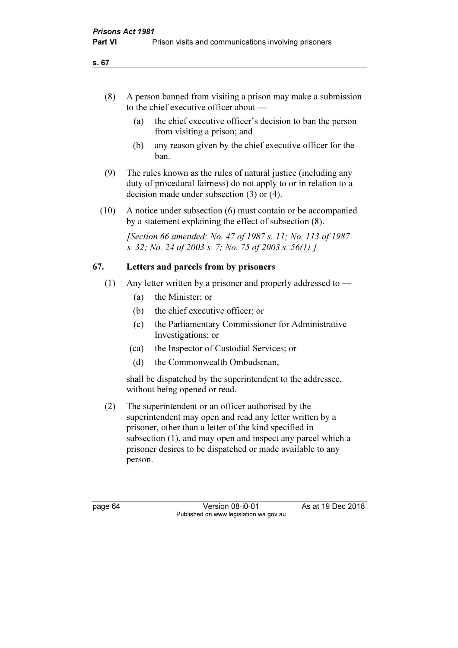- (8) A person banned from visiting a prison may make a submission to the chief executive officer about —
	- (a) the chief executive officer's decision to ban the person from visiting a prison; and
	- (b) any reason given by the chief executive officer for the ban.
- (9) The rules known as the rules of natural justice (including any duty of procedural fairness) do not apply to or in relation to a decision made under subsection (3) or (4).
- (10) A notice under subsection (6) must contain or be accompanied by a statement explaining the effect of subsection (8).

 [Section 66 amended: No. 47 of 1987 s. 11; No. 113 of 1987 s. 32; No. 24 of 2003 s. 7; No. 75 of 2003 s. 56(1).]

### 67. Letters and parcels from by prisoners

- (1) Any letter written by a prisoner and properly addressed to
	- (a) the Minister; or
	- (b) the chief executive officer; or
	- (c) the Parliamentary Commissioner for Administrative Investigations; or
	- (ca) the Inspector of Custodial Services; or
	- (d) the Commonwealth Ombudsman,

 shall be dispatched by the superintendent to the addressee, without being opened or read.

 (2) The superintendent or an officer authorised by the superintendent may open and read any letter written by a prisoner, other than a letter of the kind specified in subsection (1), and may open and inspect any parcel which a prisoner desires to be dispatched or made available to any person.

page 64 Version 08-i0-01 As at 19 Dec 2018 Published on www.legislation.wa.gov.au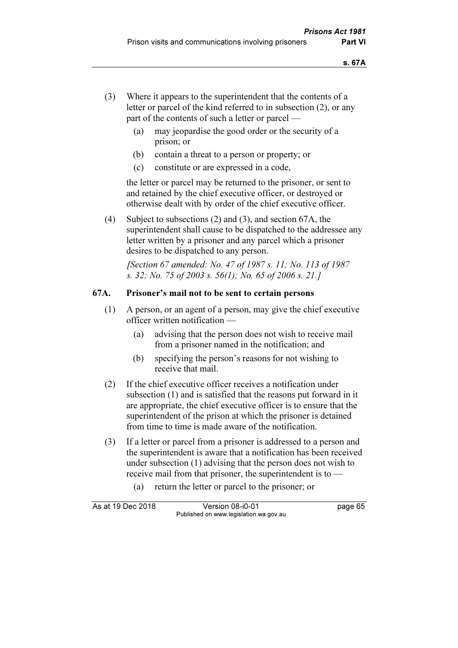- (3) Where it appears to the superintendent that the contents of a letter or parcel of the kind referred to in subsection (2), or any part of the contents of such a letter or parcel —
	- (a) may jeopardise the good order or the security of a prison; or
	- (b) contain a threat to a person or property; or
	- (c) constitute or are expressed in a code,

 the letter or parcel may be returned to the prisoner, or sent to and retained by the chief executive officer, or destroyed or otherwise dealt with by order of the chief executive officer.

 (4) Subject to subsections (2) and (3), and section 67A, the superintendent shall cause to be dispatched to the addressee any letter written by a prisoner and any parcel which a prisoner desires to be dispatched to any person.

 [Section 67 amended: No. 47 of 1987 s. 11; No. 113 of 1987 s. 32; No. 75 of 2003 s. 56(1); No. 65 of 2006 s. 21.]

## 67A. Prisoner's mail not to be sent to certain persons

- (1) A person, or an agent of a person, may give the chief executive officer written notification —
	- (a) advising that the person does not wish to receive mail from a prisoner named in the notification; and
	- (b) specifying the person's reasons for not wishing to receive that mail.
- (2) If the chief executive officer receives a notification under subsection (1) and is satisfied that the reasons put forward in it are appropriate, the chief executive officer is to ensure that the superintendent of the prison at which the prisoner is detained from time to time is made aware of the notification.
- (3) If a letter or parcel from a prisoner is addressed to a person and the superintendent is aware that a notification has been received under subsection (1) advising that the person does not wish to receive mail from that prisoner, the superintendent is to —
	- (a) return the letter or parcel to the prisoner; or

| As at 19 Dec 2018 | Version 08-i0-01                       | page 65 |
|-------------------|----------------------------------------|---------|
|                   | Published on www.legislation.wa.gov.au |         |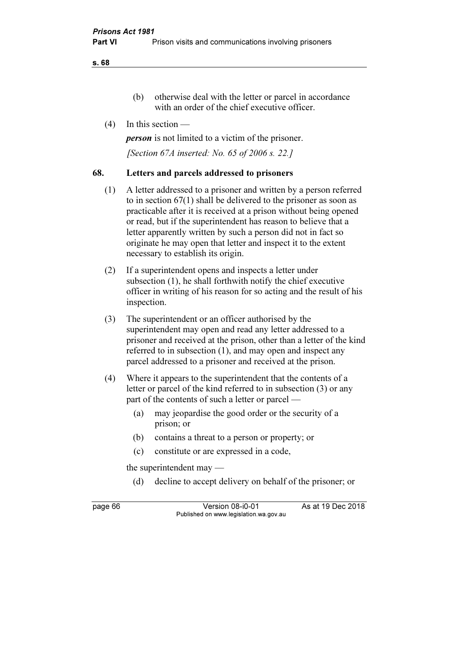s. 68

- (b) otherwise deal with the letter or parcel in accordance with an order of the chief executive officer.
- (4) In this section —

person is not limited to a victim of the prisoner.

[Section 67A inserted: No. 65 of 2006 s. 22.]

### 68. Letters and parcels addressed to prisoners

- (1) A letter addressed to a prisoner and written by a person referred to in section 67(1) shall be delivered to the prisoner as soon as practicable after it is received at a prison without being opened or read, but if the superintendent has reason to believe that a letter apparently written by such a person did not in fact so originate he may open that letter and inspect it to the extent necessary to establish its origin.
- (2) If a superintendent opens and inspects a letter under subsection (1), he shall forthwith notify the chief executive officer in writing of his reason for so acting and the result of his inspection.
- (3) The superintendent or an officer authorised by the superintendent may open and read any letter addressed to a prisoner and received at the prison, other than a letter of the kind referred to in subsection (1), and may open and inspect any parcel addressed to a prisoner and received at the prison.
- (4) Where it appears to the superintendent that the contents of a letter or parcel of the kind referred to in subsection (3) or any part of the contents of such a letter or parcel —
	- (a) may jeopardise the good order or the security of a prison; or
	- (b) contains a threat to a person or property; or
	- (c) constitute or are expressed in a code,

the superintendent may —

(d) decline to accept delivery on behalf of the prisoner; or

page 66 Version 08-i0-01 As at 19 Dec 2018 Published on www.legislation.wa.gov.au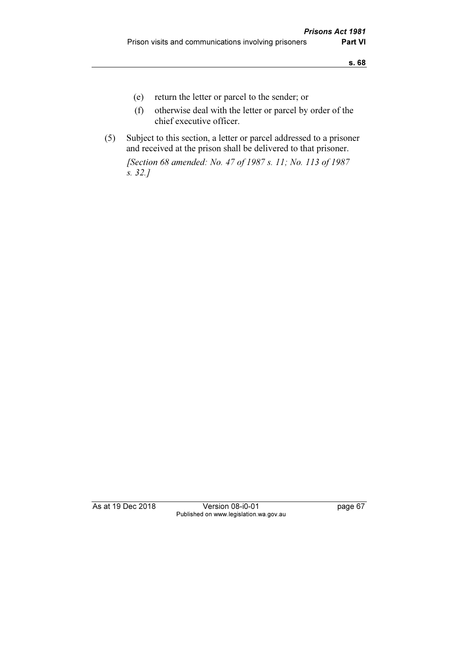- (e) return the letter or parcel to the sender; or
- (f) otherwise deal with the letter or parcel by order of the chief executive officer.
- (5) Subject to this section, a letter or parcel addressed to a prisoner and received at the prison shall be delivered to that prisoner.

 [Section 68 amended: No. 47 of 1987 s. 11; No. 113 of 1987 s. 32.]

As at 19 Dec 2018 Version 08-i0-01 page 67 Published on www.legislation.wa.gov.au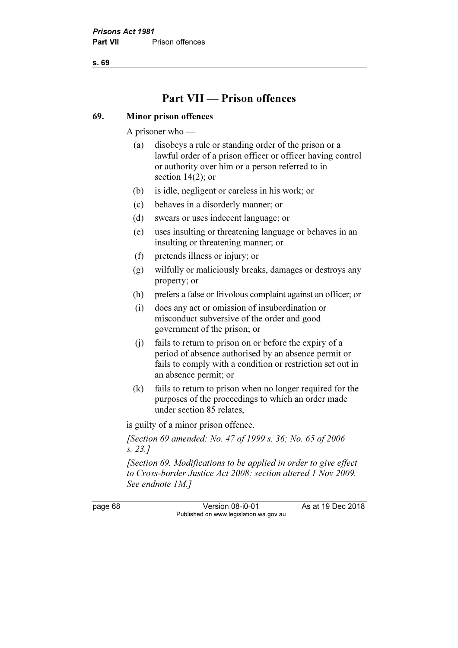s. 69

# Part VII — Prison offences

#### 69. Minor prison offences

A prisoner who —

- (a) disobeys a rule or standing order of the prison or a lawful order of a prison officer or officer having control or authority over him or a person referred to in section 14(2); or
- (b) is idle, negligent or careless in his work; or
- (c) behaves in a disorderly manner; or
- (d) swears or uses indecent language; or
- (e) uses insulting or threatening language or behaves in an insulting or threatening manner; or
- (f) pretends illness or injury; or
- (g) wilfully or maliciously breaks, damages or destroys any property; or
- (h) prefers a false or frivolous complaint against an officer; or
- (i) does any act or omission of insubordination or misconduct subversive of the order and good government of the prison; or
- (j) fails to return to prison on or before the expiry of a period of absence authorised by an absence permit or fails to comply with a condition or restriction set out in an absence permit; or
- (k) fails to return to prison when no longer required for the purposes of the proceedings to which an order made under section 85 relates,

is guilty of a minor prison offence.

[Section 69 amended: No. 47 of 1999 s. 36; No. 65 of 2006] s. 23.]

 [Section 69. Modifications to be applied in order to give effect to Cross-border Justice Act 2008: section altered 1 Nov 2009. See endnote 1M.]

page 68 Version 08-i0-01 As at 19 Dec 2018 Published on www.legislation.wa.gov.au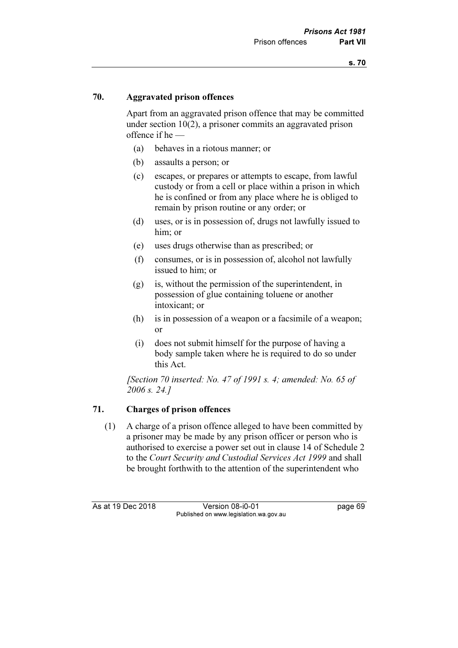### 70. Aggravated prison offences

 Apart from an aggravated prison offence that may be committed under section 10(2), a prisoner commits an aggravated prison offence if he —

- (a) behaves in a riotous manner; or
- (b) assaults a person; or
- (c) escapes, or prepares or attempts to escape, from lawful custody or from a cell or place within a prison in which he is confined or from any place where he is obliged to remain by prison routine or any order; or
- (d) uses, or is in possession of, drugs not lawfully issued to him; or
- (e) uses drugs otherwise than as prescribed; or
- (f) consumes, or is in possession of, alcohol not lawfully issued to him; or
- (g) is, without the permission of the superintendent, in possession of glue containing toluene or another intoxicant; or
- (h) is in possession of a weapon or a facsimile of a weapon; or
- (i) does not submit himself for the purpose of having a body sample taken where he is required to do so under this Act.

[Section 70 inserted: No. 47 of 1991 s. 4; amended: No. 65 of 2006 s. 24.]

## 71. Charges of prison offences

 (1) A charge of a prison offence alleged to have been committed by a prisoner may be made by any prison officer or person who is authorised to exercise a power set out in clause 14 of Schedule 2 to the Court Security and Custodial Services Act 1999 and shall be brought forthwith to the attention of the superintendent who

As at 19 Dec 2018 Version 08-i0-01 page 69 Published on www.legislation.wa.gov.au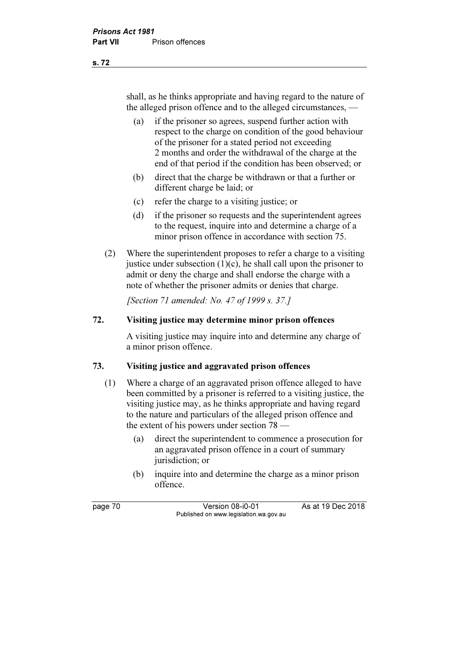shall, as he thinks appropriate and having regard to the nature of the alleged prison offence and to the alleged circumstances, —

- (a) if the prisoner so agrees, suspend further action with respect to the charge on condition of the good behaviour of the prisoner for a stated period not exceeding 2 months and order the withdrawal of the charge at the end of that period if the condition has been observed; or
- (b) direct that the charge be withdrawn or that a further or different charge be laid; or
- (c) refer the charge to a visiting justice; or
- (d) if the prisoner so requests and the superintendent agrees to the request, inquire into and determine a charge of a minor prison offence in accordance with section 75.
- (2) Where the superintendent proposes to refer a charge to a visiting justice under subsection  $(1)(c)$ , he shall call upon the prisoner to admit or deny the charge and shall endorse the charge with a note of whether the prisoner admits or denies that charge.

[Section 71 amended: No. 47 of 1999 s. 37.]

### 72. Visiting justice may determine minor prison offences

 A visiting justice may inquire into and determine any charge of a minor prison offence.

## 73. Visiting justice and aggravated prison offences

- (1) Where a charge of an aggravated prison offence alleged to have been committed by a prisoner is referred to a visiting justice, the visiting justice may, as he thinks appropriate and having regard to the nature and particulars of the alleged prison offence and the extent of his powers under section 78 —
	- (a) direct the superintendent to commence a prosecution for an aggravated prison offence in a court of summary jurisdiction; or
	- (b) inquire into and determine the charge as a minor prison offence.

page 70 Version 08-i0-01 As at 19 Dec 2018 Published on www.legislation.wa.gov.au

s. 72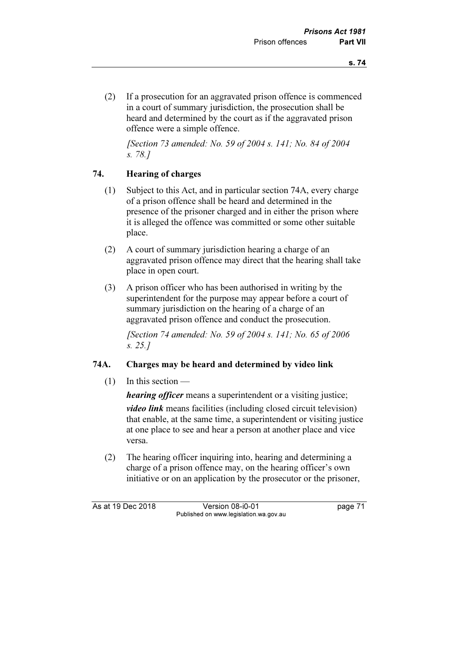(2) If a prosecution for an aggravated prison offence is commenced in a court of summary jurisdiction, the prosecution shall be heard and determined by the court as if the aggravated prison offence were a simple offence.

 [Section 73 amended: No. 59 of 2004 s. 141; No. 84 of 2004 s. 78.]

## 74. Hearing of charges

- (1) Subject to this Act, and in particular section 74A, every charge of a prison offence shall be heard and determined in the presence of the prisoner charged and in either the prison where it is alleged the offence was committed or some other suitable place.
- (2) A court of summary jurisdiction hearing a charge of an aggravated prison offence may direct that the hearing shall take place in open court.
- (3) A prison officer who has been authorised in writing by the superintendent for the purpose may appear before a court of summary jurisdiction on the hearing of a charge of an aggravated prison offence and conduct the prosecution.

 [Section 74 amended: No. 59 of 2004 s. 141; No. 65 of 2006 s. 25.]

## 74A. Charges may be heard and determined by video link

(1) In this section —

*hearing officer* means a superintendent or a visiting justice; video link means facilities (including closed circuit television) that enable, at the same time, a superintendent or visiting justice at one place to see and hear a person at another place and vice versa.

 (2) The hearing officer inquiring into, hearing and determining a charge of a prison offence may, on the hearing officer's own initiative or on an application by the prosecutor or the prisoner,

As at 19 Dec 2018 Version 08-i0-01 bagge 71 Published on www.legislation.wa.gov.au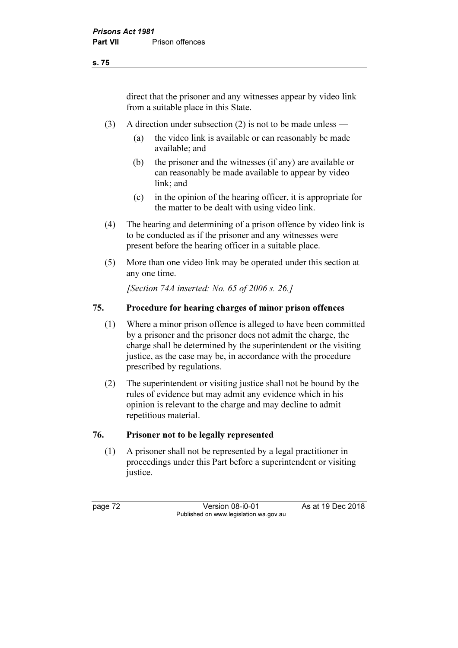direct that the prisoner and any witnesses appear by video link from a suitable place in this State.

- (3) A direction under subsection (2) is not to be made unless
	- (a) the video link is available or can reasonably be made available; and
	- (b) the prisoner and the witnesses (if any) are available or can reasonably be made available to appear by video link; and
	- (c) in the opinion of the hearing officer, it is appropriate for the matter to be dealt with using video link.
- (4) The hearing and determining of a prison offence by video link is to be conducted as if the prisoner and any witnesses were present before the hearing officer in a suitable place.
- (5) More than one video link may be operated under this section at any one time.

[Section 74A inserted: No. 65 of 2006 s. 26.]

### 75. Procedure for hearing charges of minor prison offences

- (1) Where a minor prison offence is alleged to have been committed by a prisoner and the prisoner does not admit the charge, the charge shall be determined by the superintendent or the visiting justice, as the case may be, in accordance with the procedure prescribed by regulations.
- (2) The superintendent or visiting justice shall not be bound by the rules of evidence but may admit any evidence which in his opinion is relevant to the charge and may decline to admit repetitious material.

#### 76. Prisoner not to be legally represented

 (1) A prisoner shall not be represented by a legal practitioner in proceedings under this Part before a superintendent or visiting justice.

page 72 Version 08-i0-01 As at 19 Dec 2018 Published on www.legislation.wa.gov.au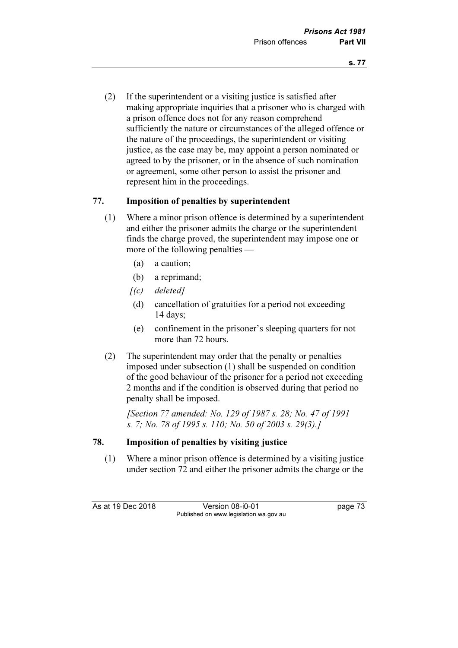(2) If the superintendent or a visiting justice is satisfied after making appropriate inquiries that a prisoner who is charged with a prison offence does not for any reason comprehend sufficiently the nature or circumstances of the alleged offence or the nature of the proceedings, the superintendent or visiting justice, as the case may be, may appoint a person nominated or agreed to by the prisoner, or in the absence of such nomination or agreement, some other person to assist the prisoner and represent him in the proceedings.

## 77. Imposition of penalties by superintendent

- (1) Where a minor prison offence is determined by a superintendent and either the prisoner admits the charge or the superintendent finds the charge proved, the superintendent may impose one or more of the following penalties —
	- (a) a caution;
	- (b) a reprimand;
	- $[(c)$  deleted]
	- (d) cancellation of gratuities for a period not exceeding 14 days;
	- (e) confinement in the prisoner's sleeping quarters for not more than 72 hours.
- (2) The superintendent may order that the penalty or penalties imposed under subsection (1) shall be suspended on condition of the good behaviour of the prisoner for a period not exceeding 2 months and if the condition is observed during that period no penalty shall be imposed.

 [Section 77 amended: No. 129 of 1987 s. 28; No. 47 of 1991 s. 7; No. 78 of 1995 s. 110; No. 50 of 2003 s. 29(3).]

## 78. Imposition of penalties by visiting justice

 (1) Where a minor prison offence is determined by a visiting justice under section 72 and either the prisoner admits the charge or the

As at 19 Dec 2018 Version 08-i0-01 bagge 73 Published on www.legislation.wa.gov.au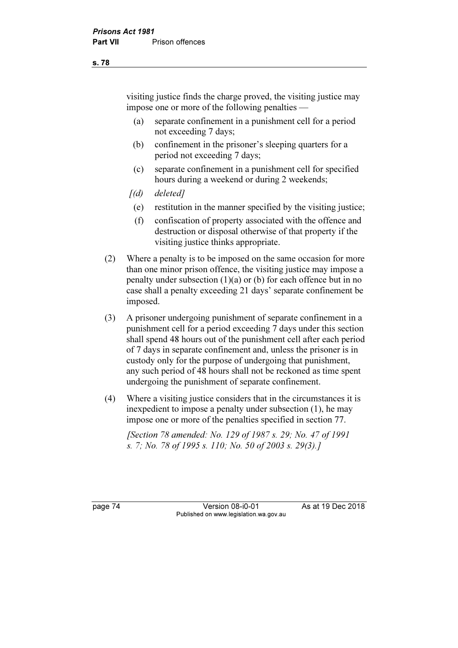visiting justice finds the charge proved, the visiting justice may impose one or more of the following penalties —

- (a) separate confinement in a punishment cell for a period not exceeding 7 days;
- (b) confinement in the prisoner's sleeping quarters for a period not exceeding 7 days;
- (c) separate confinement in a punishment cell for specified hours during a weekend or during 2 weekends;
- $[(d)$  deleted]
- (e) restitution in the manner specified by the visiting justice;
- (f) confiscation of property associated with the offence and destruction or disposal otherwise of that property if the visiting justice thinks appropriate.
- (2) Where a penalty is to be imposed on the same occasion for more than one minor prison offence, the visiting justice may impose a penalty under subsection (1)(a) or (b) for each offence but in no case shall a penalty exceeding 21 days' separate confinement be imposed.
- (3) A prisoner undergoing punishment of separate confinement in a punishment cell for a period exceeding 7 days under this section shall spend 48 hours out of the punishment cell after each period of 7 days in separate confinement and, unless the prisoner is in custody only for the purpose of undergoing that punishment, any such period of 48 hours shall not be reckoned as time spent undergoing the punishment of separate confinement.
- (4) Where a visiting justice considers that in the circumstances it is inexpedient to impose a penalty under subsection (1), he may impose one or more of the penalties specified in section 77.

 [Section 78 amended: No. 129 of 1987 s. 29; No. 47 of 1991 s. 7; No. 78 of 1995 s. 110; No. 50 of 2003 s. 29(3).]

page 74 Version 08-i0-01 As at 19 Dec 2018 Published on www.legislation.wa.gov.au

s. 78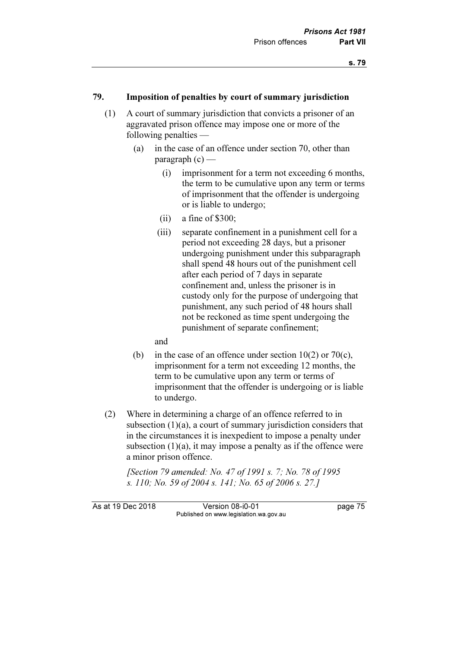#### 79. Imposition of penalties by court of summary jurisdiction

- (1) A court of summary jurisdiction that convicts a prisoner of an aggravated prison offence may impose one or more of the following penalties —
	- (a) in the case of an offence under section 70, other than paragraph  $(c)$  —
		- (i) imprisonment for a term not exceeding 6 months, the term to be cumulative upon any term or terms of imprisonment that the offender is undergoing or is liable to undergo;
		- $(ii)$  a fine of \$300;
		- (iii) separate confinement in a punishment cell for a period not exceeding 28 days, but a prisoner undergoing punishment under this subparagraph shall spend 48 hours out of the punishment cell after each period of 7 days in separate confinement and, unless the prisoner is in custody only for the purpose of undergoing that punishment, any such period of 48 hours shall not be reckoned as time spent undergoing the punishment of separate confinement;

and

- (b) in the case of an offence under section  $10(2)$  or  $70(c)$ , imprisonment for a term not exceeding 12 months, the term to be cumulative upon any term or terms of imprisonment that the offender is undergoing or is liable to undergo.
- (2) Where in determining a charge of an offence referred to in subsection (1)(a), a court of summary jurisdiction considers that in the circumstances it is inexpedient to impose a penalty under subsection  $(1)(a)$ , it may impose a penalty as if the offence were a minor prison offence.

 [Section 79 amended: No. 47 of 1991 s. 7; No. 78 of 1995 s. 110; No. 59 of 2004 s. 141; No. 65 of 2006 s. 27.]

As at 19 Dec 2018 Version 08-i0-01 bagge 75 Published on www.legislation.wa.gov.au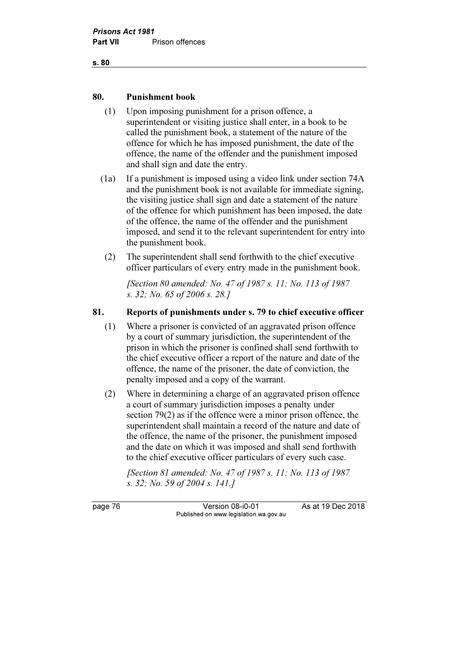

#### 80. Punishment book

- (1) Upon imposing punishment for a prison offence, a superintendent or visiting justice shall enter, in a book to be called the punishment book, a statement of the nature of the offence for which he has imposed punishment, the date of the offence, the name of the offender and the punishment imposed and shall sign and date the entry.
- (1a) If a punishment is imposed using a video link under section 74A and the punishment book is not available for immediate signing, the visiting justice shall sign and date a statement of the nature of the offence for which punishment has been imposed, the date of the offence, the name of the offender and the punishment imposed, and send it to the relevant superintendent for entry into the punishment book.
- (2) The superintendent shall send forthwith to the chief executive officer particulars of every entry made in the punishment book.

 [Section 80 amended: No. 47 of 1987 s. 11; No. 113 of 1987 s. 32; No. 65 of 2006 s. 28.]

### 81. Reports of punishments under s. 79 to chief executive officer

- (1) Where a prisoner is convicted of an aggravated prison offence by a court of summary jurisdiction, the superintendent of the prison in which the prisoner is confined shall send forthwith to the chief executive officer a report of the nature and date of the offence, the name of the prisoner, the date of conviction, the penalty imposed and a copy of the warrant.
- (2) Where in determining a charge of an aggravated prison offence a court of summary jurisdiction imposes a penalty under section 79(2) as if the offence were a minor prison offence, the superintendent shall maintain a record of the nature and date of the offence, the name of the prisoner, the punishment imposed and the date on which it was imposed and shall send forthwith to the chief executive officer particulars of every such case.

 [Section 81 amended: No. 47 of 1987 s. 11; No. 113 of 1987 s. 32; No. 59 of 2004 s. 141.]

page 76 Version 08-i0-01 As at 19 Dec 2018 Published on www.legislation.wa.gov.au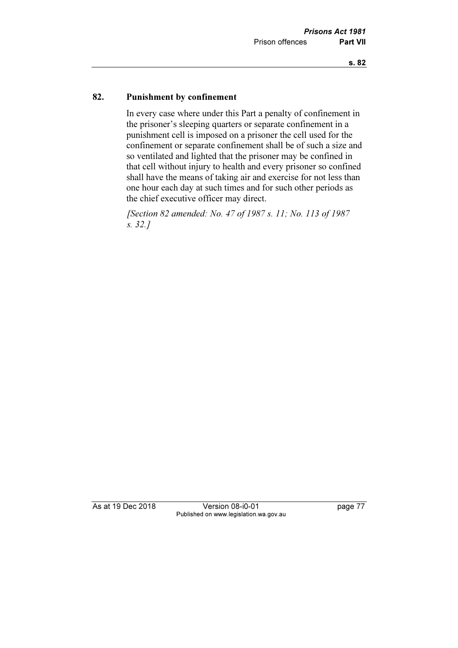### 82. Punishment by confinement

 In every case where under this Part a penalty of confinement in the prisoner's sleeping quarters or separate confinement in a punishment cell is imposed on a prisoner the cell used for the confinement or separate confinement shall be of such a size and so ventilated and lighted that the prisoner may be confined in that cell without injury to health and every prisoner so confined shall have the means of taking air and exercise for not less than one hour each day at such times and for such other periods as the chief executive officer may direct.

 [Section 82 amended: No. 47 of 1987 s. 11; No. 113 of 1987 s. 32.]

As at 19 Dec 2018 Version 08-i0-01 page 77 Published on www.legislation.wa.gov.au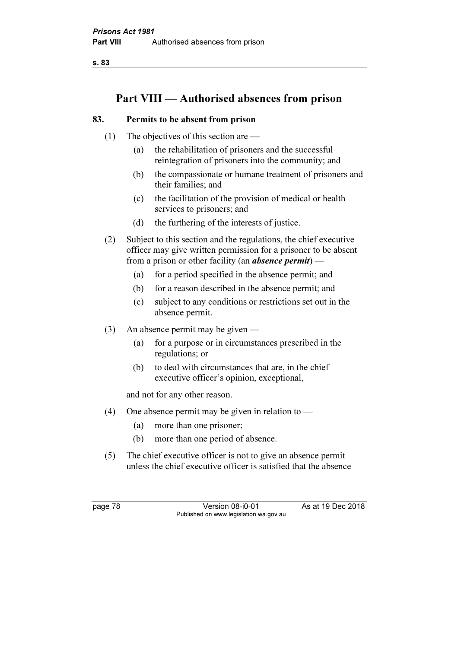s. 83

# Part VIII — Authorised absences from prison

## 83. Permits to be absent from prison

- (1) The objectives of this section are
	- (a) the rehabilitation of prisoners and the successful reintegration of prisoners into the community; and
	- (b) the compassionate or humane treatment of prisoners and their families; and
	- (c) the facilitation of the provision of medical or health services to prisoners; and
	- (d) the furthering of the interests of justice.
- (2) Subject to this section and the regulations, the chief executive officer may give written permission for a prisoner to be absent from a prison or other facility (an **absence permit**) —
	- (a) for a period specified in the absence permit; and
	- (b) for a reason described in the absence permit; and
	- (c) subject to any conditions or restrictions set out in the absence permit.
- (3) An absence permit may be given
	- (a) for a purpose or in circumstances prescribed in the regulations; or
	- (b) to deal with circumstances that are, in the chief executive officer's opinion, exceptional,

and not for any other reason.

- (4) One absence permit may be given in relation to  $-$ 
	- (a) more than one prisoner;
	- (b) more than one period of absence.
- (5) The chief executive officer is not to give an absence permit unless the chief executive officer is satisfied that the absence

page 78 Version 08-i0-01 As at 19 Dec 2018 Published on www.legislation.wa.gov.au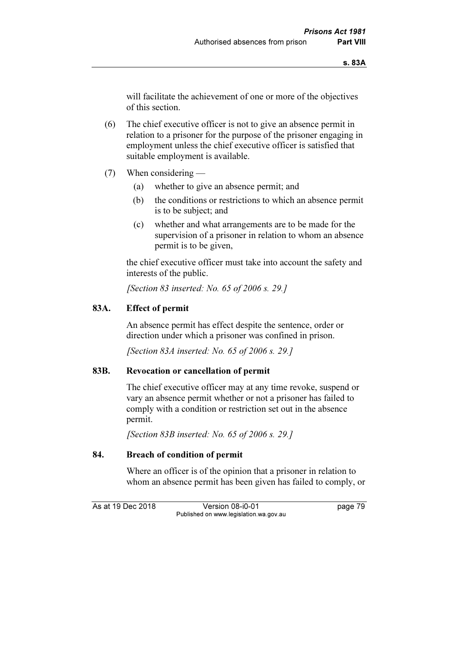will facilitate the achievement of one or more of the objectives of this section.

 (6) The chief executive officer is not to give an absence permit in relation to a prisoner for the purpose of the prisoner engaging in employment unless the chief executive officer is satisfied that suitable employment is available.

- (7) When considering
	- (a) whether to give an absence permit; and
	- (b) the conditions or restrictions to which an absence permit is to be subject; and
	- (c) whether and what arrangements are to be made for the supervision of a prisoner in relation to whom an absence permit is to be given,

 the chief executive officer must take into account the safety and interests of the public.

[Section 83 inserted: No. 65 of 2006 s. 29.]

## 83A. Effect of permit

 An absence permit has effect despite the sentence, order or direction under which a prisoner was confined in prison.

[Section 83A inserted: No. 65 of 2006 s. 29.]

## 83B. Revocation or cancellation of permit

 The chief executive officer may at any time revoke, suspend or vary an absence permit whether or not a prisoner has failed to comply with a condition or restriction set out in the absence permit.

[Section 83B inserted: No. 65 of 2006 s. 29.]

#### 84. Breach of condition of permit

 Where an officer is of the opinion that a prisoner in relation to whom an absence permit has been given has failed to comply, or

As at 19 Dec 2018 Version 08-i0-01 bagge 79 Published on www.legislation.wa.gov.au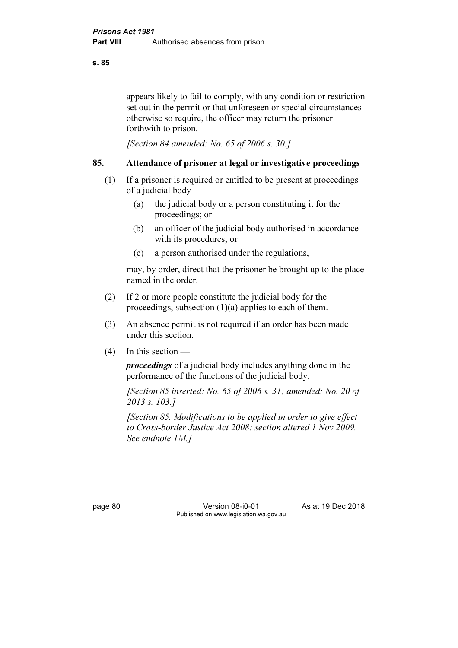appears likely to fail to comply, with any condition or restriction set out in the permit or that unforeseen or special circumstances otherwise so require, the officer may return the prisoner forthwith to prison.

[Section 84 amended: No. 65 of 2006 s. 30.]

#### 85. Attendance of prisoner at legal or investigative proceedings

- (1) If a prisoner is required or entitled to be present at proceedings of a judicial body —
	- (a) the judicial body or a person constituting it for the proceedings; or
	- (b) an officer of the judicial body authorised in accordance with its procedures; or
	- (c) a person authorised under the regulations,

 may, by order, direct that the prisoner be brought up to the place named in the order.

- (2) If 2 or more people constitute the judicial body for the proceedings, subsection (1)(a) applies to each of them.
- (3) An absence permit is not required if an order has been made under this section.
- $(4)$  In this section —

proceedings of a judicial body includes anything done in the performance of the functions of the judicial body.

[Section 85 inserted: No. 65 of 2006 s. 31; amended: No. 20 of 2013 s. 103.]

 [Section 85. Modifications to be applied in order to give effect to Cross-border Justice Act 2008: section altered 1 Nov 2009. See endnote 1M.]

page 80 Version 08-i0-01 As at 19 Dec 2018 Published on www.legislation.wa.gov.au

s. 85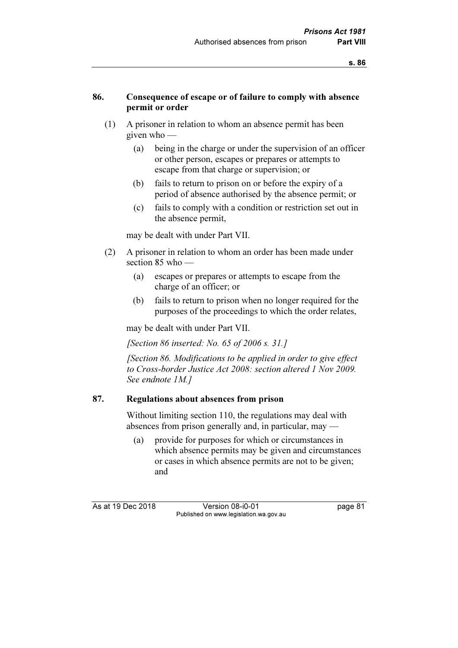### 86. Consequence of escape or of failure to comply with absence permit or order

- (1) A prisoner in relation to whom an absence permit has been given who —
	- (a) being in the charge or under the supervision of an officer or other person, escapes or prepares or attempts to escape from that charge or supervision; or
	- (b) fails to return to prison on or before the expiry of a period of absence authorised by the absence permit; or
	- (c) fails to comply with a condition or restriction set out in the absence permit,

may be dealt with under Part VII.

- (2) A prisoner in relation to whom an order has been made under section 85 who —
	- (a) escapes or prepares or attempts to escape from the charge of an officer; or
	- (b) fails to return to prison when no longer required for the purposes of the proceedings to which the order relates,

may be dealt with under Part VII.

[Section 86 inserted: No. 65 of 2006 s. 31.]

 [Section 86. Modifications to be applied in order to give effect to Cross-border Justice Act 2008: section altered 1 Nov 2009. See endnote 1M.]

#### 87. Regulations about absences from prison

 Without limiting section 110, the regulations may deal with absences from prison generally and, in particular, may —

 (a) provide for purposes for which or circumstances in which absence permits may be given and circumstances or cases in which absence permits are not to be given; and

As at 19 Dec 2018 Version 08-i0-01 page 81 Published on www.legislation.wa.gov.au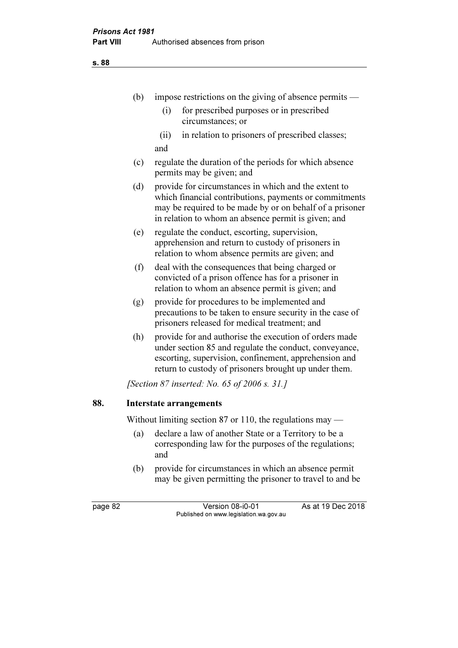s. 88

|         | (b) | impose restrictions on the giving of absence permits —                                                                                                                                                                             |  |  |
|---------|-----|------------------------------------------------------------------------------------------------------------------------------------------------------------------------------------------------------------------------------------|--|--|
|         |     | for prescribed purposes or in prescribed<br>(i)<br>circumstances; or                                                                                                                                                               |  |  |
|         |     | in relation to prisoners of prescribed classes;<br>(ii)<br>and                                                                                                                                                                     |  |  |
|         | (c) | regulate the duration of the periods for which absence<br>permits may be given; and                                                                                                                                                |  |  |
|         | (d) | provide for circumstances in which and the extent to<br>which financial contributions, payments or commitments<br>may be required to be made by or on behalf of a prisoner<br>in relation to whom an absence permit is given; and  |  |  |
|         | (e) | regulate the conduct, escorting, supervision,<br>apprehension and return to custody of prisoners in<br>relation to whom absence permits are given; and                                                                             |  |  |
|         | (f) | deal with the consequences that being charged or<br>convicted of a prison offence has for a prisoner in<br>relation to whom an absence permit is given; and                                                                        |  |  |
|         | (g) | provide for procedures to be implemented and<br>precautions to be taken to ensure security in the case of<br>prisoners released for medical treatment; and                                                                         |  |  |
|         | (h) | provide for and authorise the execution of orders made<br>under section 85 and regulate the conduct, conveyance,<br>escorting, supervision, confinement, apprehension and<br>return to custody of prisoners brought up under them. |  |  |
|         |     | <i>[Section 87 inserted: No. 65 of 2006 s. 31.]</i>                                                                                                                                                                                |  |  |
| 88.     |     | <b>Interstate arrangements</b>                                                                                                                                                                                                     |  |  |
|         |     | Without limiting section 87 or 110, the regulations may $-$                                                                                                                                                                        |  |  |
|         | (a) | declare a law of another State or a Territory to be a<br>corresponding law for the purposes of the regulations;<br>and                                                                                                             |  |  |
|         | (b) | provide for circumstances in which an absence permit<br>may be given permitting the prisoner to travel to and be                                                                                                                   |  |  |
| page 82 |     | As at 19 Dec 2018<br>Version 08-i0-01                                                                                                                                                                                              |  |  |
|         |     | Published on www.legislation.wa.gov.au                                                                                                                                                                                             |  |  |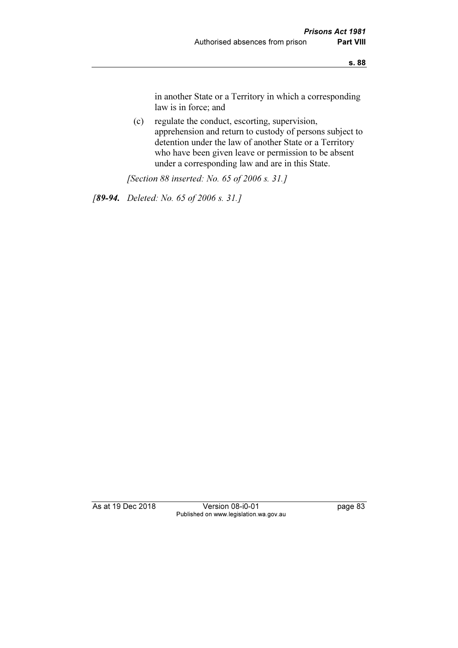in another State or a Territory in which a corresponding law is in force; and

 (c) regulate the conduct, escorting, supervision, apprehension and return to custody of persons subject to detention under the law of another State or a Territory who have been given leave or permission to be absent under a corresponding law and are in this State.

[Section 88 inserted: No. 65 of 2006 s. 31.]

[89-94. Deleted: No. 65 of 2006 s. 31.]

As at 19 Dec 2018 Version 08-i0-01 page 83 Published on www.legislation.wa.gov.au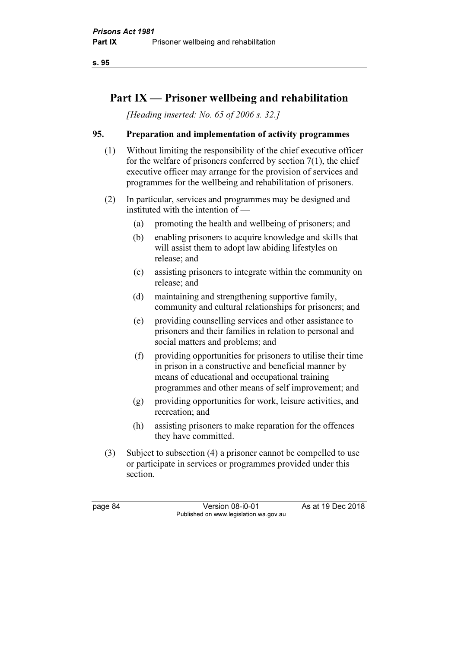s. 95

# Part IX — Prisoner wellbeing and rehabilitation

[Heading inserted: No. 65 of 2006 s. 32.]

## 95. Preparation and implementation of activity programmes

- (1) Without limiting the responsibility of the chief executive officer for the welfare of prisoners conferred by section 7(1), the chief executive officer may arrange for the provision of services and programmes for the wellbeing and rehabilitation of prisoners.
- (2) In particular, services and programmes may be designed and instituted with the intention of —
	- (a) promoting the health and wellbeing of prisoners; and
	- (b) enabling prisoners to acquire knowledge and skills that will assist them to adopt law abiding lifestyles on release; and
	- (c) assisting prisoners to integrate within the community on release; and
	- (d) maintaining and strengthening supportive family, community and cultural relationships for prisoners; and
	- (e) providing counselling services and other assistance to prisoners and their families in relation to personal and social matters and problems; and
	- (f) providing opportunities for prisoners to utilise their time in prison in a constructive and beneficial manner by means of educational and occupational training programmes and other means of self improvement; and
	- (g) providing opportunities for work, leisure activities, and recreation; and
	- (h) assisting prisoners to make reparation for the offences they have committed.
- (3) Subject to subsection (4) a prisoner cannot be compelled to use or participate in services or programmes provided under this section.

page 84 Version 08-i0-01 As at 19 Dec 2018 Published on www.legislation.wa.gov.au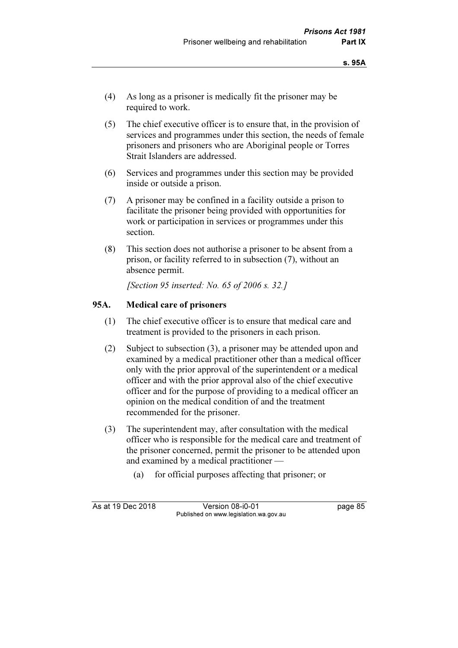- (4) As long as a prisoner is medically fit the prisoner may be required to work.
- (5) The chief executive officer is to ensure that, in the provision of services and programmes under this section, the needs of female prisoners and prisoners who are Aboriginal people or Torres Strait Islanders are addressed.
- (6) Services and programmes under this section may be provided inside or outside a prison.
- (7) A prisoner may be confined in a facility outside a prison to facilitate the prisoner being provided with opportunities for work or participation in services or programmes under this section.
- (8) This section does not authorise a prisoner to be absent from a prison, or facility referred to in subsection (7), without an absence permit.

[Section 95 inserted: No. 65 of 2006 s. 32.]

### 95A. Medical care of prisoners

- (1) The chief executive officer is to ensure that medical care and treatment is provided to the prisoners in each prison.
- (2) Subject to subsection (3), a prisoner may be attended upon and examined by a medical practitioner other than a medical officer only with the prior approval of the superintendent or a medical officer and with the prior approval also of the chief executive officer and for the purpose of providing to a medical officer an opinion on the medical condition of and the treatment recommended for the prisoner.
- (3) The superintendent may, after consultation with the medical officer who is responsible for the medical care and treatment of the prisoner concerned, permit the prisoner to be attended upon and examined by a medical practitioner —
	- (a) for official purposes affecting that prisoner; or

As at 19 Dec 2018 Version 08-i0-01 page 85 Published on www.legislation.wa.gov.au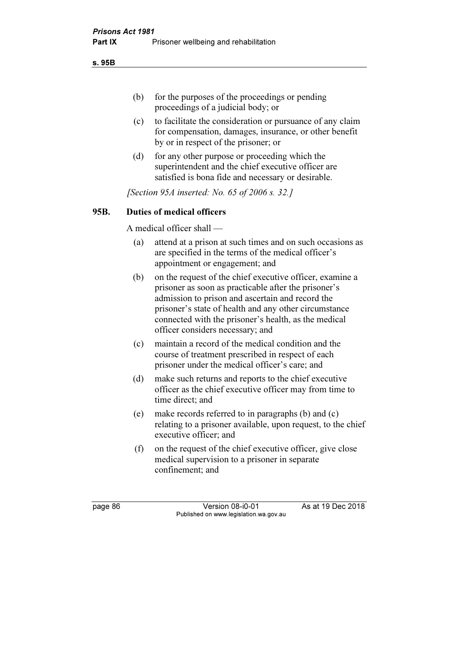s. 95B

- (b) for the purposes of the proceedings or pending proceedings of a judicial body; or
- (c) to facilitate the consideration or pursuance of any claim for compensation, damages, insurance, or other benefit by or in respect of the prisoner; or
- (d) for any other purpose or proceeding which the superintendent and the chief executive officer are satisfied is bona fide and necessary or desirable.

[Section 95A inserted: No. 65 of 2006 s. 32.]

## 95B. Duties of medical officers

A medical officer shall —

- (a) attend at a prison at such times and on such occasions as are specified in the terms of the medical officer's appointment or engagement; and
- (b) on the request of the chief executive officer, examine a prisoner as soon as practicable after the prisoner's admission to prison and ascertain and record the prisoner's state of health and any other circumstance connected with the prisoner's health, as the medical officer considers necessary; and
- (c) maintain a record of the medical condition and the course of treatment prescribed in respect of each prisoner under the medical officer's care; and
- (d) make such returns and reports to the chief executive officer as the chief executive officer may from time to time direct; and
- (e) make records referred to in paragraphs (b) and (c) relating to a prisoner available, upon request, to the chief executive officer; and
- (f) on the request of the chief executive officer, give close medical supervision to a prisoner in separate confinement; and

page 86 Version 08-i0-01 As at 19 Dec 2018 Published on www.legislation.wa.gov.au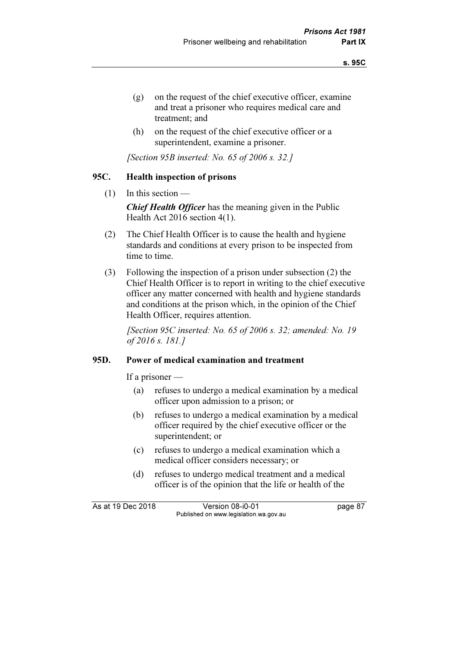- (g) on the request of the chief executive officer, examine and treat a prisoner who requires medical care and treatment; and
- (h) on the request of the chief executive officer or a superintendent, examine a prisoner.

[Section 95B inserted: No. 65 of 2006 s. 32.]

#### 95C. Health inspection of prisons

(1) In this section —

**Chief Health Officer** has the meaning given in the Public Health Act 2016 section 4(1).

- (2) The Chief Health Officer is to cause the health and hygiene standards and conditions at every prison to be inspected from time to time.
- (3) Following the inspection of a prison under subsection (2) the Chief Health Officer is to report in writing to the chief executive officer any matter concerned with health and hygiene standards and conditions at the prison which, in the opinion of the Chief Health Officer, requires attention.

[Section 95C inserted: No. 65 of 2006 s. 32; amended: No. 19 of 2016 s. 181.]

#### 95D. Power of medical examination and treatment

If a prisoner —

- (a) refuses to undergo a medical examination by a medical officer upon admission to a prison; or
- (b) refuses to undergo a medical examination by a medical officer required by the chief executive officer or the superintendent; or
- (c) refuses to undergo a medical examination which a medical officer considers necessary; or
- (d) refuses to undergo medical treatment and a medical officer is of the opinion that the life or health of the

As at 19 Dec 2018 Version 08-i0-01 bagge 87 Published on www.legislation.wa.gov.au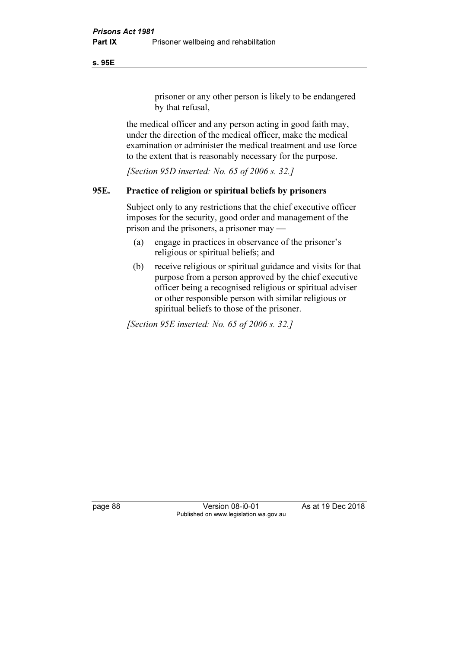s. 95E

prisoner or any other person is likely to be endangered by that refusal,

 the medical officer and any person acting in good faith may, under the direction of the medical officer, make the medical examination or administer the medical treatment and use force to the extent that is reasonably necessary for the purpose.

[Section 95D inserted: No. 65 of 2006 s. 32.]

## 95E. Practice of religion or spiritual beliefs by prisoners

 Subject only to any restrictions that the chief executive officer imposes for the security, good order and management of the prison and the prisoners, a prisoner may —

- (a) engage in practices in observance of the prisoner's religious or spiritual beliefs; and
- (b) receive religious or spiritual guidance and visits for that purpose from a person approved by the chief executive officer being a recognised religious or spiritual adviser or other responsible person with similar religious or spiritual beliefs to those of the prisoner.

[Section 95E inserted: No. 65 of 2006 s. 32.]

page 88 Version 08-i0-01 As at 19 Dec 2018 Published on www.legislation.wa.gov.au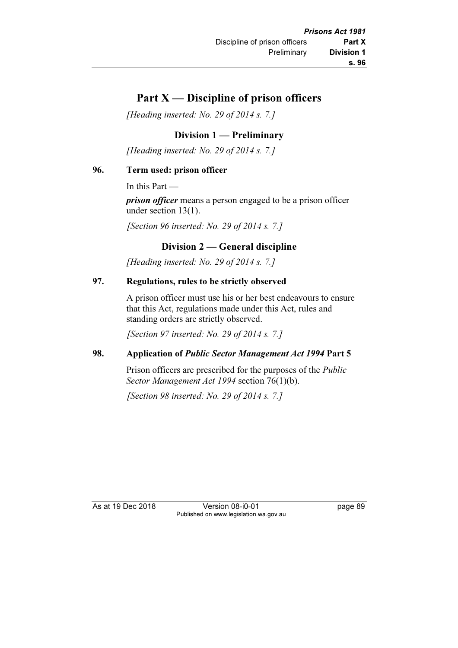# Part  $X$  — Discipline of prison officers

[Heading inserted: No. 29 of 2014 s. 7.]

## Division 1 — Preliminary

[Heading inserted: No. 29 of 2014 s. 7.]

### 96. Term used: prison officer

In this Part —

prison officer means a person engaged to be a prison officer under section 13(1).

[Section 96 inserted: No. 29 of 2014 s. 7.]

## Division 2 — General discipline

[Heading inserted: No. 29 of 2014 s. 7.]

## 97. Regulations, rules to be strictly observed

 A prison officer must use his or her best endeavours to ensure that this Act, regulations made under this Act, rules and standing orders are strictly observed.

[Section 97 inserted: No. 29 of 2014 s. 7.]

## 98. Application of Public Sector Management Act 1994 Part 5

 Prison officers are prescribed for the purposes of the Public Sector Management Act 1994 section 76(1)(b).

[Section 98 inserted: No. 29 of 2014 s. 7.]

As at 19 Dec 2018 Version 08-i0-01 page 89 Published on www.legislation.wa.gov.au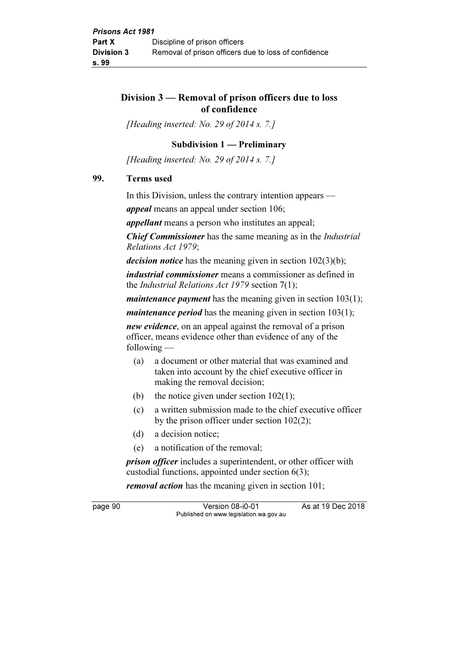## Division 3 — Removal of prison officers due to loss of confidence

[Heading inserted: No. 29 of 2014 s. 7.]

### Subdivision 1 — Preliminary

[Heading inserted: No. 29 of 2014 s. 7.]

#### 99. Terms used

In this Division, unless the contrary intention appears —

appeal means an appeal under section 106;

appellant means a person who institutes an appeal;

Chief Commissioner has the same meaning as in the Industrial Relations Act 1979;

*decision notice* has the meaning given in section  $102(3)(b)$ ;

*industrial commissioner* means a commissioner as defined in the Industrial Relations Act 1979 section 7(1);

*maintenance payment* has the meaning given in section  $103(1)$ ;

*maintenance period* has the meaning given in section  $103(1)$ ;

new evidence, on an appeal against the removal of a prison officer, means evidence other than evidence of any of the following —

- (a) a document or other material that was examined and taken into account by the chief executive officer in making the removal decision;
- (b) the notice given under section  $102(1)$ ;
- (c) a written submission made to the chief executive officer by the prison officer under section 102(2);
- (d) a decision notice;
- (e) a notification of the removal;

*prison officer* includes a superintendent, or other officer with custodial functions, appointed under section 6(3);

removal action has the meaning given in section 101;

page 90 Version 08-i0-01 As at 19 Dec 2018 Published on www.legislation.wa.gov.au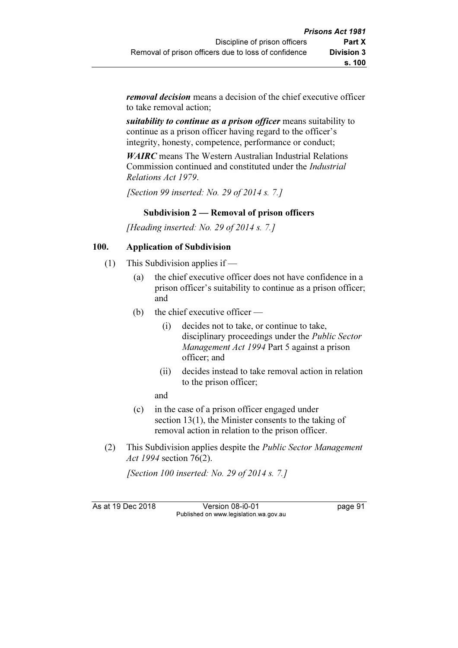removal decision means a decision of the chief executive officer to take removal action;

suitability to continue as a prison officer means suitability to continue as a prison officer having regard to the officer's integrity, honesty, competence, performance or conduct;

WAIRC means The Western Australian Industrial Relations Commission continued and constituted under the Industrial Relations Act 1979.

[Section 99 inserted: No. 29 of 2014 s. 7.]

## Subdivision 2 — Removal of prison officers

[Heading inserted: No. 29 of 2014 s. 7.]

## 100. Application of Subdivision

- (1) This Subdivision applies if
	- (a) the chief executive officer does not have confidence in a prison officer's suitability to continue as a prison officer; and
	- (b) the chief executive officer
		- (i) decides not to take, or continue to take, disciplinary proceedings under the Public Sector Management Act 1994 Part 5 against a prison officer; and
		- (ii) decides instead to take removal action in relation to the prison officer;
		- and
	- (c) in the case of a prison officer engaged under section 13(1), the Minister consents to the taking of removal action in relation to the prison officer.
- (2) This Subdivision applies despite the Public Sector Management Act 1994 section 76(2).

[Section 100 inserted: No. 29 of 2014 s. 7.]

As at 19 Dec 2018 Version 08-i0-01 page 91 Published on www.legislation.wa.gov.au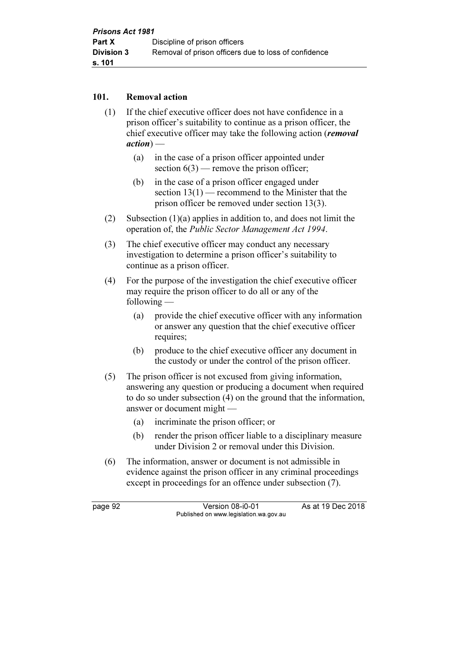### 101. Removal action

- (1) If the chief executive officer does not have confidence in a prison officer's suitability to continue as a prison officer, the chief executive officer may take the following action (removal  $action)$  —
	- (a) in the case of a prison officer appointed under section  $6(3)$  — remove the prison officer;
	- (b) in the case of a prison officer engaged under section  $13(1)$  — recommend to the Minister that the prison officer be removed under section 13(3).
- (2) Subsection (1)(a) applies in addition to, and does not limit the operation of, the Public Sector Management Act 1994.
- (3) The chief executive officer may conduct any necessary investigation to determine a prison officer's suitability to continue as a prison officer.
- (4) For the purpose of the investigation the chief executive officer may require the prison officer to do all or any of the following —
	- (a) provide the chief executive officer with any information or answer any question that the chief executive officer requires;
	- (b) produce to the chief executive officer any document in the custody or under the control of the prison officer.
- (5) The prison officer is not excused from giving information, answering any question or producing a document when required to do so under subsection (4) on the ground that the information, answer or document might —
	- (a) incriminate the prison officer; or
	- (b) render the prison officer liable to a disciplinary measure under Division 2 or removal under this Division.
- (6) The information, answer or document is not admissible in evidence against the prison officer in any criminal proceedings except in proceedings for an offence under subsection (7).

page 92 Version 08-i0-01 As at 19 Dec 2018 Published on www.legislation.wa.gov.au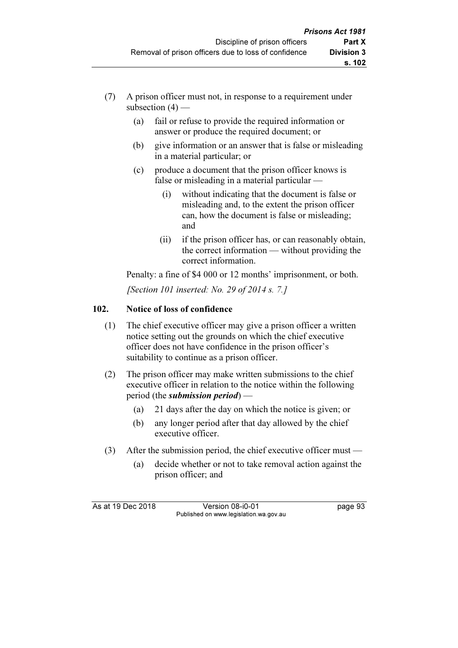- (7) A prison officer must not, in response to a requirement under subsection  $(4)$  —
	- (a) fail or refuse to provide the required information or answer or produce the required document; or
	- (b) give information or an answer that is false or misleading in a material particular; or
	- (c) produce a document that the prison officer knows is false or misleading in a material particular —
		- (i) without indicating that the document is false or misleading and, to the extent the prison officer can, how the document is false or misleading; and
		- (ii) if the prison officer has, or can reasonably obtain, the correct information — without providing the correct information.

 Penalty: a fine of \$4 000 or 12 months' imprisonment, or both. [Section 101 inserted: No. 29 of 2014 s. 7.]

## 102. Notice of loss of confidence

- (1) The chief executive officer may give a prison officer a written notice setting out the grounds on which the chief executive officer does not have confidence in the prison officer's suitability to continue as a prison officer.
- (2) The prison officer may make written submissions to the chief executive officer in relation to the notice within the following period (the submission period)  $-$ 
	- (a) 21 days after the day on which the notice is given; or
	- (b) any longer period after that day allowed by the chief executive officer.
- (3) After the submission period, the chief executive officer must
	- (a) decide whether or not to take removal action against the prison officer; and

As at 19 Dec 2018 Version 08-i0-01 page 93 Published on www.legislation.wa.gov.au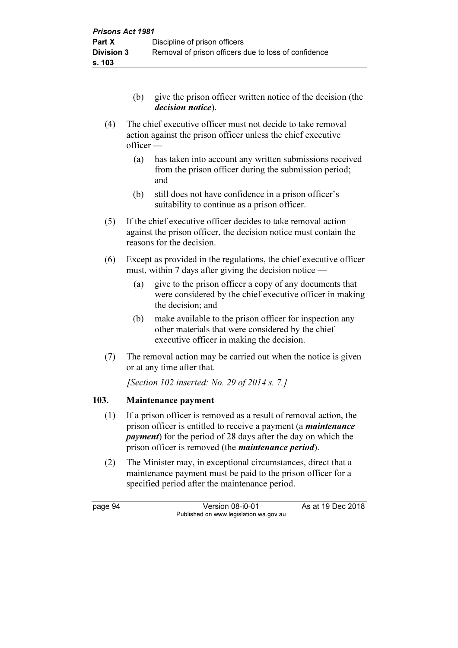- (b) give the prison officer written notice of the decision (the decision notice).
- (4) The chief executive officer must not decide to take removal action against the prison officer unless the chief executive officer —
	- (a) has taken into account any written submissions received from the prison officer during the submission period; and
	- (b) still does not have confidence in a prison officer's suitability to continue as a prison officer.
- (5) If the chief executive officer decides to take removal action against the prison officer, the decision notice must contain the reasons for the decision.
- (6) Except as provided in the regulations, the chief executive officer must, within 7 days after giving the decision notice —
	- (a) give to the prison officer a copy of any documents that were considered by the chief executive officer in making the decision; and
	- (b) make available to the prison officer for inspection any other materials that were considered by the chief executive officer in making the decision.
- (7) The removal action may be carried out when the notice is given or at any time after that.

[Section 102 inserted: No. 29 of 2014 s. 7.]

## 103. Maintenance payment

- (1) If a prison officer is removed as a result of removal action, the prison officer is entitled to receive a payment (a *maintenance payment*) for the period of 28 days after the day on which the prison officer is removed (the *maintenance period*).
- (2) The Minister may, in exceptional circumstances, direct that a maintenance payment must be paid to the prison officer for a specified period after the maintenance period.

page 94 Version 08-i0-01 As at 19 Dec 2018 Published on www.legislation.wa.gov.au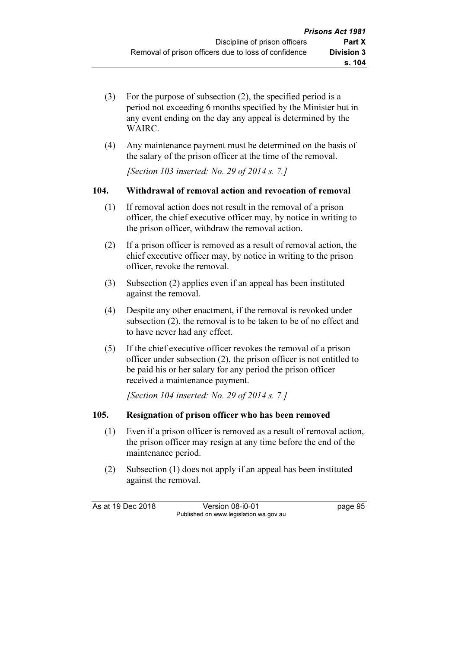- (3) For the purpose of subsection (2), the specified period is a period not exceeding 6 months specified by the Minister but in any event ending on the day any appeal is determined by the WAIRC.
- (4) Any maintenance payment must be determined on the basis of the salary of the prison officer at the time of the removal.

[Section 103 inserted: No. 29 of 2014 s. 7.]

## 104. Withdrawal of removal action and revocation of removal

- (1) If removal action does not result in the removal of a prison officer, the chief executive officer may, by notice in writing to the prison officer, withdraw the removal action.
- (2) If a prison officer is removed as a result of removal action, the chief executive officer may, by notice in writing to the prison officer, revoke the removal.
- (3) Subsection (2) applies even if an appeal has been instituted against the removal.
- (4) Despite any other enactment, if the removal is revoked under subsection (2), the removal is to be taken to be of no effect and to have never had any effect.
- (5) If the chief executive officer revokes the removal of a prison officer under subsection (2), the prison officer is not entitled to be paid his or her salary for any period the prison officer received a maintenance payment.

[Section 104 inserted: No. 29 of 2014 s. 7.]

## 105. Resignation of prison officer who has been removed

- (1) Even if a prison officer is removed as a result of removal action, the prison officer may resign at any time before the end of the maintenance period.
- (2) Subsection (1) does not apply if an appeal has been instituted against the removal.

As at 19 Dec 2018 Version 08-i0-01 bagge 95 Published on www.legislation.wa.gov.au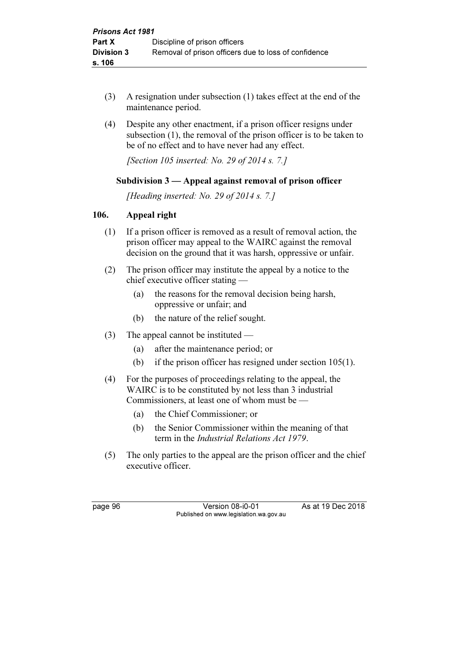- (3) A resignation under subsection (1) takes effect at the end of the maintenance period.
- (4) Despite any other enactment, if a prison officer resigns under subsection (1), the removal of the prison officer is to be taken to be of no effect and to have never had any effect.

[Section 105 inserted: No. 29 of 2014 s. 7.]

## Subdivision 3 — Appeal against removal of prison officer

[Heading inserted: No. 29 of 2014 s. 7.]

### 106. Appeal right

- (1) If a prison officer is removed as a result of removal action, the prison officer may appeal to the WAIRC against the removal decision on the ground that it was harsh, oppressive or unfair.
- (2) The prison officer may institute the appeal by a notice to the chief executive officer stating —
	- (a) the reasons for the removal decision being harsh, oppressive or unfair; and
	- (b) the nature of the relief sought.
- (3) The appeal cannot be instituted
	- (a) after the maintenance period; or
	- (b) if the prison officer has resigned under section 105(1).
- (4) For the purposes of proceedings relating to the appeal, the WAIRC is to be constituted by not less than 3 industrial Commissioners, at least one of whom must be —
	- (a) the Chief Commissioner; or
	- (b) the Senior Commissioner within the meaning of that term in the Industrial Relations Act 1979.
- (5) The only parties to the appeal are the prison officer and the chief executive officer.

page 96 Version 08-i0-01 As at 19 Dec 2018 Published on www.legislation.wa.gov.au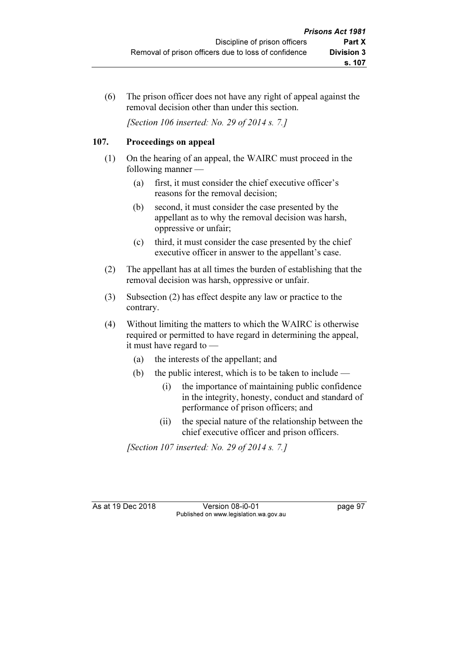(6) The prison officer does not have any right of appeal against the removal decision other than under this section.

[Section 106 inserted: No. 29 of 2014 s. 7.]

## 107. Proceedings on appeal

- (1) On the hearing of an appeal, the WAIRC must proceed in the following manner —
	- (a) first, it must consider the chief executive officer's reasons for the removal decision;
	- (b) second, it must consider the case presented by the appellant as to why the removal decision was harsh, oppressive or unfair;
	- (c) third, it must consider the case presented by the chief executive officer in answer to the appellant's case.
- (2) The appellant has at all times the burden of establishing that the removal decision was harsh, oppressive or unfair.
- (3) Subsection (2) has effect despite any law or practice to the contrary.
- (4) Without limiting the matters to which the WAIRC is otherwise required or permitted to have regard in determining the appeal, it must have regard to —
	- (a) the interests of the appellant; and
	- (b) the public interest, which is to be taken to include
		- (i) the importance of maintaining public confidence in the integrity, honesty, conduct and standard of performance of prison officers; and
		- (ii) the special nature of the relationship between the chief executive officer and prison officers.

[Section 107 inserted: No. 29 of 2014 s. 7.]

As at 19 Dec 2018 Version 08-i0-01 page 97 Published on www.legislation.wa.gov.au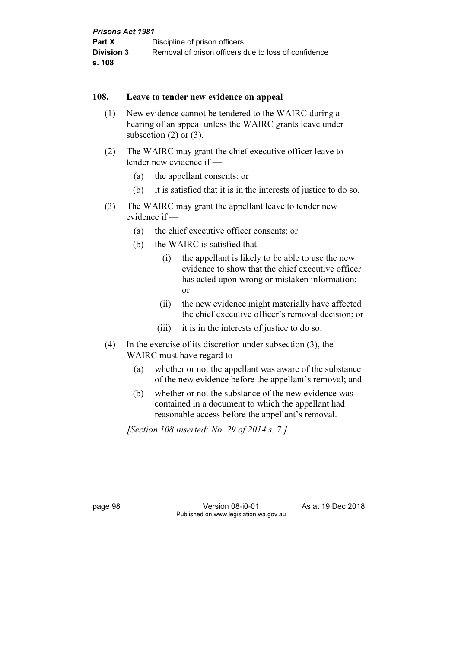#### 108. Leave to tender new evidence on appeal

- (1) New evidence cannot be tendered to the WAIRC during a hearing of an appeal unless the WAIRC grants leave under subsection (2) or (3).
- (2) The WAIRC may grant the chief executive officer leave to tender new evidence if —
	- (a) the appellant consents; or
	- (b) it is satisfied that it is in the interests of justice to do so.
- (3) The WAIRC may grant the appellant leave to tender new evidence if —
	- (a) the chief executive officer consents; or
	- (b) the WAIRC is satisfied that
		- (i) the appellant is likely to be able to use the new evidence to show that the chief executive officer has acted upon wrong or mistaken information; or
		- (ii) the new evidence might materially have affected the chief executive officer's removal decision; or
		- (iii) it is in the interests of justice to do so.
- (4) In the exercise of its discretion under subsection (3), the WAIRC must have regard to —
	- (a) whether or not the appellant was aware of the substance of the new evidence before the appellant's removal; and
	- (b) whether or not the substance of the new evidence was contained in a document to which the appellant had reasonable access before the appellant's removal.

[Section 108 inserted: No. 29 of 2014 s. 7.]

page 98 Version 08-i0-01 As at 19 Dec 2018 Published on www.legislation.wa.gov.au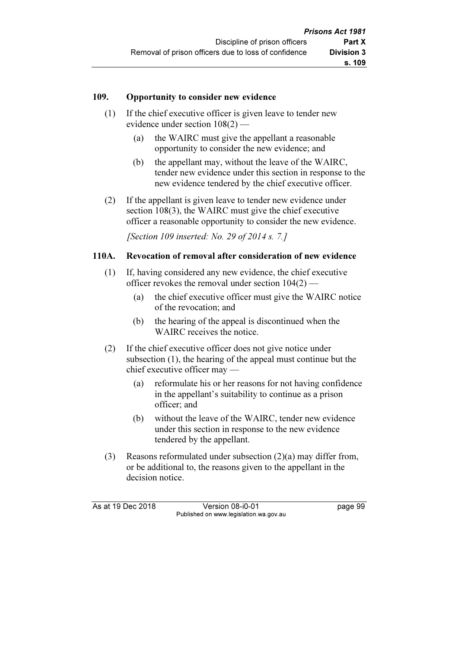#### 109. Opportunity to consider new evidence

- (1) If the chief executive officer is given leave to tender new evidence under section 108(2) —
	- (a) the WAIRC must give the appellant a reasonable opportunity to consider the new evidence; and
	- (b) the appellant may, without the leave of the WAIRC, tender new evidence under this section in response to the new evidence tendered by the chief executive officer.
- (2) If the appellant is given leave to tender new evidence under section 108(3), the WAIRC must give the chief executive officer a reasonable opportunity to consider the new evidence.

[Section 109 inserted: No. 29 of 2014 s. 7.]

#### 110A. Revocation of removal after consideration of new evidence

- (1) If, having considered any new evidence, the chief executive officer revokes the removal under section 104(2) —
	- (a) the chief executive officer must give the WAIRC notice of the revocation; and
	- (b) the hearing of the appeal is discontinued when the WAIRC receives the notice.
- (2) If the chief executive officer does not give notice under subsection (1), the hearing of the appeal must continue but the chief executive officer may —
	- (a) reformulate his or her reasons for not having confidence in the appellant's suitability to continue as a prison officer; and
	- (b) without the leave of the WAIRC, tender new evidence under this section in response to the new evidence tendered by the appellant.
- (3) Reasons reformulated under subsection (2)(a) may differ from, or be additional to, the reasons given to the appellant in the decision notice.

As at 19 Dec 2018 Version 08-i0-01 bagge 99 Published on www.legislation.wa.gov.au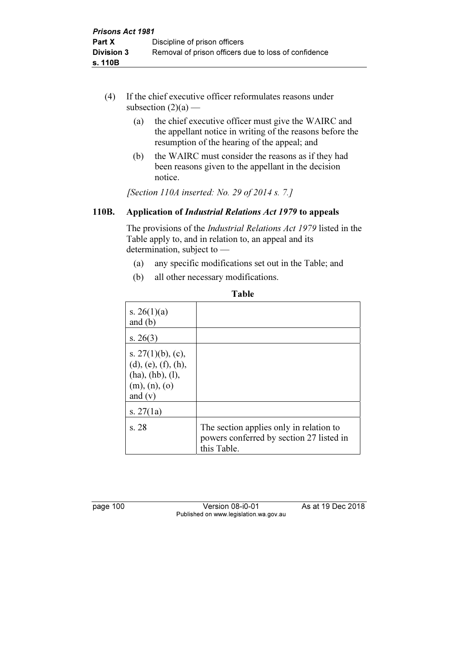- (4) If the chief executive officer reformulates reasons under subsection  $(2)(a)$  —
	- (a) the chief executive officer must give the WAIRC and the appellant notice in writing of the reasons before the resumption of the hearing of the appeal; and
	- (b) the WAIRC must consider the reasons as if they had been reasons given to the appellant in the decision notice.

[Section 110A inserted: No. 29 of 2014 s. 7.]

## 110B. Application of Industrial Relations Act 1979 to appeals

 The provisions of the Industrial Relations Act 1979 listed in the Table apply to, and in relation to, an appeal and its determination, subject to —

- (a) any specific modifications set out in the Table; and
- (b) all other necessary modifications.

| s. $26(1)(a)$<br>and $(b)$                                                                                |                                                                                                    |
|-----------------------------------------------------------------------------------------------------------|----------------------------------------------------------------------------------------------------|
| s. $26(3)$                                                                                                |                                                                                                    |
| s. $27(1)(b)$ , (c),<br>$(d)$ , $(e)$ , $(f)$ , $(h)$ ,<br>(ha), (hb), (l),<br>(m), (n), (o)<br>and $(v)$ |                                                                                                    |
| s. $27(1a)$                                                                                               |                                                                                                    |
| s.28                                                                                                      | The section applies only in relation to<br>powers conferred by section 27 listed in<br>this Table. |

Table

page 100 Version 08-i0-01 As at 19 Dec 2018 Published on www.legislation.wa.gov.au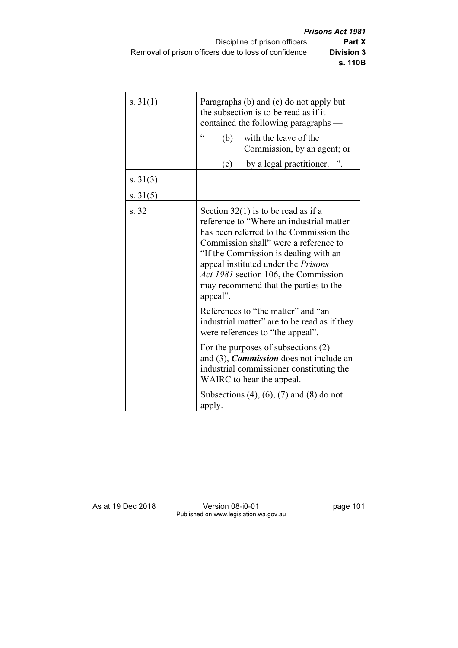| s. $31(1)$ | Paragraphs (b) and (c) do not apply but<br>the subsection is to be read as if it<br>contained the following paragraphs —                                                                                                                                                                                                                                         |  |  |  |  |
|------------|------------------------------------------------------------------------------------------------------------------------------------------------------------------------------------------------------------------------------------------------------------------------------------------------------------------------------------------------------------------|--|--|--|--|
|            | 66<br>with the leave of the<br>(b)<br>Commission, by an agent; or                                                                                                                                                                                                                                                                                                |  |  |  |  |
|            | by a legal practitioner.<br>(c)                                                                                                                                                                                                                                                                                                                                  |  |  |  |  |
| s. $31(3)$ |                                                                                                                                                                                                                                                                                                                                                                  |  |  |  |  |
| s. $31(5)$ |                                                                                                                                                                                                                                                                                                                                                                  |  |  |  |  |
| s. 32      | Section $32(1)$ is to be read as if a<br>reference to "Where an industrial matter<br>has been referred to the Commission the<br>Commission shall" were a reference to<br>"If the Commission is dealing with an<br>appeal instituted under the <i>Prisons</i><br><i>Act 1981</i> section 106, the Commission<br>may recommend that the parties to the<br>appeal". |  |  |  |  |
|            | References to "the matter" and "an<br>industrial matter" are to be read as if they<br>were references to "the appeal".                                                                                                                                                                                                                                           |  |  |  |  |
|            | For the purposes of subsections $(2)$<br>and $(3)$ , <i>Commission</i> does not include an<br>industrial commissioner constituting the<br>WAIRC to hear the appeal.                                                                                                                                                                                              |  |  |  |  |
|            | Subsections $(4)$ , $(6)$ , $(7)$ and $(8)$ do not<br>apply.                                                                                                                                                                                                                                                                                                     |  |  |  |  |

As at 19 Dec 2018 Version 08-i0-01 page 101 Published on www.legislation.wa.gov.au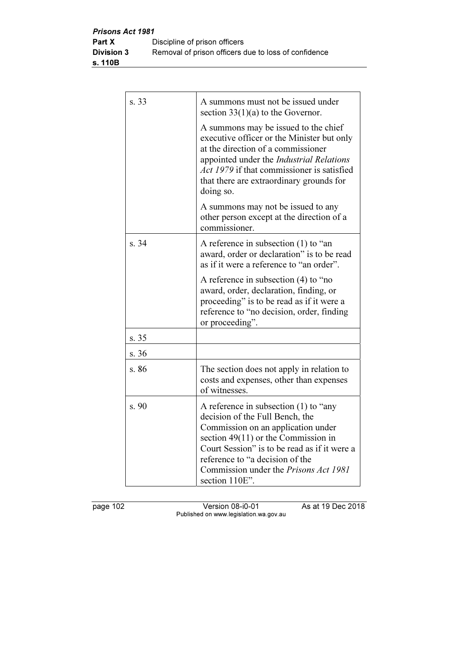| s. 33 | A summons must not be issued under<br>section $33(1)(a)$ to the Governor.                                                                                                                                                                                                                                      |
|-------|----------------------------------------------------------------------------------------------------------------------------------------------------------------------------------------------------------------------------------------------------------------------------------------------------------------|
|       | A summons may be issued to the chief<br>executive officer or the Minister but only<br>at the direction of a commissioner<br>appointed under the Industrial Relations<br>Act 1979 if that commissioner is satisfied<br>that there are extraordinary grounds for<br>doing so.                                    |
|       | A summons may not be issued to any<br>other person except at the direction of a<br>commissioner.                                                                                                                                                                                                               |
| s. 34 | A reference in subsection $(1)$ to "an<br>award, order or declaration" is to be read<br>as if it were a reference to "an order".                                                                                                                                                                               |
|       | A reference in subsection (4) to "no<br>award, order, declaration, finding, or<br>proceeding" is to be read as if it were a<br>reference to "no decision, order, finding<br>or proceeding".                                                                                                                    |
| s. 35 |                                                                                                                                                                                                                                                                                                                |
| s. 36 |                                                                                                                                                                                                                                                                                                                |
| s. 86 | The section does not apply in relation to<br>costs and expenses, other than expenses<br>of witnesses.                                                                                                                                                                                                          |
| s. 90 | A reference in subsection $(1)$ to "any<br>decision of the Full Bench, the<br>Commission on an application under<br>section $49(11)$ or the Commission in<br>Court Session" is to be read as if it were a<br>reference to "a decision of the<br>Commission under the <i>Prisons Act 1981</i><br>section 110E". |

page 102 Version 08-i0-01 As at 19 Dec 2018 Published on www.legislation.wa.gov.au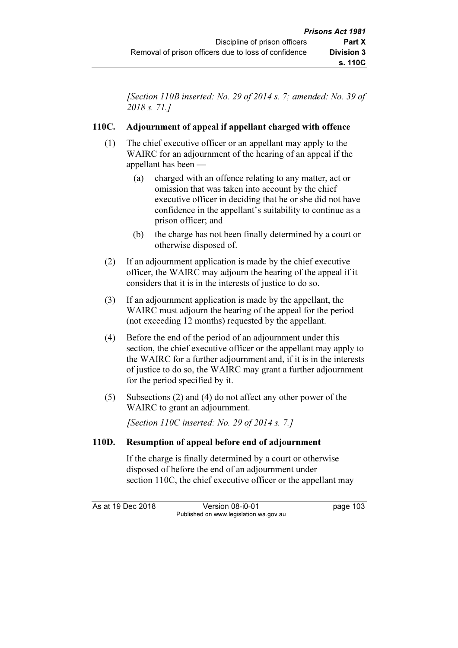[Section 110B inserted: No. 29 of 2014 s. 7; amended: No. 39 of 2018 s. 71.]

# 110C. Adjournment of appeal if appellant charged with offence

- (1) The chief executive officer or an appellant may apply to the WAIRC for an adjournment of the hearing of an appeal if the appellant has been —
	- (a) charged with an offence relating to any matter, act or omission that was taken into account by the chief executive officer in deciding that he or she did not have confidence in the appellant's suitability to continue as a prison officer; and
	- (b) the charge has not been finally determined by a court or otherwise disposed of.
- (2) If an adjournment application is made by the chief executive officer, the WAIRC may adjourn the hearing of the appeal if it considers that it is in the interests of justice to do so.
- (3) If an adjournment application is made by the appellant, the WAIRC must adjourn the hearing of the appeal for the period (not exceeding 12 months) requested by the appellant.
- (4) Before the end of the period of an adjournment under this section, the chief executive officer or the appellant may apply to the WAIRC for a further adjournment and, if it is in the interests of justice to do so, the WAIRC may grant a further adjournment for the period specified by it.
- (5) Subsections (2) and (4) do not affect any other power of the WAIRC to grant an adjournment.

[Section 110C inserted: No. 29 of 2014 s. 7.]

# 110D. Resumption of appeal before end of adjournment

 If the charge is finally determined by a court or otherwise disposed of before the end of an adjournment under section 110C, the chief executive officer or the appellant may

As at 19 Dec 2018 Version 08-i0-01 bag page 103 Published on www.legislation.wa.gov.au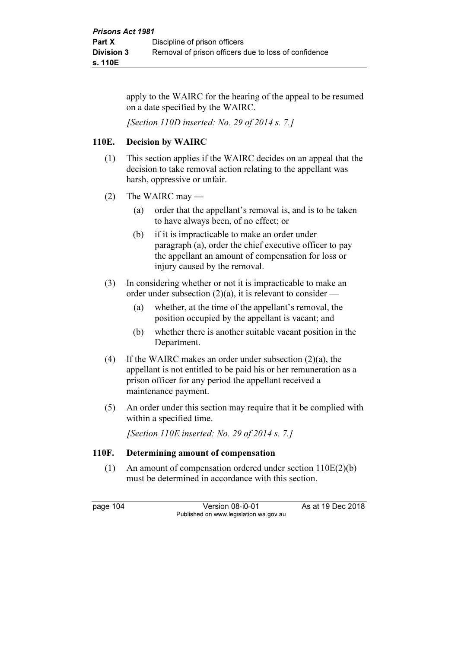apply to the WAIRC for the hearing of the appeal to be resumed on a date specified by the WAIRC.

[Section 110D inserted: No. 29 of 2014 s. 7.]

## 110E. Decision by WAIRC

- (1) This section applies if the WAIRC decides on an appeal that the decision to take removal action relating to the appellant was harsh, oppressive or unfair.
- (2) The WAIRC may
	- (a) order that the appellant's removal is, and is to be taken to have always been, of no effect; or
	- (b) if it is impracticable to make an order under paragraph (a), order the chief executive officer to pay the appellant an amount of compensation for loss or injury caused by the removal.
- (3) In considering whether or not it is impracticable to make an order under subsection (2)(a), it is relevant to consider —
	- (a) whether, at the time of the appellant's removal, the position occupied by the appellant is vacant; and
	- (b) whether there is another suitable vacant position in the Department.
- (4) If the WAIRC makes an order under subsection (2)(a), the appellant is not entitled to be paid his or her remuneration as a prison officer for any period the appellant received a maintenance payment.
- (5) An order under this section may require that it be complied with within a specified time.

[Section 110E inserted: No. 29 of 2014 s. 7.]

## 110F. Determining amount of compensation

 (1) An amount of compensation ordered under section 110E(2)(b) must be determined in accordance with this section.

page 104 Version 08-i0-01 As at 19 Dec 2018 Published on www.legislation.wa.gov.au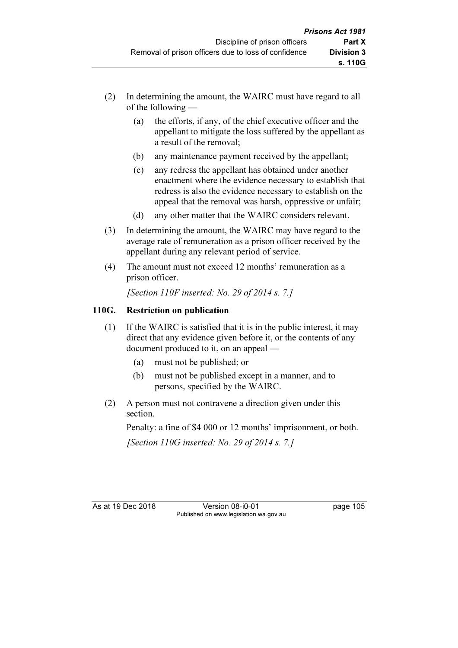- (2) In determining the amount, the WAIRC must have regard to all of the following —
	- (a) the efforts, if any, of the chief executive officer and the appellant to mitigate the loss suffered by the appellant as a result of the removal;
	- (b) any maintenance payment received by the appellant;
	- (c) any redress the appellant has obtained under another enactment where the evidence necessary to establish that redress is also the evidence necessary to establish on the appeal that the removal was harsh, oppressive or unfair;
	- (d) any other matter that the WAIRC considers relevant.
- (3) In determining the amount, the WAIRC may have regard to the average rate of remuneration as a prison officer received by the appellant during any relevant period of service.
- (4) The amount must not exceed 12 months' remuneration as a prison officer.

[Section 110F inserted: No. 29 of 2014 s. 7.]

# 110G. Restriction on publication

- (1) If the WAIRC is satisfied that it is in the public interest, it may direct that any evidence given before it, or the contents of any document produced to it, on an appeal —
	- (a) must not be published; or
	- (b) must not be published except in a manner, and to persons, specified by the WAIRC.
- (2) A person must not contravene a direction given under this section.

Penalty: a fine of \$4 000 or 12 months' imprisonment, or both.

[Section 110G inserted: No. 29 of 2014 s.  $7.1$ ]

As at 19 Dec 2018 Version 08-i0-01 page 105 Published on www.legislation.wa.gov.au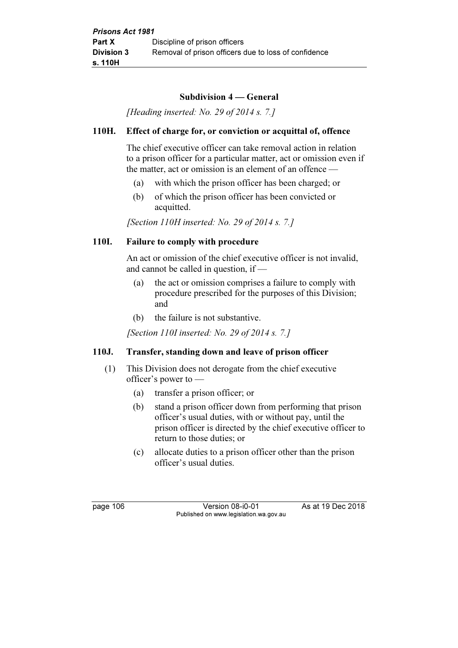## Subdivision 4 — General

[Heading inserted: No. 29 of 2014 s. 7.]

## 110H. Effect of charge for, or conviction or acquittal of, offence

 The chief executive officer can take removal action in relation to a prison officer for a particular matter, act or omission even if the matter, act or omission is an element of an offence —

- (a) with which the prison officer has been charged; or
- (b) of which the prison officer has been convicted or acquitted.

[Section 110H inserted: No. 29 of 2014 s. 7.]

## 110I. Failure to comply with procedure

 An act or omission of the chief executive officer is not invalid, and cannot be called in question, if —

- (a) the act or omission comprises a failure to comply with procedure prescribed for the purposes of this Division; and
- (b) the failure is not substantive.

[Section 110I inserted: No. 29 of 2014 s. 7.]

# 110J. Transfer, standing down and leave of prison officer

- (1) This Division does not derogate from the chief executive officer's power to —
	- (a) transfer a prison officer; or
	- (b) stand a prison officer down from performing that prison officer's usual duties, with or without pay, until the prison officer is directed by the chief executive officer to return to those duties; or
	- (c) allocate duties to a prison officer other than the prison officer's usual duties.

page 106 Version 08-i0-01 As at 19 Dec 2018 Published on www.legislation.wa.gov.au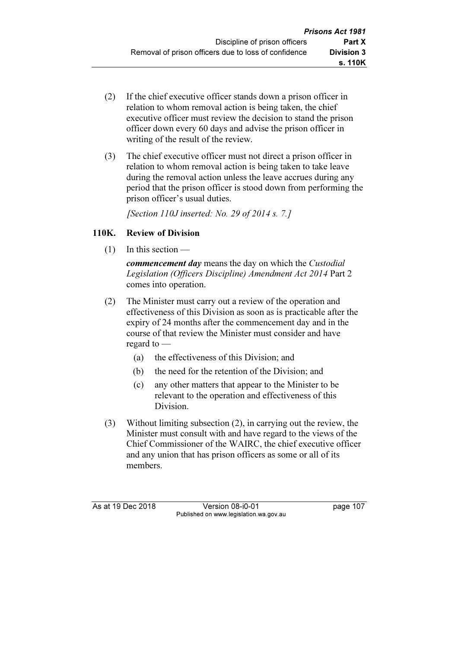- (2) If the chief executive officer stands down a prison officer in relation to whom removal action is being taken, the chief executive officer must review the decision to stand the prison officer down every 60 days and advise the prison officer in writing of the result of the review.
- (3) The chief executive officer must not direct a prison officer in relation to whom removal action is being taken to take leave during the removal action unless the leave accrues during any period that the prison officer is stood down from performing the prison officer's usual duties.

[Section 110J inserted: No. 29 of 2014 s. 7.]

# 110K. Review of Division

(1) In this section —

commencement day means the day on which the Custodial Legislation (Officers Discipline) Amendment Act 2014 Part 2 comes into operation.

- (2) The Minister must carry out a review of the operation and effectiveness of this Division as soon as is practicable after the expiry of 24 months after the commencement day and in the course of that review the Minister must consider and have regard to —
	- (a) the effectiveness of this Division; and
	- (b) the need for the retention of the Division; and
	- (c) any other matters that appear to the Minister to be relevant to the operation and effectiveness of this Division.
- (3) Without limiting subsection (2), in carrying out the review, the Minister must consult with and have regard to the views of the Chief Commissioner of the WAIRC, the chief executive officer and any union that has prison officers as some or all of its members.

As at 19 Dec 2018 Version 08-i0-01 page 107 Published on www.legislation.wa.gov.au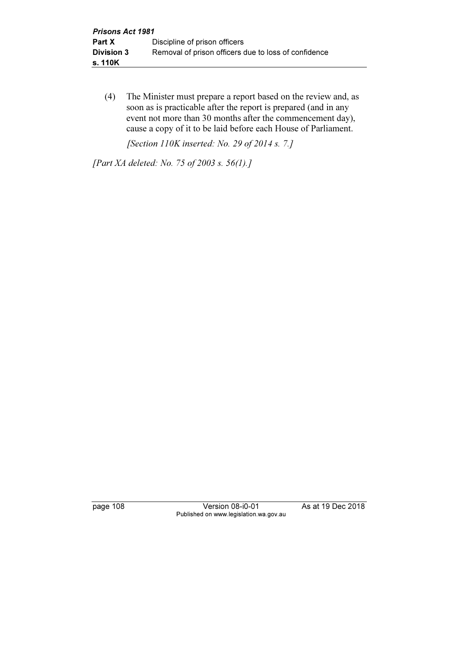(4) The Minister must prepare a report based on the review and, as soon as is practicable after the report is prepared (and in any event not more than 30 months after the commencement day), cause a copy of it to be laid before each House of Parliament.

[Section 110K inserted: No. 29 of 2014 s. 7.]

[Part XA deleted: No. 75 of 2003 s. 56(1).]

page 108 Version 08-i0-01 As at 19 Dec 2018 Published on www.legislation.wa.gov.au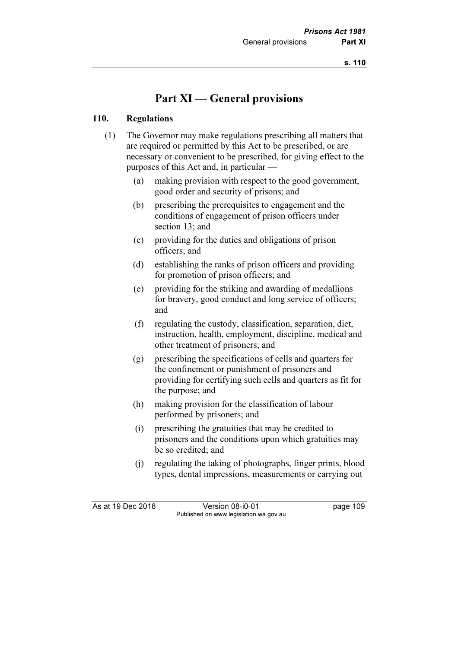# Part XI — General provisions

### 110. Regulations

- (1) The Governor may make regulations prescribing all matters that are required or permitted by this Act to be prescribed, or are necessary or convenient to be prescribed, for giving effect to the purposes of this Act and, in particular —
	- (a) making provision with respect to the good government, good order and security of prisons; and
	- (b) prescribing the prerequisites to engagement and the conditions of engagement of prison officers under section 13; and
	- (c) providing for the duties and obligations of prison officers; and
	- (d) establishing the ranks of prison officers and providing for promotion of prison officers; and
	- (e) providing for the striking and awarding of medallions for bravery, good conduct and long service of officers; and
	- (f) regulating the custody, classification, separation, diet, instruction, health, employment, discipline, medical and other treatment of prisoners; and
	- (g) prescribing the specifications of cells and quarters for the confinement or punishment of prisoners and providing for certifying such cells and quarters as fit for the purpose; and
	- (h) making provision for the classification of labour performed by prisoners; and
	- (i) prescribing the gratuities that may be credited to prisoners and the conditions upon which gratuities may be so credited; and
	- (j) regulating the taking of photographs, finger prints, blood types, dental impressions, measurements or carrying out

As at 19 Dec 2018 Version 08-i0-01 page 109 Published on www.legislation.wa.gov.au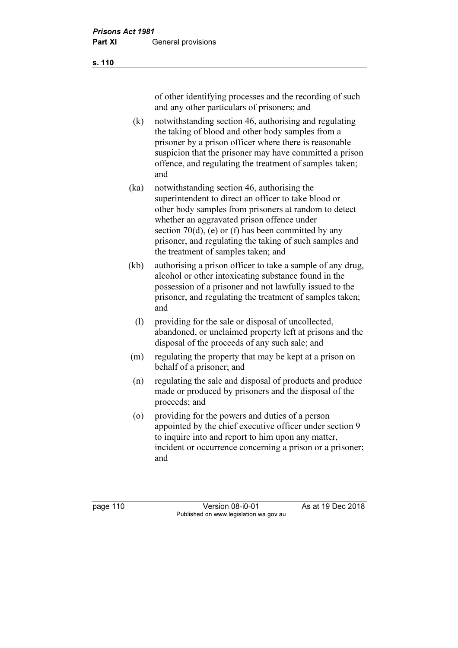s. 110

of other identifying processes and the recording of such and any other particulars of prisoners; and

- (k) notwithstanding section 46, authorising and regulating the taking of blood and other body samples from a prisoner by a prison officer where there is reasonable suspicion that the prisoner may have committed a prison offence, and regulating the treatment of samples taken; and
- (ka) notwithstanding section 46, authorising the superintendent to direct an officer to take blood or other body samples from prisoners at random to detect whether an aggravated prison offence under section 70(d), (e) or (f) has been committed by any prisoner, and regulating the taking of such samples and the treatment of samples taken; and
- (kb) authorising a prison officer to take a sample of any drug, alcohol or other intoxicating substance found in the possession of a prisoner and not lawfully issued to the prisoner, and regulating the treatment of samples taken; and
	- (l) providing for the sale or disposal of uncollected, abandoned, or unclaimed property left at prisons and the disposal of the proceeds of any such sale; and
- (m) regulating the property that may be kept at a prison on behalf of a prisoner; and
- (n) regulating the sale and disposal of products and produce made or produced by prisoners and the disposal of the proceeds; and
- (o) providing for the powers and duties of a person appointed by the chief executive officer under section 9 to inquire into and report to him upon any matter, incident or occurrence concerning a prison or a prisoner; and

page 110 Version 08-i0-01 As at 19 Dec 2018 Published on www.legislation.wa.gov.au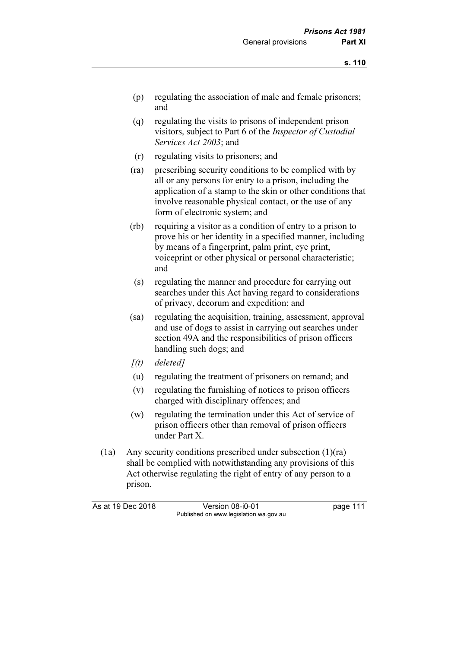- (p) regulating the association of male and female prisoners; and
- (q) regulating the visits to prisons of independent prison visitors, subject to Part 6 of the Inspector of Custodial Services Act 2003; and
- (r) regulating visits to prisoners; and
- (ra) prescribing security conditions to be complied with by all or any persons for entry to a prison, including the application of a stamp to the skin or other conditions that involve reasonable physical contact, or the use of any form of electronic system; and
- (rb) requiring a visitor as a condition of entry to a prison to prove his or her identity in a specified manner, including by means of a fingerprint, palm print, eye print, voiceprint or other physical or personal characteristic; and
- (s) regulating the manner and procedure for carrying out searches under this Act having regard to considerations of privacy, decorum and expedition; and
- (sa) regulating the acquisition, training, assessment, approval and use of dogs to assist in carrying out searches under section 49A and the responsibilities of prison officers handling such dogs; and
- $[(t)$  deleted]
- (u) regulating the treatment of prisoners on remand; and
- (v) regulating the furnishing of notices to prison officers charged with disciplinary offences; and
- (w) regulating the termination under this Act of service of prison officers other than removal of prison officers under Part X.
- (1a) Any security conditions prescribed under subsection (1)(ra) shall be complied with notwithstanding any provisions of this Act otherwise regulating the right of entry of any person to a prison.

As at 19 Dec 2018 Version 08-i0-01 page 111 Published on www.legislation.wa.gov.au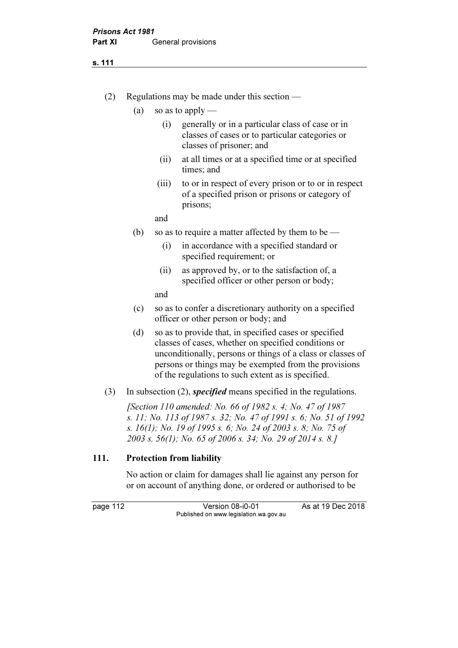#### s. 111

- (2) Regulations may be made under this section
	- (a) so as to apply
		- (i) generally or in a particular class of case or in classes of cases or to particular categories or classes of prisoner; and
		- (ii) at all times or at a specified time or at specified times; and
		- (iii) to or in respect of every prison or to or in respect of a specified prison or prisons or category of prisons;

and

- (b) so as to require a matter affected by them to be
	- (i) in accordance with a specified standard or specified requirement; or
	- (ii) as approved by, or to the satisfaction of, a specified officer or other person or body;

and

- (c) so as to confer a discretionary authority on a specified officer or other person or body; and
- (d) so as to provide that, in specified cases or specified classes of cases, whether on specified conditions or unconditionally, persons or things of a class or classes of persons or things may be exempted from the provisions of the regulations to such extent as is specified.
- (3) In subsection (2), *specified* means specified in the regulations.

 [Section 110 amended: No. 66 of 1982 s. 4; No. 47 of 1987 s. 11; No. 113 of 1987 s. 32; No. 47 of 1991 s. 6; No. 51 of 1992 s. 16(1); No. 19 of 1995 s. 6; No. 24 of 2003 s. 8; No. 75 of 2003 s. 56(1); No. 65 of 2006 s. 34; No. 29 of 2014 s. 8.]

#### 111. Protection from liability

 No action or claim for damages shall lie against any person for or on account of anything done, or ordered or authorised to be

page 112 Version 08-i0-01 As at 19 Dec 2018 Published on www.legislation.wa.gov.au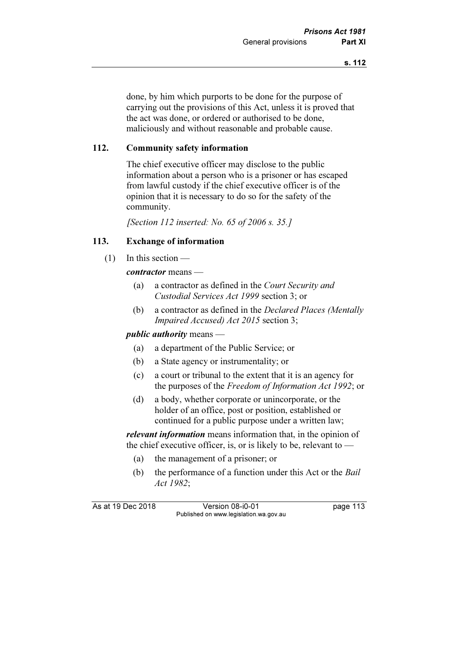done, by him which purports to be done for the purpose of carrying out the provisions of this Act, unless it is proved that the act was done, or ordered or authorised to be done, maliciously and without reasonable and probable cause.

# 112. Community safety information

 The chief executive officer may disclose to the public information about a person who is a prisoner or has escaped from lawful custody if the chief executive officer is of the opinion that it is necessary to do so for the safety of the community.

[Section 112 inserted: No. 65 of 2006 s. 35.]

## 113. Exchange of information

 $(1)$  In this section —

contractor means —

- (a) a contractor as defined in the Court Security and Custodial Services Act 1999 section 3; or
- (b) a contractor as defined in the Declared Places (Mentally Impaired Accused) Act 2015 section 3;

#### public *authority* means —

- (a) a department of the Public Service; or
- (b) a State agency or instrumentality; or
- (c) a court or tribunal to the extent that it is an agency for the purposes of the Freedom of Information Act 1992; or
- (d) a body, whether corporate or unincorporate, or the holder of an office, post or position, established or continued for a public purpose under a written law;

relevant information means information that, in the opinion of the chief executive officer, is, or is likely to be, relevant to  $-$ 

- (a) the management of a prisoner; or
- (b) the performance of a function under this Act or the *Bail* Act 1982;

As at 19 Dec 2018 Version 08-i0-01 bag page 113 Published on www.legislation.wa.gov.au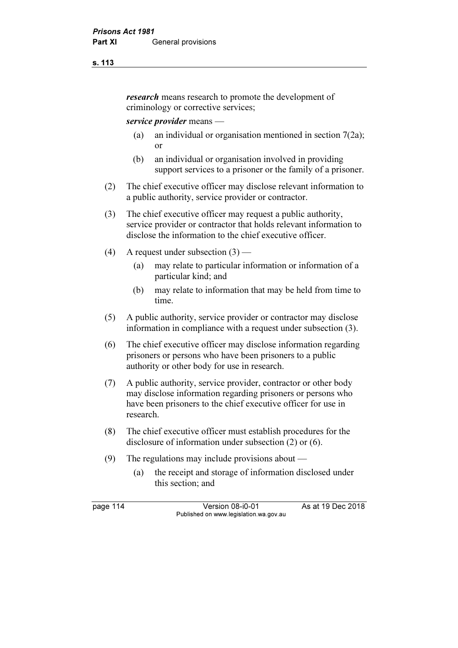#### s. 113

research means research to promote the development of criminology or corrective services;

#### service provider means —

- (a) an individual or organisation mentioned in section 7(2a); or
- (b) an individual or organisation involved in providing support services to a prisoner or the family of a prisoner.
- (2) The chief executive officer may disclose relevant information to a public authority, service provider or contractor.
- (3) The chief executive officer may request a public authority, service provider or contractor that holds relevant information to disclose the information to the chief executive officer.
- (4) A request under subsection  $(3)$ 
	- (a) may relate to particular information or information of a particular kind; and
	- (b) may relate to information that may be held from time to time.
- (5) A public authority, service provider or contractor may disclose information in compliance with a request under subsection (3).
- (6) The chief executive officer may disclose information regarding prisoners or persons who have been prisoners to a public authority or other body for use in research.
- (7) A public authority, service provider, contractor or other body may disclose information regarding prisoners or persons who have been prisoners to the chief executive officer for use in research.
- (8) The chief executive officer must establish procedures for the disclosure of information under subsection (2) or (6).
- (9) The regulations may include provisions about
	- (a) the receipt and storage of information disclosed under this section; and

page 114 Version 08-i0-01 As at 19 Dec 2018 Published on www.legislation.wa.gov.au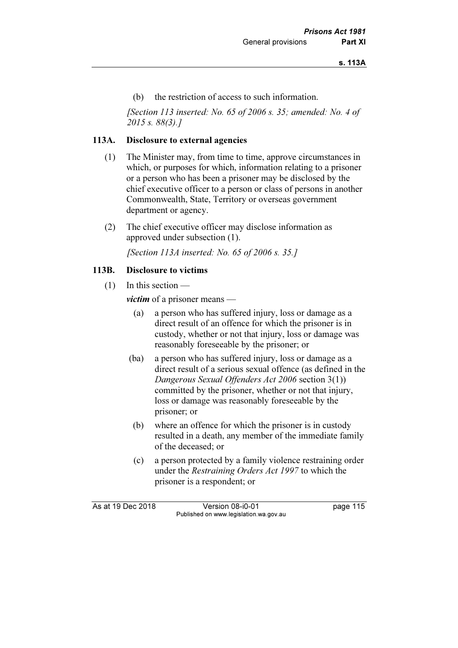(b) the restriction of access to such information.

[Section 113 inserted: No. 65 of 2006 s. 35; amended: No. 4 of 2015 s. 88(3).]

### 113A. Disclosure to external agencies

- (1) The Minister may, from time to time, approve circumstances in which, or purposes for which, information relating to a prisoner or a person who has been a prisoner may be disclosed by the chief executive officer to a person or class of persons in another Commonwealth, State, Territory or overseas government department or agency.
- (2) The chief executive officer may disclose information as approved under subsection (1).

[Section 113A inserted: No. 65 of 2006 s. 35.]

#### 113B. Disclosure to victims

(1) In this section —

*victim* of a prisoner means —

- (a) a person who has suffered injury, loss or damage as a direct result of an offence for which the prisoner is in custody, whether or not that injury, loss or damage was reasonably foreseeable by the prisoner; or
- (ba) a person who has suffered injury, loss or damage as a direct result of a serious sexual offence (as defined in the Dangerous Sexual Offenders Act 2006 section 3(1)) committed by the prisoner, whether or not that injury, loss or damage was reasonably foreseeable by the prisoner; or
	- (b) where an offence for which the prisoner is in custody resulted in a death, any member of the immediate family of the deceased; or
	- (c) a person protected by a family violence restraining order under the Restraining Orders Act 1997 to which the prisoner is a respondent; or

As at 19 Dec 2018 Version 08-i0-01 page 115 Published on www.legislation.wa.gov.au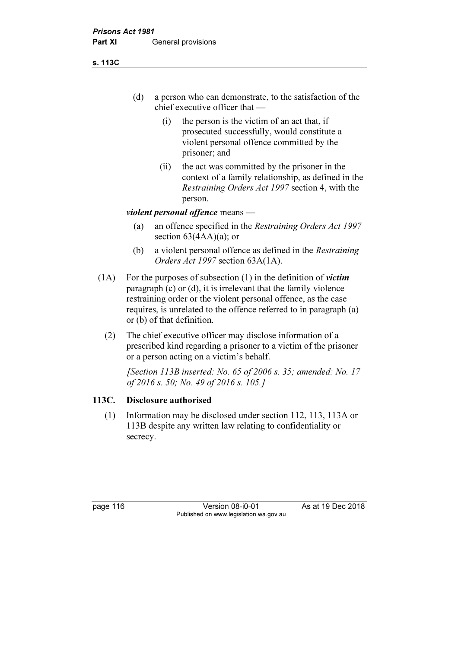s. 113C

- (d) a person who can demonstrate, to the satisfaction of the chief executive officer that —
	- (i) the person is the victim of an act that, if prosecuted successfully, would constitute a violent personal offence committed by the prisoner; and
	- (ii) the act was committed by the prisoner in the context of a family relationship, as defined in the Restraining Orders Act 1997 section 4, with the person.

# violent personal offence means —

- (a) an offence specified in the Restraining Orders Act 1997 section  $63(4AA)(a)$ ; or
- (b) a violent personal offence as defined in the Restraining Orders Act 1997 section 63A(1A).
- (1A) For the purposes of subsection (1) in the definition of *victim* paragraph (c) or (d), it is irrelevant that the family violence restraining order or the violent personal offence, as the case requires, is unrelated to the offence referred to in paragraph (a) or (b) of that definition.
	- (2) The chief executive officer may disclose information of a prescribed kind regarding a prisoner to a victim of the prisoner or a person acting on a victim's behalf.

[Section 113B inserted: No. 65 of 2006 s. 35; amended: No. 17 of 2016 s. 50; No. 49 of 2016 s. 105.]

# 113C. Disclosure authorised

 (1) Information may be disclosed under section 112, 113, 113A or 113B despite any written law relating to confidentiality or secrecy.

page 116 Version 08-i0-01 As at 19 Dec 2018 Published on www.legislation.wa.gov.au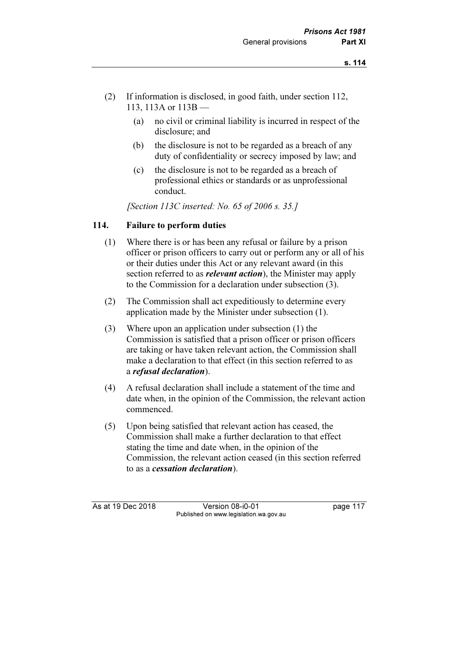- (2) If information is disclosed, in good faith, under section 112, 113, 113A or 113B —
	- (a) no civil or criminal liability is incurred in respect of the disclosure; and
	- (b) the disclosure is not to be regarded as a breach of any duty of confidentiality or secrecy imposed by law; and
	- (c) the disclosure is not to be regarded as a breach of professional ethics or standards or as unprofessional conduct.

[Section 113C inserted: No. 65 of 2006 s. 35.]

# 114. Failure to perform duties

- (1) Where there is or has been any refusal or failure by a prison officer or prison officers to carry out or perform any or all of his or their duties under this Act or any relevant award (in this section referred to as *relevant action*), the Minister may apply to the Commission for a declaration under subsection (3).
- (2) The Commission shall act expeditiously to determine every application made by the Minister under subsection (1).
- (3) Where upon an application under subsection (1) the Commission is satisfied that a prison officer or prison officers are taking or have taken relevant action, the Commission shall make a declaration to that effect (in this section referred to as a refusal declaration).
- (4) A refusal declaration shall include a statement of the time and date when, in the opinion of the Commission, the relevant action commenced.
- (5) Upon being satisfied that relevant action has ceased, the Commission shall make a further declaration to that effect stating the time and date when, in the opinion of the Commission, the relevant action ceased (in this section referred to as a cessation declaration).

As at 19 Dec 2018 Version 08-i0-01 page 117 Published on www.legislation.wa.gov.au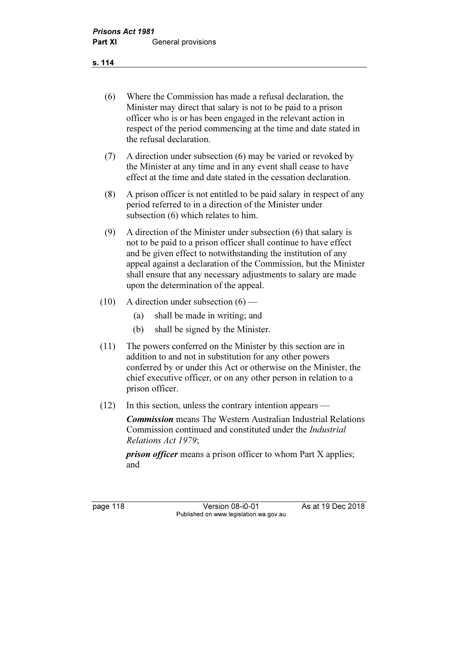s. 114

- (6) Where the Commission has made a refusal declaration, the Minister may direct that salary is not to be paid to a prison officer who is or has been engaged in the relevant action in respect of the period commencing at the time and date stated in the refusal declaration.
- (7) A direction under subsection (6) may be varied or revoked by the Minister at any time and in any event shall cease to have effect at the time and date stated in the cessation declaration.
- (8) A prison officer is not entitled to be paid salary in respect of any period referred to in a direction of the Minister under subsection (6) which relates to him.
- (9) A direction of the Minister under subsection (6) that salary is not to be paid to a prison officer shall continue to have effect and be given effect to notwithstanding the institution of any appeal against a declaration of the Commission, but the Minister shall ensure that any necessary adjustments to salary are made upon the determination of the appeal.
- (10) A direction under subsection  $(6)$ 
	- (a) shall be made in writing; and
	- (b) shall be signed by the Minister.
- (11) The powers conferred on the Minister by this section are in addition to and not in substitution for any other powers conferred by or under this Act or otherwise on the Minister, the chief executive officer, or on any other person in relation to a prison officer.
- (12) In this section, unless the contrary intention appears —

Commission means The Western Australian Industrial Relations Commission continued and constituted under the Industrial Relations Act 1979;

*prison officer* means a prison officer to whom Part X applies; and

page 118 Version 08-i0-01 As at 19 Dec 2018 Published on www.legislation.wa.gov.au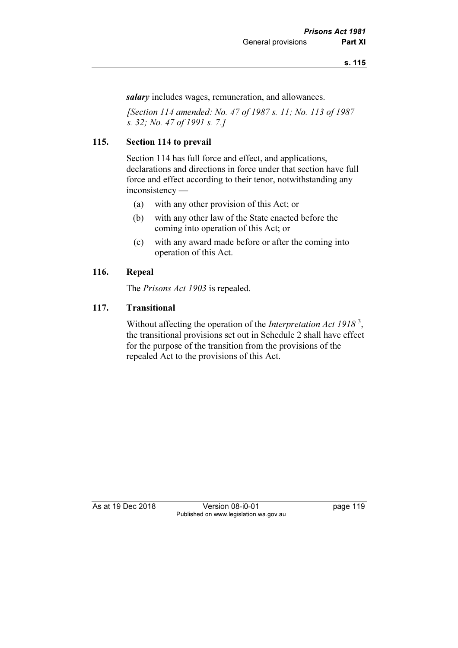salary includes wages, remuneration, and allowances.

 [Section 114 amended: No. 47 of 1987 s. 11; No. 113 of 1987 s. 32; No. 47 of 1991 s. 7.]

# 115. Section 114 to prevail

 Section 114 has full force and effect, and applications, declarations and directions in force under that section have full force and effect according to their tenor, notwithstanding any inconsistency —

- (a) with any other provision of this Act; or
- (b) with any other law of the State enacted before the coming into operation of this Act; or
- (c) with any award made before or after the coming into operation of this Act.

## 116. Repeal

The *Prisons Act 1903* is repealed.

#### 117. Transitional

Without affecting the operation of the *Interpretation Act 1918*<sup>3</sup>, the transitional provisions set out in Schedule 2 shall have effect for the purpose of the transition from the provisions of the repealed Act to the provisions of this Act.

As at 19 Dec 2018 Version 08-i0-01 page 119 Published on www.legislation.wa.gov.au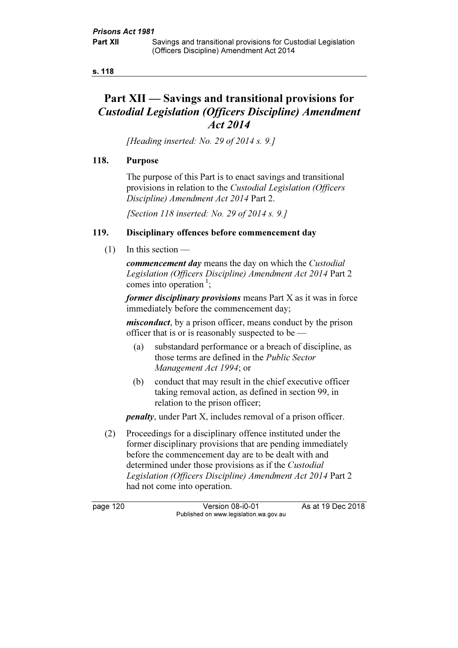#### s. 118

# Part XII — Savings and transitional provisions for Custodial Legislation (Officers Discipline) Amendment Act 2014

[Heading inserted: No. 29 of 2014 s. 9.]

## 118. Purpose

 The purpose of this Part is to enact savings and transitional provisions in relation to the Custodial Legislation (Officers Discipline) Amendment Act 2014 Part 2.

[Section 118 inserted: No. 29 of 2014 s. 9.]

# 119. Disciplinary offences before commencement day

(1) In this section —

commencement day means the day on which the Custodial Legislation (Officers Discipline) Amendment Act 2014 Part 2 comes into operation<sup>1</sup>;

former disciplinary provisions means Part X as it was in force immediately before the commencement day;

*misconduct*, by a prison officer, means conduct by the prison officer that is or is reasonably suspected to be —

- (a) substandard performance or a breach of discipline, as those terms are defined in the Public Sector Management Act 1994; or
- (b) conduct that may result in the chief executive officer taking removal action, as defined in section 99, in relation to the prison officer;

penalty, under Part X, includes removal of a prison officer.

 (2) Proceedings for a disciplinary offence instituted under the former disciplinary provisions that are pending immediately before the commencement day are to be dealt with and determined under those provisions as if the Custodial Legislation (Officers Discipline) Amendment Act 2014 Part 2 had not come into operation.

page 120 Version 08-i0-01 As at 19 Dec 2018 Published on www.legislation.wa.gov.au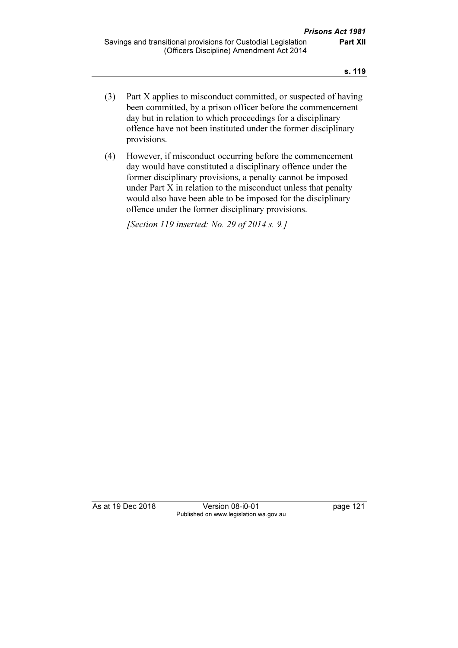- (3) Part X applies to misconduct committed, or suspected of having been committed, by a prison officer before the commencement day but in relation to which proceedings for a disciplinary offence have not been instituted under the former disciplinary provisions.
- (4) However, if misconduct occurring before the commencement day would have constituted a disciplinary offence under the former disciplinary provisions, a penalty cannot be imposed under Part X in relation to the misconduct unless that penalty would also have been able to be imposed for the disciplinary offence under the former disciplinary provisions.

[Section 119 inserted: No. 29 of 2014 s. 9.]

As at 19 Dec 2018 Version 08-i0-01 page 121 Published on www.legislation.wa.gov.au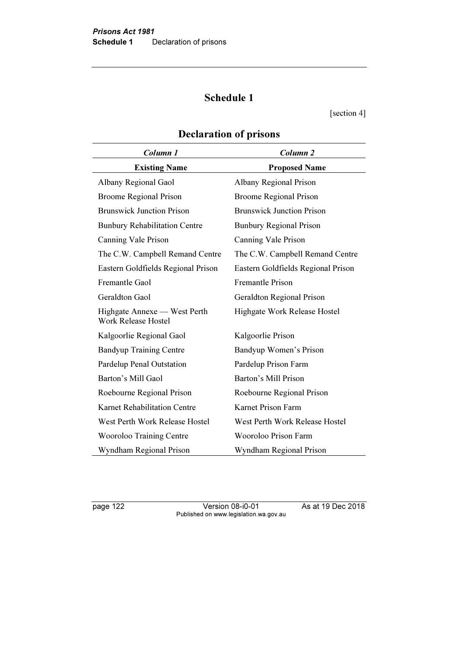# Schedule 1

[section 4]

| Column 1                                                   | Column <sub>2</sub>                |
|------------------------------------------------------------|------------------------------------|
| <b>Existing Name</b>                                       | <b>Proposed Name</b>               |
| Albany Regional Gaol                                       | Albany Regional Prison             |
| <b>Broome Regional Prison</b>                              | <b>Broome Regional Prison</b>      |
| <b>Brunswick Junction Prison</b>                           | <b>Brunswick Junction Prison</b>   |
| <b>Bunbury Rehabilitation Centre</b>                       | <b>Bunbury Regional Prison</b>     |
| Canning Vale Prison                                        | Canning Vale Prison                |
| The C.W. Campbell Remand Centre                            | The C.W. Campbell Remand Centre    |
| Eastern Goldfields Regional Prison                         | Eastern Goldfields Regional Prison |
| Fremantle Gaol                                             | <b>Fremantle Prison</b>            |
| Geraldton Gaol                                             | <b>Geraldton Regional Prison</b>   |
| Highgate Annexe — West Perth<br><b>Work Release Hostel</b> | Highgate Work Release Hostel       |
| Kalgoorlie Regional Gaol                                   | Kalgoorlie Prison                  |
| <b>Bandyup Training Centre</b>                             | Bandyup Women's Prison             |
| Pardelup Penal Outstation                                  | Pardelup Prison Farm               |
| Barton's Mill Gaol                                         | Barton's Mill Prison               |
| Roebourne Regional Prison                                  | Roebourne Regional Prison          |
| Karnet Rehabilitation Centre                               | Karnet Prison Farm                 |
| West Perth Work Release Hostel                             | West Perth Work Release Hostel     |
| <b>Wooroloo Training Centre</b>                            | Wooroloo Prison Farm               |
| Wyndham Regional Prison                                    | Wyndham Regional Prison            |

# Declaration of prisons

page 122 Version 08-i0-01 As at 19 Dec 2018 Published on www.legislation.wa.gov.au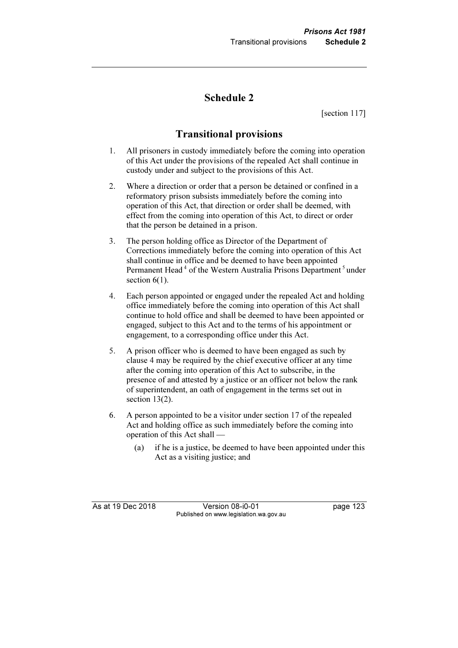# Schedule 2

[section 117]

# Transitional provisions

- 1. All prisoners in custody immediately before the coming into operation of this Act under the provisions of the repealed Act shall continue in custody under and subject to the provisions of this Act.
- 2. Where a direction or order that a person be detained or confined in a reformatory prison subsists immediately before the coming into operation of this Act, that direction or order shall be deemed, with effect from the coming into operation of this Act, to direct or order that the person be detained in a prison.
- 3. The person holding office as Director of the Department of Corrections immediately before the coming into operation of this Act shall continue in office and be deemed to have been appointed Permanent Head<sup>4</sup> of the Western Australia Prisons Department<sup>5</sup>under section  $6(1)$ .
- 4. Each person appointed or engaged under the repealed Act and holding office immediately before the coming into operation of this Act shall continue to hold office and shall be deemed to have been appointed or engaged, subject to this Act and to the terms of his appointment or engagement, to a corresponding office under this Act.
- 5. A prison officer who is deemed to have been engaged as such by clause 4 may be required by the chief executive officer at any time after the coming into operation of this Act to subscribe, in the presence of and attested by a justice or an officer not below the rank of superintendent, an oath of engagement in the terms set out in section 13(2).
- 6. A person appointed to be a visitor under section 17 of the repealed Act and holding office as such immediately before the coming into operation of this Act shall —
	- (a) if he is a justice, be deemed to have been appointed under this Act as a visiting justice; and

As at 19 Dec 2018 Version 08-i0-01 page 123 Published on www.legislation.wa.gov.au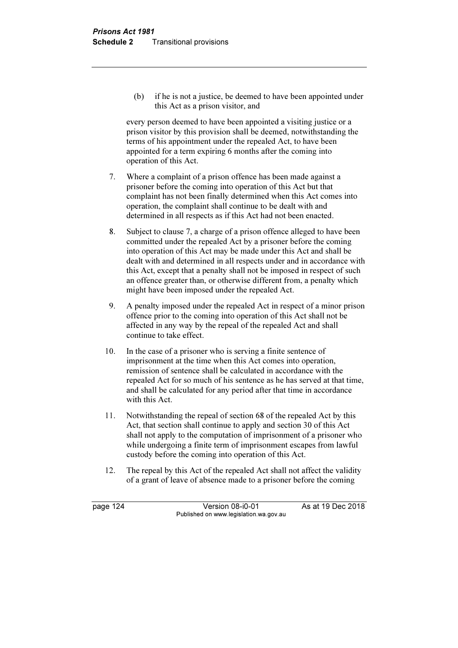(b) if he is not a justice, be deemed to have been appointed under this Act as a prison visitor, and

 every person deemed to have been appointed a visiting justice or a prison visitor by this provision shall be deemed, notwithstanding the terms of his appointment under the repealed Act, to have been appointed for a term expiring 6 months after the coming into operation of this Act.

- 7. Where a complaint of a prison offence has been made against a prisoner before the coming into operation of this Act but that complaint has not been finally determined when this Act comes into operation, the complaint shall continue to be dealt with and determined in all respects as if this Act had not been enacted.
- 8. Subject to clause 7, a charge of a prison offence alleged to have been committed under the repealed Act by a prisoner before the coming into operation of this Act may be made under this Act and shall be dealt with and determined in all respects under and in accordance with this Act, except that a penalty shall not be imposed in respect of such an offence greater than, or otherwise different from, a penalty which might have been imposed under the repealed Act.
- 9. A penalty imposed under the repealed Act in respect of a minor prison offence prior to the coming into operation of this Act shall not be affected in any way by the repeal of the repealed Act and shall continue to take effect.
- 10. In the case of a prisoner who is serving a finite sentence of imprisonment at the time when this Act comes into operation, remission of sentence shall be calculated in accordance with the repealed Act for so much of his sentence as he has served at that time, and shall be calculated for any period after that time in accordance with this Act.
- 11. Notwithstanding the repeal of section 68 of the repealed Act by this Act, that section shall continue to apply and section 30 of this Act shall not apply to the computation of imprisonment of a prisoner who while undergoing a finite term of imprisonment escapes from lawful custody before the coming into operation of this Act.
- 12. The repeal by this Act of the repealed Act shall not affect the validity of a grant of leave of absence made to a prisoner before the coming

page 124 Version 08-i0-01 As at 19 Dec 2018 Published on www.legislation.wa.gov.au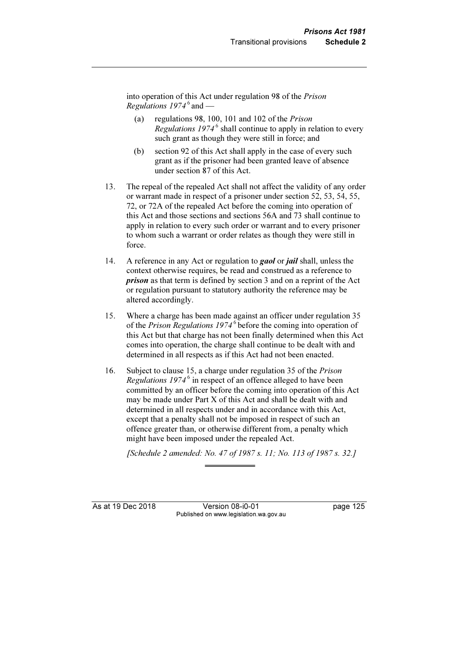into operation of this Act under regulation 98 of the Prison *Regulations*  $1974^6$  and —

- (a) regulations 98, 100, 101 and 102 of the Prison Regulations  $1974^6$  shall continue to apply in relation to every such grant as though they were still in force; and
- (b) section 92 of this Act shall apply in the case of every such grant as if the prisoner had been granted leave of absence under section 87 of this Act.
- 13. The repeal of the repealed Act shall not affect the validity of any order or warrant made in respect of a prisoner under section 52, 53, 54, 55, 72, or 72A of the repealed Act before the coming into operation of this Act and those sections and sections 56A and 73 shall continue to apply in relation to every such order or warrant and to every prisoner to whom such a warrant or order relates as though they were still in force.
- 14. A reference in any Act or regulation to **gaol** or *jail* shall, unless the context otherwise requires, be read and construed as a reference to prison as that term is defined by section 3 and on a reprint of the Act or regulation pursuant to statutory authority the reference may be altered accordingly.
- 15. Where a charge has been made against an officer under regulation 35 of the Prison Regulations  $1974^6$  before the coming into operation of this Act but that charge has not been finally determined when this Act comes into operation, the charge shall continue to be dealt with and determined in all respects as if this Act had not been enacted.
- 16. Subject to clause 15, a charge under regulation 35 of the Prison Regulations  $1974^6$  in respect of an offence alleged to have been committed by an officer before the coming into operation of this Act may be made under Part X of this Act and shall be dealt with and determined in all respects under and in accordance with this Act, except that a penalty shall not be imposed in respect of such an offence greater than, or otherwise different from, a penalty which might have been imposed under the repealed Act.

[Schedule 2 amended: No. 47 of 1987 s. 11; No. 113 of 1987 s. 32.]

As at 19 Dec 2018 Version 08-i0-01 page 125 Published on www.legislation.wa.gov.au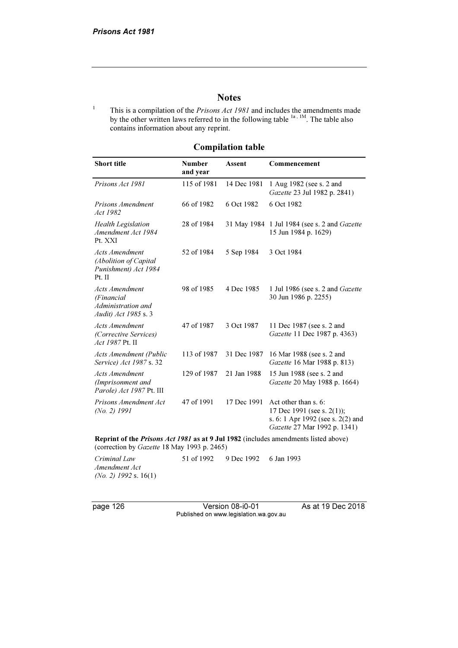#### **Notes**

This is a compilation of the *Prisons Act 1981* and includes the amendments made by the other written laws referred to in the following table <sup>1a, 1M</sup>. The table also contains information about any reprint.

# Compilation table

| <b>Short title</b>                                                                  | <b>Number</b><br>and year | <b>Assent</b> | Commencement                                                                                                               |  |
|-------------------------------------------------------------------------------------|---------------------------|---------------|----------------------------------------------------------------------------------------------------------------------------|--|
| Prisons Act 1981                                                                    | 115 of 1981               | 14 Dec 1981   | 1 Aug 1982 (see s. 2 and<br>Gazette 23 Jul 1982 p. 2841)                                                                   |  |
| Prisons Amendment<br>Act 1982                                                       | 66 of 1982                | 6 Oct 1982    | 6 Oct 1982                                                                                                                 |  |
| <b>Health Legislation</b><br>Amendment Act 1984<br>Pt. XXI                          | 28 of 1984                |               | 31 May 1984 1 Jul 1984 (see s. 2 and Gazette<br>15 Jun 1984 p. 1629)                                                       |  |
| <b>Acts Amendment</b><br>(Abolition of Capital<br>Punishment) Act 1984<br>Pt. II    | 52 of 1984                | 5 Sep 1984    | 3 Oct 1984                                                                                                                 |  |
| <b>Acts Amendment</b><br>(Financial<br>Administration and<br>Audit) Act 1985 s. 3   | 98 of 1985                | 4 Dec 1985    | 1 Jul 1986 (see s. 2 and Gazette<br>30 Jun 1986 p. 2255)                                                                   |  |
| <b>Acts Amendment</b><br>(Corrective Services)<br>Act 1987 Pt. II                   | 47 of 1987                | 3 Oct 1987    | 11 Dec 1987 (see s. 2 and<br>Gazette 11 Dec 1987 p. 4363)                                                                  |  |
| <b>Acts Amendment (Public</b><br>Service) Act 1987 s. 32                            | 113 of 1987               | 31 Dec 1987   | 16 Mar 1988 (see s. 2 and<br>Gazette 16 Mar 1988 p. 813)                                                                   |  |
| <b>Acts Amendment</b><br>(Imprisonment and<br>Parole) Act 1987 Pt. III              | 129 of 1987               | 21 Jan 1988   | 15 Jun 1988 (see s. 2 and<br>Gazette 20 May 1988 p. 1664)                                                                  |  |
| Prisons Amendment Act<br>$(No. 2)$ 1991                                             | 47 of 1991                | 17 Dec 1991   | Act other than s. 6:<br>17 Dec 1991 (see s. $2(1)$ );<br>s. 6: 1 Apr 1992 (see s. 2(2) and<br>Gazette 27 Mar 1992 p. 1341) |  |
| Reprint of the Prisons Act 1981 as at 9 Jul 1982 (includes amendments listed above) |                           |               |                                                                                                                            |  |

(correction by Gazette 18 May 1993 p. 2465)

Criminal Law Amendment Act (No. 2) 1992 s. 16(1) 51 of 1992 9 Dec 1992 6 Jan 1993

page 126 Version 08-i0-01 As at 19 Dec 2018 Published on www.legislation.wa.gov.au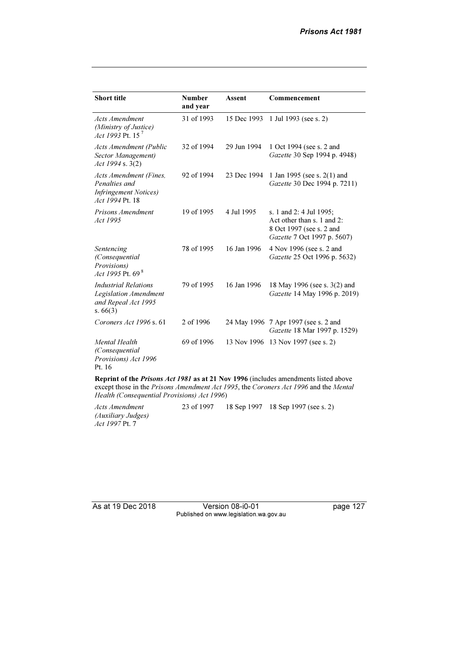| <b>Short title</b>                                                                                 | <b>Number</b><br>and year | Assent      | Commencement                                                                                                     |
|----------------------------------------------------------------------------------------------------|---------------------------|-------------|------------------------------------------------------------------------------------------------------------------|
| <b>Acts Amendment</b><br>(Ministry of Justice)<br>Act 1993 Pt. 15 <sup>7</sup>                     | 31 of 1993                | 15 Dec 1993 | 1 Jul 1993 (see s. 2)                                                                                            |
| <b>Acts Amendment (Public</b><br>Sector Management)<br>Act 1994 s. 3(2)                            | 32 of 1994                | 29 Jun 1994 | 1 Oct 1994 (see s. 2 and<br>Gazette 30 Sep 1994 p. 4948)                                                         |
| <b>Acts Amendment (Fines,</b><br>Penalties and<br><i>Infringement Notices</i> )<br>Act 1994 Pt. 18 | 92 of 1994                | 23 Dec 1994 | 1 Jan 1995 (see s. $2(1)$ and<br>Gazette 30 Dec 1994 p. 7211)                                                    |
| Prisons Amendment<br>Act 1995                                                                      | 19 of 1995                | 4 Jul 1995  | s. 1 and 2: 4 Jul 1995;<br>Act other than s. 1 and 2:<br>8 Oct 1997 (see s. 2 and<br>Gazette 7 Oct 1997 p. 5607) |
| Sentencing<br>(Consequential)<br>Provisions)<br>Act 1995 Pt. $69^8$                                | 78 of 1995                | 16 Jan 1996 | 4 Nov 1996 (see s. 2 and<br>Gazette 25 Oct 1996 p. 5632)                                                         |
| Industrial Relations<br><b>Legislation Amendment</b><br>and Repeal Act 1995<br>s. $66(3)$          | 79 of 1995                | 16 Jan 1996 | 18 May 1996 (see s. 3(2) and<br>Gazette 14 May 1996 p. 2019)                                                     |
| Coroners Act 1996 s. 61                                                                            | 2 of 1996                 |             | 24 May 1996 7 Apr 1997 (see s. 2 and<br>Gazette 18 Mar 1997 p. 1529)                                             |
| Mental Health<br>(Consequential<br>Provisions) Act 1996<br>Pt. 16                                  | 69 of 1996                |             | 13 Nov 1996 13 Nov 1997 (see s. 2)                                                                               |

Reprint of the Prisons Act 1981 as at 21 Nov 1996 (includes amendments listed above except those in the Prisons Amendment Act 1995, the Coroners Act 1996 and the Mental Health (Consequential Provisions) Act 1996)

Acts Amendment (Auxiliary Judges) Act 1997 Pt. 7 23 of 1997 18 Sep 1997 18 Sep 1997 (see s. 2)

As at 19 Dec 2018 Version 08-i0-01 page 127 Published on www.legislation.wa.gov.au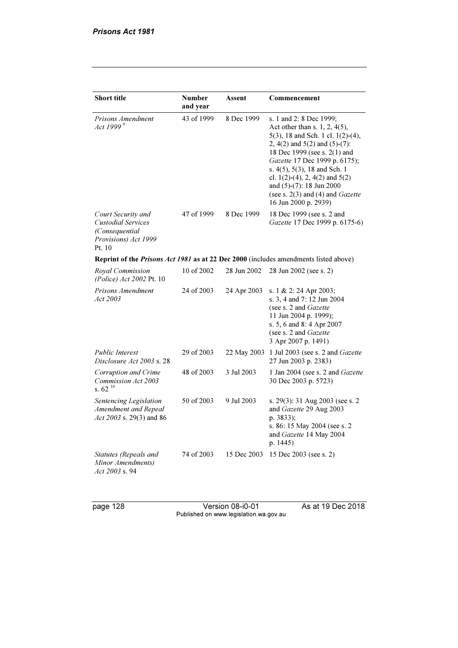| <b>Short title</b>                                                                                  | <b>Number</b><br>and year | Assent      | Commencement                                                                                                                                                                                                                                                                                                                                                                   |
|-----------------------------------------------------------------------------------------------------|---------------------------|-------------|--------------------------------------------------------------------------------------------------------------------------------------------------------------------------------------------------------------------------------------------------------------------------------------------------------------------------------------------------------------------------------|
| Prisons Amendment<br>Act 1999 <sup>9</sup>                                                          | 43 of 1999                | 8 Dec 1999  | s. 1 and 2: 8 Dec 1999;<br>Act other than s. 1, 2, $4(5)$ ,<br>$5(3)$ , 18 and Sch. 1 cl. 1(2)-(4),<br>2, 4(2) and $5(2)$ and $(5)-(7)$ :<br>18 Dec 1999 (see s. 2(1) and<br>Gazette 17 Dec 1999 p. 6175);<br>s. $4(5)$ , $5(3)$ , 18 and Sch. 1<br>cl. 1(2)-(4), 2, 4(2) and $5(2)$<br>and (5)-(7): 18 Jun 2000<br>(see s. $2(3)$ and (4) and Gazette<br>16 Jun 2000 p. 2939) |
| Court Security and<br><b>Custodial Services</b><br>(Consequential<br>Provisions) Act 1999<br>Pt. 10 | 47 of 1999                | 8 Dec 1999  | 18 Dec 1999 (see s. 2 and<br>Gazette 17 Dec 1999 p. 6175-6)                                                                                                                                                                                                                                                                                                                    |
|                                                                                                     |                           |             | Reprint of the Prisons Act 1981 as at 22 Dec 2000 (includes amendments listed above)                                                                                                                                                                                                                                                                                           |
| Royal Commission<br>(Police) Act 2002 Pt. 10                                                        | 10 of 2002                | 28 Jun 2002 | 28 Jun 2002 (see s. 2)                                                                                                                                                                                                                                                                                                                                                         |
| Prisons Amendment<br>Act 2003                                                                       | 24 of 2003                | 24 Apr 2003 | s. 1 & 2: 24 Apr 2003;<br>s. 3, 4 and 7: 12 Jun 2004<br>(see s. 2 and Gazette<br>11 Jun 2004 p. 1999);<br>s. 5, 6 and 8: 4 Apr 2007<br>(see s. 2 and Gazette<br>3 Apr 2007 p. 1491)                                                                                                                                                                                            |
| <b>Public Interest</b><br>Disclosure Act 2003 s. 28                                                 | 29 of 2003                | 22 May 2003 | 1 Jul 2003 (see s. 2 and Gazette<br>27 Jun 2003 p. 2383)                                                                                                                                                                                                                                                                                                                       |
| Corruption and Crime<br>Commission Act 2003<br>s. $62^{10}$                                         | 48 of 2003                | 3 Jul 2003  | 1 Jan 2004 (see s. 2 and Gazette<br>30 Dec 2003 p. 5723)                                                                                                                                                                                                                                                                                                                       |
| Sentencing Legislation<br>Amendment and Repeal<br>Act 2003 s. 29(3) and 86                          | 50 of 2003                | 9 Jul 2003  | s. 29(3): 31 Aug 2003 (see s. 2<br>and Gazette 29 Aug 2003<br>p. 3833);<br>s. 86:15 May 2004 (see s. 2<br>and Gazette 14 May 2004<br>p. 1445)                                                                                                                                                                                                                                  |
| Statutes (Repeals and<br>Minor Amendments)<br>Act 2003 s. 94                                        | 74 of 2003                | 15 Dec 2003 | 15 Dec 2003 (see s. 2)                                                                                                                                                                                                                                                                                                                                                         |

page 128 Version 08-i0-01 As at 19 Dec 2018 Published on www.legislation.wa.gov.au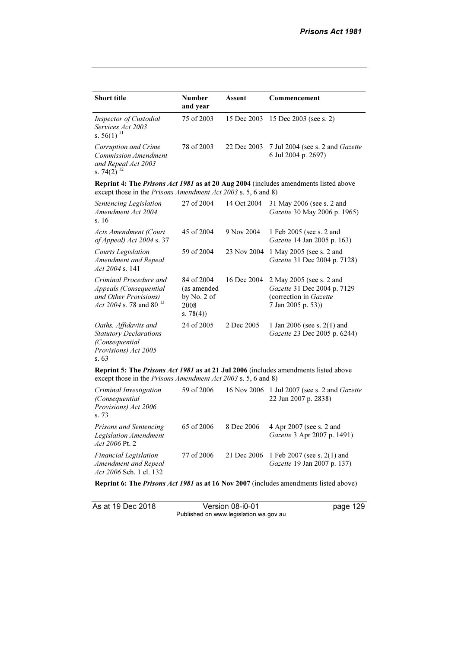| <b>Short title</b>                                                                                               | <b>Number</b><br>and year                                          | <b>Assent</b> | Commencement                                                                                            |
|------------------------------------------------------------------------------------------------------------------|--------------------------------------------------------------------|---------------|---------------------------------------------------------------------------------------------------------|
| Inspector of Custodial<br>Services Act 2003<br>s. $56(1)$ <sup>11</sup>                                          | 75 of 2003                                                         | 15 Dec 2003   | 15 Dec 2003 (see s. 2)                                                                                  |
| Corruption and Crime<br><b>Commission Amendment</b><br>and Repeal Act 2003<br>s. 74(2) $^{12}$                   | 78 of 2003                                                         | 22 Dec 2003   | 7 Jul 2004 (see s. 2 and Gazette<br>6 Jul 2004 p. 2697)                                                 |
| except those in the Prisons Amendment Act 2003 s. 5, 6 and 8)                                                    |                                                                    |               | <b>Reprint 4: The Prisons Act 1981 as at 20 Aug 2004</b> (includes amendments listed above              |
| Sentencing Legislation<br>Amendment Act 2004<br>s.16                                                             | 27 of 2004                                                         | 14 Oct 2004   | 31 May 2006 (see s. 2 and<br>Gazette 30 May 2006 p. 1965)                                               |
| <b>Acts Amendment (Court</b><br>of Appeal) Act 2004 s. 37                                                        | 45 of 2004                                                         | 9 Nov 2004    | 1 Feb 2005 (see s. 2 and<br>Gazette 14 Jan 2005 p. 163)                                                 |
| <b>Courts Legislation</b><br>Amendment and Repeal<br>Act $2004$ s. 141                                           | 59 of 2004                                                         | 23 Nov 2004   | 1 May 2005 (see s. 2 and<br>Gazette 31 Dec 2004 p. 7128)                                                |
| Criminal Procedure and<br>Appeals (Consequential<br>and Other Provisions)<br>Act 2004 s. 78 and 80 <sup>13</sup> | 84 of 2004<br>(as amended<br>by $No. 2 of$<br>2008<br>s. $78(4)$ ) | 16 Dec 2004   | 2 May 2005 (see s. 2 and<br>Gazette 31 Dec 2004 p. 7129<br>(correction in Gazette<br>7 Jan 2005 p. 53)) |
| Oaths, Affidavits and<br><b>Statutory Declarations</b><br>(Consequential<br>Provisions) Act 2005<br>s.63         | 24 of 2005                                                         | 2 Dec 2005    | 1 Jan 2006 (see s. $2(1)$ and<br>Gazette 23 Dec 2005 p. 6244)                                           |

Reprint 5: The Prisons Act 1981 as at 21 Jul 2006 (includes amendments listed above except those in the Prisons Amendment Act 2003 s. 5, 6 and 8)

| Criminal Investigation<br>(Consequential)<br>Provisions) Act 2006<br>s.73       | 59 of 2006 |            | 16 Nov 2006 1 Jul 2007 (see s. 2 and Gazette<br>22 Jun 2007 p. 2838)          |
|---------------------------------------------------------------------------------|------------|------------|-------------------------------------------------------------------------------|
| Prisons and Sentencing<br>Legislation Amendment<br>Act 2006 Pt. 2               | 65 of 2006 | 8 Dec 2006 | 4 Apr 2007 (see s. 2 and<br>Gazette 3 Apr 2007 p. 1491)                       |
| <b>Financial Legislation</b><br>Amendment and Repeal<br>Act 2006 Sch. 1 cl. 132 | 77 of 2006 |            | 21 Dec 2006 1 Feb 2007 (see s. 2(1) and<br><i>Gazette</i> 19 Jan 2007 p. 137) |

Reprint 6: The Prisons Act 1981 as at 16 Nov 2007 (includes amendments listed above)

As at 19 Dec 2018 Version 08-i0-01 page 129 Published on www.legislation.wa.gov.au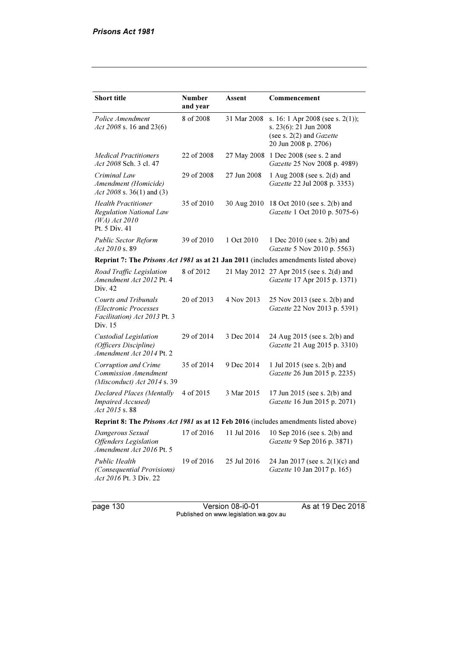| <b>Short title</b>                                                                               | <b>Number</b><br>and year | Assent      | Commencement                                                                                                           |  |  |
|--------------------------------------------------------------------------------------------------|---------------------------|-------------|------------------------------------------------------------------------------------------------------------------------|--|--|
| Police Amendment<br>Act 2008 s. 16 and 23(6)                                                     | 8 of 2008                 | 31 Mar 2008 | s. 16: 1 Apr 2008 (see s. 2(1));<br>s. 23(6): 21 Jun 2008<br>(see s. $2(2)$ and <i>Gazette</i><br>20 Jun 2008 p. 2706) |  |  |
| <b>Medical Practitioners</b><br>Act 2008 Sch. 3 cl. 47                                           | 22 of 2008                |             | 27 May 2008 1 Dec 2008 (see s. 2 and<br>Gazette 25 Nov 2008 p. 4989)                                                   |  |  |
| Criminal Law<br>Amendment (Homicide)<br>Act 2008 s. 36(1) and (3)                                | 29 of 2008                | 27 Jun 2008 | 1 Aug 2008 (see s. 2(d) and<br>Gazette 22 Jul 2008 p. 3353)                                                            |  |  |
| <b>Health Practitioner</b><br><b>Regulation National Law</b><br>$(WA)$ Act 2010<br>Pt. 5 Div. 41 | 35 of 2010                | 30 Aug 2010 | 18 Oct 2010 (see s. 2(b) and<br>Gazette 1 Oct 2010 p. 5075-6)                                                          |  |  |
| <b>Public Sector Reform</b><br>Act 2010 s. 89                                                    | 39 of 2010                | 1 Oct 2010  | 1 Dec 2010 (see s. 2(b) and<br>Gazette 5 Nov 2010 p. 5563)                                                             |  |  |
|                                                                                                  |                           |             | Reprint 7: The Prisons Act 1981 as at 21 Jan 2011 (includes amendments listed above)                                   |  |  |
| Road Traffic Legislation<br>Amendment Act 2012 Pt. 4<br>Div. 42                                  | 8 of 2012                 |             | 21 May 2012 27 Apr 2015 (see s. 2(d) and<br>Gazette 17 Apr 2015 p. 1371)                                               |  |  |
| <b>Courts and Tribunals</b><br>(Electronic Processes<br>Facilitation) Act 2013 Pt. 3<br>Div. 15  | 20 of 2013                | 4 Nov 2013  | 25 Nov 2013 (see s. 2(b) and<br>Gazette 22 Nov 2013 p. 5391)                                                           |  |  |
| Custodial Legislation<br>(Officers Discipline)<br>Amendment Act 2014 Pt. 2                       | 29 of 2014                | 3 Dec 2014  | 24 Aug 2015 (see s. 2(b) and<br>Gazette 21 Aug 2015 p. 3310)                                                           |  |  |
| Corruption and Crime<br><b>Commission Amendment</b><br>(Misconduct) Act 2014 s. 39               | 35 of 2014                | 9 Dec 2014  | 1 Jul 2015 (see s. 2(b) and<br>Gazette 26 Jun 2015 p. 2235)                                                            |  |  |
| Declared Places (Mentally<br>Impaired Accused)<br>Act 2015 s. 88                                 | 4 of 2015                 | 3 Mar 2015  | 17 Jun 2015 (see s. 2(b) and<br>Gazette 16 Jun 2015 p. 2071)                                                           |  |  |
| Reprint 8: The Prisons Act 1981 as at 12 Feb 2016 (includes amendments listed above)             |                           |             |                                                                                                                        |  |  |
| Dangerous Sexual<br><b>Offenders</b> Legislation<br>Amendment Act 2016 Pt. 5                     |                           |             | 17 of 2016 11 Jul 2016 10 Sep 2016 (see s. 2(b) and<br>Gazette 9 Sep 2016 p. 3871)                                     |  |  |
| <b>Public Health</b><br>(Consequential Provisions)<br>Act 2016 Pt. 3 Div. 22                     | 19 of 2016                | 25 Jul 2016 | 24 Jan 2017 (see s. 2(1)(c) and<br>Gazette 10 Jan 2017 p. 165)                                                         |  |  |

page 130 Version 08-i0-01 As at 19 Dec 2018 Published on www.legislation.wa.gov.au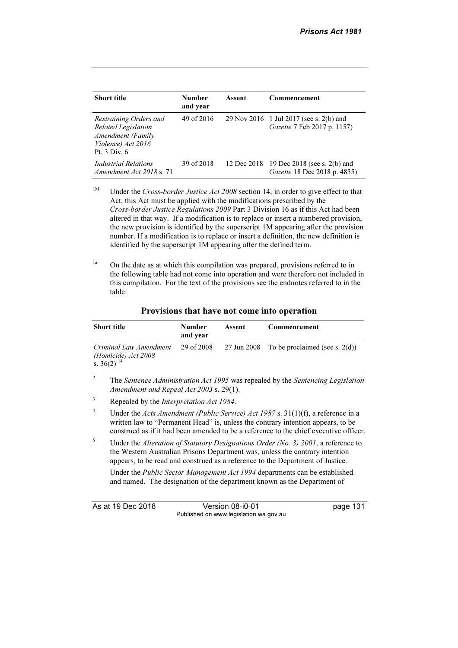| <b>Short title</b>                                                                                              | <b>Number</b><br>and year | Assent | Commencement                                                             |
|-----------------------------------------------------------------------------------------------------------------|---------------------------|--------|--------------------------------------------------------------------------|
| Restraining Orders and<br>Related Legislation<br><b>Amendment</b> (Family<br>Violence) Act 2016<br>Pt. 3 Div. 6 | 49 of 2016                |        | 29 Nov 2016 1 Jul 2017 (see s. 2(b) and<br>Gazette 7 Feb 2017 p. 1157)   |
| Industrial Relations<br>Amendment Act 2018 s. 71                                                                | 39 of 2018                |        | 12 Dec 2018 19 Dec 2018 (see s. 2(b) and<br>Gazette 18 Dec 2018 p. 4835) |

- <sup>1M</sup> Under the Cross-border Justice Act 2008 section 14, in order to give effect to that Act, this Act must be applied with the modifications prescribed by the Cross-border Justice Regulations 2009 Part 3 Division 16 as if this Act had been altered in that way. If a modification is to replace or insert a numbered provision, the new provision is identified by the superscript 1M appearing after the provision number. If a modification is to replace or insert a definition, the new definition is identified by the superscript 1M appearing after the defined term.
- $1a$  On the date as at which this compilation was prepared, provisions referred to in the following table had not come into operation and were therefore not included in this compilation. For the text of the provisions see the endnotes referred to in the table.

| <b>Short title</b>                                                                   | <b>Number</b><br>and vear | Assent | Commencement                                  |
|--------------------------------------------------------------------------------------|---------------------------|--------|-----------------------------------------------|
| Criminal Law Amendment<br>( <i>Homicide</i> ) <i>Act</i> 2008 s. 36(2) <sup>14</sup> | 29 of 2008                |        | 27 Jun 2008 To be proclaimed (see s. $2(d)$ ) |

Provisions that have not come into operation

5 Under the Alteration of Statutory Designations Order (No. 3) 2001, a reference to the Western Australian Prisons Department was, unless the contrary intention appears, to be read and construed as a reference to the Department of Justice.

 Under the Public Sector Management Act 1994 departments can be established and named. The designation of the department known as the Department of

As at 19 Dec 2018 Version 08-i0-01 page 131 Published on www.legislation.wa.gov.au

<sup>2</sup> The Sentence Administration Act 1995 was repealed by the Sentencing Legislation Amendment and Repeal Act 2003 s. 29(1).

<sup>3</sup> Repealed by the Interpretation Act 1984.

<sup>4</sup> Under the Acts Amendment (Public Service) Act 1987 s. 31(1)(f), a reference in a written law to "Permanent Head" is, unless the contrary intention appears, to be construed as if it had been amended to be a reference to the chief executive officer.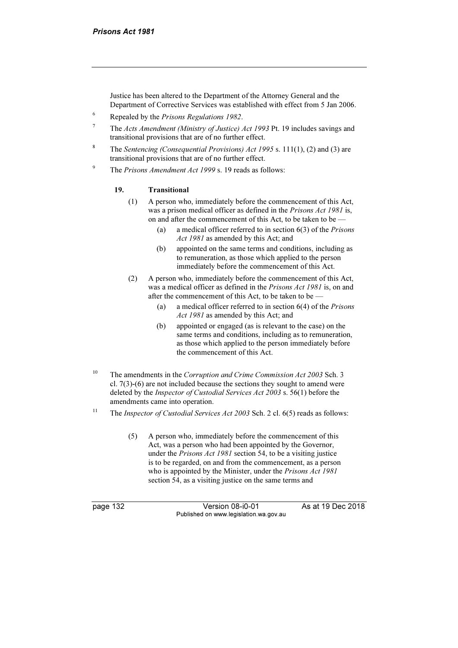Justice has been altered to the Department of the Attorney General and the Department of Corrective Services was established with effect from 5 Jan 2006.

- 6 Repealed by the Prisons Regulations 1982.
- 7 The Acts Amendment (Ministry of Justice) Act 1993 Pt. 19 includes savings and transitional provisions that are of no further effect.
- The Sentencing (Consequential Provisions) Act 1995 s. 111(1), (2) and (3) are transitional provisions that are of no further effect.
- $\alpha$ The Prisons Amendment Act 1999 s. 19 reads as follows:

#### 19. Transitional

- (1) A person who, immediately before the commencement of this Act, was a prison medical officer as defined in the Prisons Act 1981 is, on and after the commencement of this Act, to be taken to be —
	- (a) a medical officer referred to in section 6(3) of the Prisons Act 1981 as amended by this Act; and
	- (b) appointed on the same terms and conditions, including as to remuneration, as those which applied to the person immediately before the commencement of this Act.
- (2) A person who, immediately before the commencement of this Act, was a medical officer as defined in the Prisons Act 1981 is, on and after the commencement of this Act, to be taken to be —
	- (a) a medical officer referred to in section  $6(4)$  of the *Prisons* Act 1981 as amended by this Act; and
	- (b) appointed or engaged (as is relevant to the case) on the same terms and conditions, including as to remuneration, as those which applied to the person immediately before the commencement of this Act.
- <sup>10</sup> The amendments in the Corruption and Crime Commission Act 2003 Sch. 3 cl. 7(3)-(6) are not included because the sections they sought to amend were deleted by the Inspector of Custodial Services Act 2003 s. 56(1) before the amendments came into operation.
- <sup>11</sup> The *Inspector of Custodial Services Act 2003* Sch. 2 cl.  $6(5)$  reads as follows:
	- (5) A person who, immediately before the commencement of this Act, was a person who had been appointed by the Governor, under the Prisons Act 1981 section 54, to be a visiting justice is to be regarded, on and from the commencement, as a person who is appointed by the Minister, under the *Prisons Act 1981* section 54, as a visiting justice on the same terms and

page 132 Version 08-i0-01 As at 19 Dec 2018 Published on www.legislation.wa.gov.au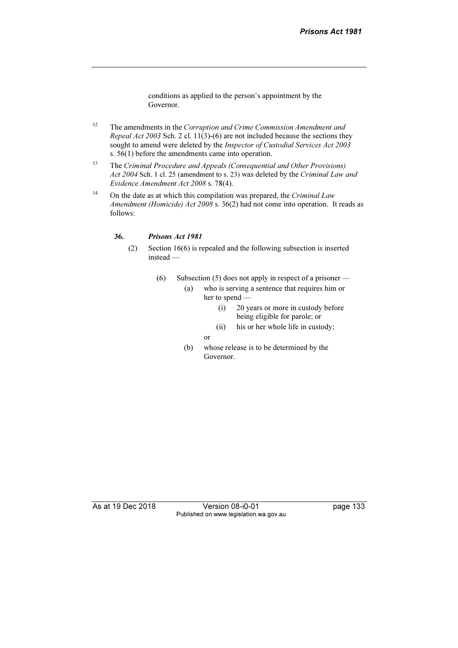conditions as applied to the person's appointment by the Governor.

- $12$  The amendments in the Corruption and Crime Commission Amendment and Repeal Act 2003 Sch. 2 cl. 11(3)-(6) are not included because the sections they sought to amend were deleted by the Inspector of Custodial Services Act 2003 s. 56(1) before the amendments came into operation.
- <sup>13</sup> The Criminal Procedure and Appeals (Consequential and Other Provisions) Act 2004 Sch. 1 cl. 25 (amendment to s. 23) was deleted by the Criminal Law and Evidence Amendment Act 2008 s. 78(4).
- <sup>14</sup> On the date as at which this compilation was prepared, the *Criminal Law* Amendment (Homicide) Act 2008 s. 36(2) had not come into operation. It reads as follows:

#### 36. Prisons Act 1981

- (2) Section 16(6) is repealed and the following subsection is inserted instead —
	- (6) Subsection (5) does not apply in respect of a prisoner
		- (a) who is serving a sentence that requires him or her to spend —
			- (i) 20 years or more in custody before being eligible for parole; or
			- (ii) his or her whole life in custody;
			- or
		- (b) whose release is to be determined by the Governor.

As at 19 Dec 2018 Version 08-i0-01 page 133 Published on www.legislation.wa.gov.au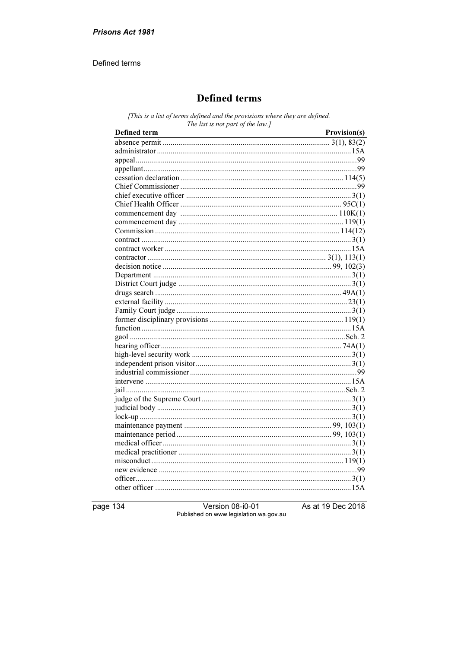#### Defined terms

# **Defined terms**

[This is a list of terms defined and the provisions where they are defined. The list is not part of the law.]

| Defined term | Provision(s) |
|--------------|--------------|
|              |              |
|              |              |
|              |              |
|              |              |
|              |              |
|              |              |
|              |              |
|              |              |
|              |              |
|              |              |
|              |              |
|              |              |
|              |              |
|              |              |
|              |              |
|              |              |
|              |              |
|              |              |
|              |              |
|              |              |
|              |              |
|              |              |
|              |              |
|              |              |
|              |              |
|              |              |
|              |              |
|              |              |
|              |              |
|              |              |
|              |              |
|              |              |
|              |              |
|              |              |
|              |              |
|              |              |
|              |              |
|              |              |
|              |              |
|              |              |
|              |              |

page 134

Version 08-i0-01 Published on www.legislation.wa.gov.au As at 19 Dec 2018